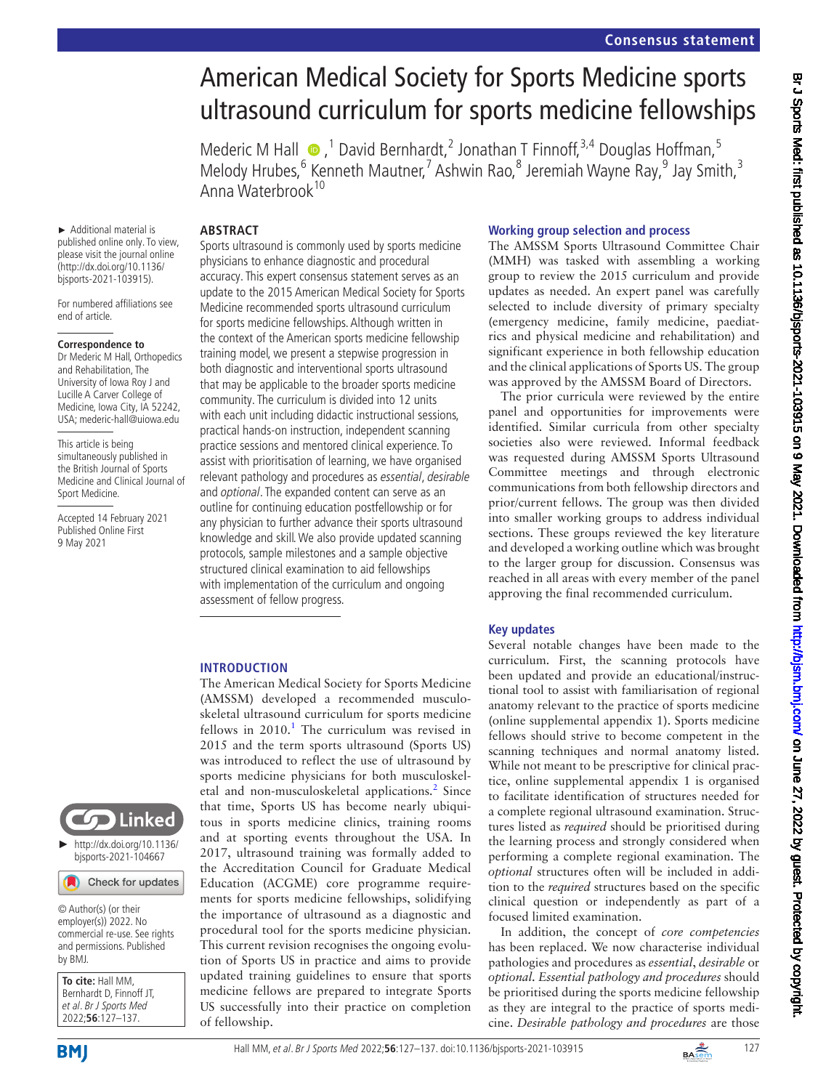# American Medical Society for Sports Medicine sports ultrasound curriculum for sports medicine fellowships

Mederic M Hall  $\bullet$ , <sup>1</sup> David Bernhardt, <sup>2</sup> Jonathan T Finnoff, <sup>3,4</sup> Douglas Hoffman, <sup>5</sup> Melody Hrubes,<sup>6</sup> Kenneth Mautner,<sup>7</sup> Ashwin Rao,<sup>8</sup> Jeremiah Wayne Ray,<sup>9</sup> Jay Smith,<sup>3</sup> Anna Waterbrook<sup>10</sup>

# **ABSTRACT**

► Additional material is published online only. To view, please visit the journal online [\(http://dx.doi.org/10.1136/](http://dx.doi.org/10.1136/bjsports-2021-103915) [bjsports-2021-103915\)](http://dx.doi.org/10.1136/bjsports-2021-103915).

For numbered affiliations see end of article.

#### **Correspondence to**

Dr Mederic M Hall, Orthopedics and Rehabilitation, The University of Iowa Roy J and Lucille A Carver College of Medicine, Iowa City, IA 52242, USA; mederic-hall@uiowa.edu

This article is being simultaneously published in the British Journal of Sports Medicine and Clinical Journal of Sport Medicine.

Accepted 14 February 2021 Published Online First 9 May 2021

Sports ultrasound is commonly used by sports medicine physicians to enhance diagnostic and procedural accuracy. This expert consensus statement serves as an update to the 2015 American Medical Society for Sports Medicine recommended sports ultrasound curriculum for sports medicine fellowships. Although written in the context of the American sports medicine fellowship training model, we present a stepwise progression in both diagnostic and interventional sports ultrasound that may be applicable to the broader sports medicine community. The curriculum is divided into 12 units with each unit including didactic instructional sessions, practical hands-on instruction, independent scanning practice sessions and mentored clinical experience. To assist with prioritisation of learning, we have organised relevant pathology and procedures as essential, desirable and optional. The expanded content can serve as an outline for continuing education postfellowship or for any physician to further advance their sports ultrasound knowledge and skill. We also provide updated scanning protocols, sample milestones and a sample objective structured clinical examination to aid fellowships with implementation of the curriculum and ongoing assessment of fellow progress.

# **INTRODUCTION**

The American Medical Society for Sports Medicine (AMSSM) developed a recommended musculoskeletal ultrasound curriculum for sports medicine fellows in  $2010$  $2010$  $2010$ .<sup>1</sup> The curriculum was revised in 2015 and the term sports ultrasound (Sports US) was introduced to reflect the use of ultrasound by sports medicine physicians for both musculoskel-etal and non-musculoskeletal applications.<sup>[2](#page-10-1)</sup> Since that time, Sports US has become nearly ubiquitous in sports medicine clinics, training rooms and at sporting events throughout the USA. In 2017, ultrasound training was formally added to the Accreditation Council for Graduate Medical Education (ACGME) core programme requirements for sports medicine fellowships, solidifying the importance of ultrasound as a diagnostic and procedural tool for the sports medicine physician. This current revision recognises the ongoing evolution of Sports US in practice and aims to provide updated training guidelines to ensure that sports medicine fellows are prepared to integrate Sports US successfully into their practice on completion of fellowship.

#### **Working group selection and process**

The AMSSM Sports Ultrasound Committee Chair (MMH) was tasked with assembling a working group to review the 2015 curriculum and provide updates as needed. An expert panel was carefully selected to include diversity of primary specialty (emergency medicine, family medicine, paediatrics and physical medicine and rehabilitation) and significant experience in both fellowship education and the clinical applications of Sports US. The group was approved by the AMSSM Board of Directors.

The prior curricula were reviewed by the entire panel and opportunities for improvements were identified. Similar curricula from other specialty societies also were reviewed. Informal feedback was requested during AMSSM Sports Ultrasound Committee meetings and through electronic communications from both fellowship directors and prior/current fellows. The group was then divided into smaller working groups to address individual sections. These groups reviewed the key literature and developed a working outline which was brought to the larger group for discussion. Consensus was reached in all areas with every member of the panel approving the final recommended curriculum.

# **Key updates**

Several notable changes have been made to the curriculum. First, the scanning protocols have been updated and provide an educational/instructional tool to assist with familiarisation of regional anatomy relevant to the practice of sports medicine ([online supplemental appendix 1](https://dx.doi.org/10.1136/bjsports-2021-103915)). Sports medicine fellows should strive to become competent in the scanning techniques and normal anatomy listed. While not meant to be prescriptive for clinical practice, [online supplemental appendix 1](https://dx.doi.org/10.1136/bjsports-2021-103915) is organised to facilitate identification of structures needed for a complete regional ultrasound examination. Structures listed as *required* should be prioritised during the learning process and strongly considered when performing a complete regional examination. The *optional* structures often will be included in addition to the *required* structures based on the specific clinical question or independently as part of a focused limited examination.

In addition, the concept of *core competencies* has been replaced. We now characterise individual pathologies and procedures as *essential*, *desirable* or *optional. Essential pathology and procedures* should be prioritised during the sports medicine fellowship as they are integral to the practice of sports medicine. *Desirable pathology and procedures* are those



© Author(s) (or their employer(s)) 2022. No commercial re-use. See rights and permissions. Published by BMJ.

**To cite:** Hall MM, Bernhardt D, Finnoff JT, et al. Br J Sports Med 2022;**56**:127–137.

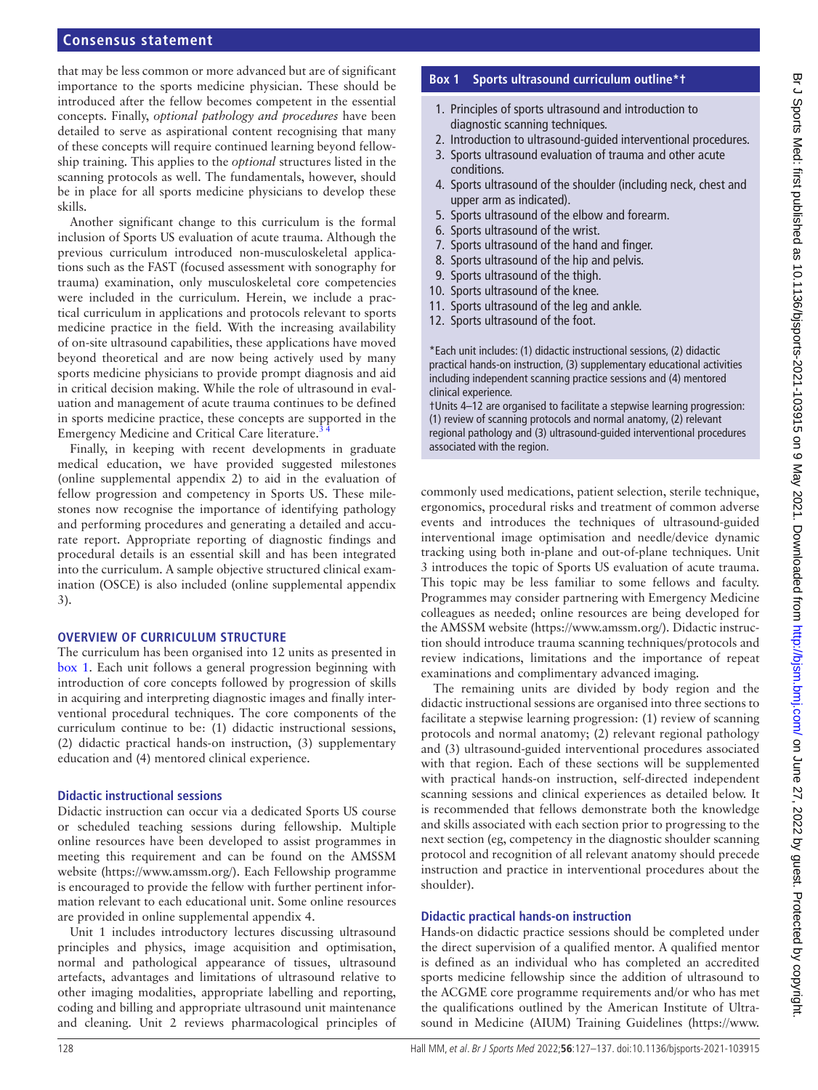that may be less common or more advanced but are of significant importance to the sports medicine physician. These should be introduced after the fellow becomes competent in the essential concepts. Finally, *optional pathology and procedures* have been detailed to serve as aspirational content recognising that many of these concepts will require continued learning beyond fellowship training. This applies to the *optional* structures listed in the scanning protocols as well. The fundamentals, however, should be in place for all sports medicine physicians to develop these skills.

Another significant change to this curriculum is the formal inclusion of Sports US evaluation of acute trauma. Although the previous curriculum introduced non-musculoskeletal applications such as the FAST (focused assessment with sonography for trauma) examination, only musculoskeletal core competencies were included in the curriculum. Herein, we include a practical curriculum in applications and protocols relevant to sports medicine practice in the field. With the increasing availability of on-site ultrasound capabilities, these applications have moved beyond theoretical and are now being actively used by many sports medicine physicians to provide prompt diagnosis and aid in critical decision making. While the role of ultrasound in evaluation and management of acute trauma continues to be defined in sports medicine practice, these concepts are supported in the Emergency Medicine and Critical Care literature.<sup>3</sup>

Finally, in keeping with recent developments in graduate medical education, we have provided suggested milestones ([online supplemental appendix 2\)](https://dx.doi.org/10.1136/bjsports-2021-103915) to aid in the evaluation of fellow progression and competency in Sports US. These milestones now recognise the importance of identifying pathology and performing procedures and generating a detailed and accurate report. Appropriate reporting of diagnostic findings and procedural details is an essential skill and has been integrated into the curriculum. A sample objective structured clinical examination (OSCE) is also included [\(online supplemental appendix](https://dx.doi.org/10.1136/bjsports-2021-103915)  [3](https://dx.doi.org/10.1136/bjsports-2021-103915)).

#### **OVERVIEW OF CURRICULUM STRUCTURE**

The curriculum has been organised into 12 units as presented in [box](#page-1-0) 1. Each unit follows a general progression beginning with introduction of core concepts followed by progression of skills in acquiring and interpreting diagnostic images and finally interventional procedural techniques. The core components of the curriculum continue to be: (1) didactic instructional sessions, (2) didactic practical hands-on instruction, (3) supplementary education and (4) mentored clinical experience.

#### **Didactic instructional sessions**

Didactic instruction can occur via a dedicated Sports US course or scheduled teaching sessions during fellowship. Multiple online resources have been developed to assist programmes in meeting this requirement and can be found on the AMSSM website (<https://www.amssm.org/>). Each Fellowship programme is encouraged to provide the fellow with further pertinent information relevant to each educational unit. Some online resources are provided in [online supplemental appendix 4](https://dx.doi.org/10.1136/bjsports-2021-103915).

Unit 1 includes introductory lectures discussing ultrasound principles and physics, image acquisition and optimisation, normal and pathological appearance of tissues, ultrasound artefacts, advantages and limitations of ultrasound relative to other imaging modalities, appropriate labelling and reporting, coding and billing and appropriate ultrasound unit maintenance and cleaning. Unit 2 reviews pharmacological principles of

#### **Box 1 Sports ultrasound curriculum outline\*†**

- <span id="page-1-0"></span>1. Principles of sports ultrasound and introduction to diagnostic scanning techniques.
- 2. Introduction to ultrasound-guided interventional procedures.
- 3. Sports ultrasound evaluation of trauma and other acute conditions.
- 4. Sports ultrasound of the shoulder (including neck, chest and upper arm as indicated).
- 5. Sports ultrasound of the elbow and forearm.
- 6. Sports ultrasound of the wrist.
- 7. Sports ultrasound of the hand and finger.
- 8. Sports ultrasound of the hip and pelvis.
- 9. Sports ultrasound of the thigh.
- 10. Sports ultrasound of the knee.
- 11. Sports ultrasound of the leg and ankle.
- 12. Sports ultrasound of the foot.

\*Each unit includes: (1) didactic instructional sessions, (2) didactic practical hands-on instruction, (3) supplementary educational activities including independent scanning practice sessions and (4) mentored clinical experience.

†Units 4–12 are organised to facilitate a stepwise learning progression: (1) review of scanning protocols and normal anatomy, (2) relevant regional pathology and (3) ultrasound-guided interventional procedures associated with the region.

commonly used medications, patient selection, sterile technique, ergonomics, procedural risks and treatment of common adverse events and introduces the techniques of ultrasound-guided interventional image optimisation and needle/device dynamic tracking using both in-plane and out-of-plane techniques. Unit 3 introduces the topic of Sports US evaluation of acute trauma. This topic may be less familiar to some fellows and faculty. Programmes may consider partnering with Emergency Medicine colleagues as needed; online resources are being developed for the AMSSM website [\(https://www.amssm.org/](https://www.amssm.org/)). Didactic instruction should introduce trauma scanning techniques/protocols and review indications, limitations and the importance of repeat examinations and complimentary advanced imaging.

The remaining units are divided by body region and the didactic instructional sessions are organised into three sections to facilitate a stepwise learning progression: (1) review of scanning protocols and normal anatomy; (2) relevant regional pathology and (3) ultrasound-guided interventional procedures associated with that region. Each of these sections will be supplemented with practical hands-on instruction, self-directed independent scanning sessions and clinical experiences as detailed below. It is recommended that fellows demonstrate both the knowledge and skills associated with each section prior to progressing to the next section (eg, competency in the diagnostic shoulder scanning protocol and recognition of all relevant anatomy should precede instruction and practice in interventional procedures about the shoulder).

#### **Didactic practical hands-on instruction**

Hands-on didactic practice sessions should be completed under the direct supervision of a qualified mentor. A qualified mentor is defined as an individual who has completed an accredited sports medicine fellowship since the addition of ultrasound to the ACGME core programme requirements and/or who has met the qualifications outlined by the American Institute of Ultrasound in Medicine (AIUM) Training Guidelines [\(https://www.](https://www.aium.org/)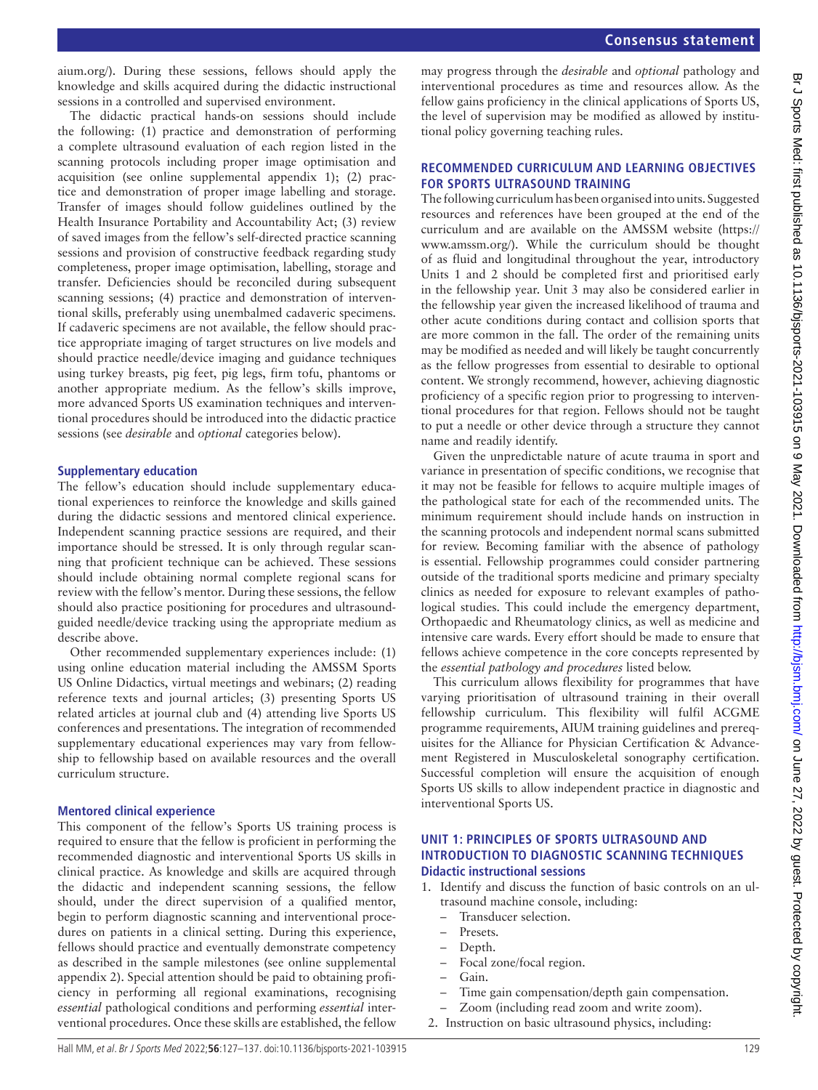Br J Sports Med: first published as 10.1136/bjsports-2021-103915 on 9 May 2021. Downloaded from http://bjsm.bmj.com/ on June 27, 2022 by guest. Protected by copyright

Br J Sports Med: first published as 10.1136/bjsports-2021-103915 on 9 May 2021. Downloaded from <http://bjsm.bmj.com/> on June 27, 2022 by guest. Protected by copyright.

[aium.org/](https://www.aium.org/)). During these sessions, fellows should apply the knowledge and skills acquired during the didactic instructional sessions in a controlled and supervised environment.

The didactic practical hands-on sessions should include the following: (1) practice and demonstration of performing a complete ultrasound evaluation of each region listed in the scanning protocols including proper image optimisation and acquisition (see [online supplemental appendix 1](https://dx.doi.org/10.1136/bjsports-2021-103915)); (2) practice and demonstration of proper image labelling and storage. Transfer of images should follow guidelines outlined by the Health Insurance Portability and Accountability Act; (3) review of saved images from the fellow's self-directed practice scanning sessions and provision of constructive feedback regarding study completeness, proper image optimisation, labelling, storage and transfer. Deficiencies should be reconciled during subsequent scanning sessions; (4) practice and demonstration of interventional skills, preferably using unembalmed cadaveric specimens. If cadaveric specimens are not available, the fellow should practice appropriate imaging of target structures on live models and should practice needle/device imaging and guidance techniques using turkey breasts, pig feet, pig legs, firm tofu, phantoms or another appropriate medium. As the fellow's skills improve, more advanced Sports US examination techniques and interventional procedures should be introduced into the didactic practice sessions (see *desirable* and *optional* categories below).

#### **Supplementary education**

The fellow's education should include supplementary educational experiences to reinforce the knowledge and skills gained during the didactic sessions and mentored clinical experience. Independent scanning practice sessions are required, and their importance should be stressed. It is only through regular scanning that proficient technique can be achieved. These sessions should include obtaining normal complete regional scans for review with the fellow's mentor. During these sessions, the fellow should also practice positioning for procedures and ultrasoundguided needle/device tracking using the appropriate medium as describe above.

Other recommended supplementary experiences include: (1) using online education material including the AMSSM Sports US Online Didactics, virtual meetings and webinars; (2) reading reference texts and journal articles; (3) presenting Sports US related articles at journal club and (4) attending live Sports US conferences and presentations. The integration of recommended supplementary educational experiences may vary from fellowship to fellowship based on available resources and the overall curriculum structure.

# **Mentored clinical experience**

This component of the fellow's Sports US training process is required to ensure that the fellow is proficient in performing the recommended diagnostic and interventional Sports US skills in clinical practice. As knowledge and skills are acquired through the didactic and independent scanning sessions, the fellow should, under the direct supervision of a qualified mentor, begin to perform diagnostic scanning and interventional procedures on patients in a clinical setting. During this experience, fellows should practice and eventually demonstrate competency as described in the sample milestones (see [online supplemental](https://dx.doi.org/10.1136/bjsports-2021-103915)  [appendix 2](https://dx.doi.org/10.1136/bjsports-2021-103915)). Special attention should be paid to obtaining proficiency in performing all regional examinations, recognising *essential* pathological conditions and performing *essential* interventional procedures. Once these skills are established, the fellow

may progress through the *desirable* and *optional* pathology and interventional procedures as time and resources allow. As the fellow gains proficiency in the clinical applications of Sports US, the level of supervision may be modified as allowed by institutional policy governing teaching rules.

## **RECOMMENDED CURRICULUM AND LEARNING OBJECTIVES FOR SPORTS ULTRASOUND TRAINING**

The following curriculum has been organised into units. Suggested resources and references have been grouped at the end of the curriculum and are available on the AMSSM website [\(https://](https://www.amssm.org/) [www.amssm.org/](https://www.amssm.org/)). While the curriculum should be thought of as fluid and longitudinal throughout the year, introductory Units 1 and 2 should be completed first and prioritised early in the fellowship year. Unit 3 may also be considered earlier in the fellowship year given the increased likelihood of trauma and other acute conditions during contact and collision sports that are more common in the fall. The order of the remaining units may be modified as needed and will likely be taught concurrently as the fellow progresses from essential to desirable to optional content. We strongly recommend, however, achieving diagnostic proficiency of a specific region prior to progressing to interventional procedures for that region. Fellows should not be taught to put a needle or other device through a structure they cannot name and readily identify.

Given the unpredictable nature of acute trauma in sport and variance in presentation of specific conditions, we recognise that it may not be feasible for fellows to acquire multiple images of the pathological state for each of the recommended units. The minimum requirement should include hands on instruction in the scanning protocols and independent normal scans submitted for review. Becoming familiar with the absence of pathology is essential. Fellowship programmes could consider partnering outside of the traditional sports medicine and primary specialty clinics as needed for exposure to relevant examples of pathological studies. This could include the emergency department, Orthopaedic and Rheumatology clinics, as well as medicine and intensive care wards. Every effort should be made to ensure that fellows achieve competence in the core concepts represented by the *essential pathology and procedures* listed below.

This curriculum allows flexibility for programmes that have varying prioritisation of ultrasound training in their overall fellowship curriculum. This flexibility will fulfil ACGME programme requirements, AIUM training guidelines and prerequisites for the Alliance for Physician Certification & Advancement Registered in Musculoskeletal sonography certification. Successful completion will ensure the acquisition of enough Sports US skills to allow independent practice in diagnostic and interventional Sports US.

## **UNIT 1: PRINCIPLES OF SPORTS ULTRASOUND AND INTRODUCTION TO DIAGNOSTIC SCANNING TECHNIQUES Didactic instructional sessions**

- 1. Identify and discuss the function of basic controls on an ultrasound machine console, including:
	- Transducer selection.
	- Presets.
	- Depth.
	- Focal zone/focal region.
	- Gain.
	- Time gain compensation/depth gain compensation.
	- Zoom (including read zoom and write zoom).
- 2. Instruction on basic ultrasound physics, including: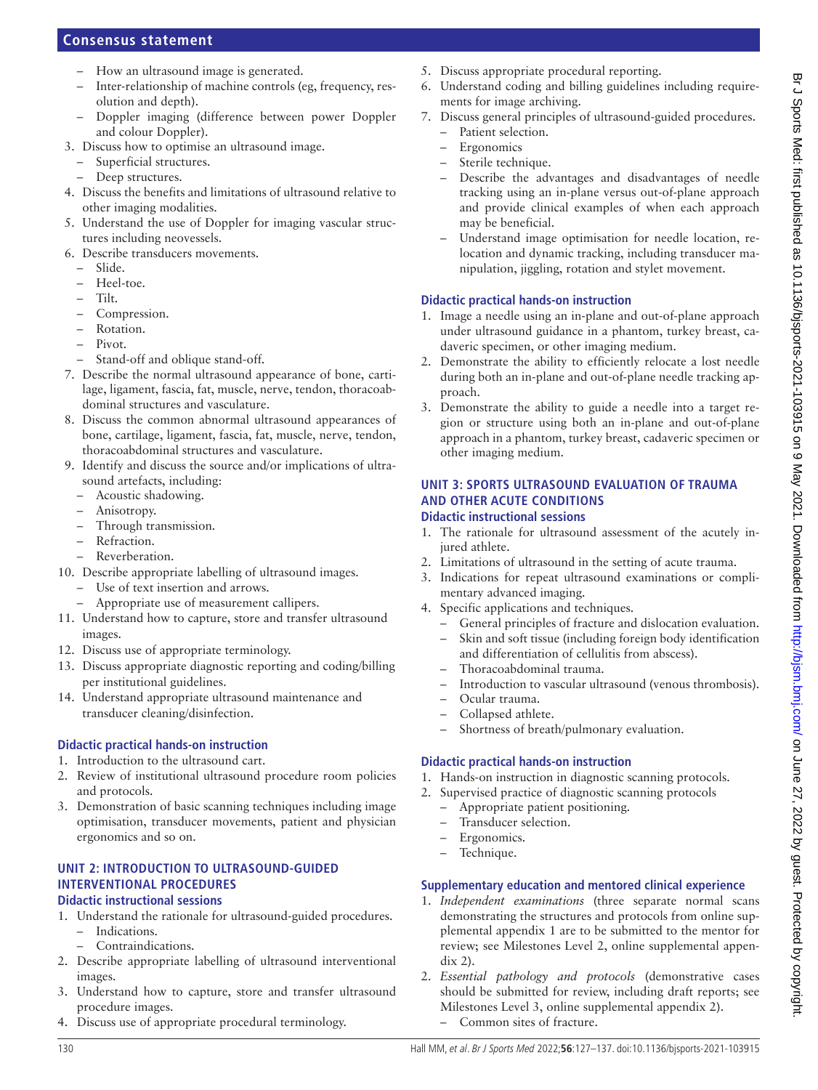- How an ultrasound image is generated.
- Inter-relationship of machine controls (eg, frequency, resolution and depth).
- Doppler imaging (difference between power Doppler and colour Doppler).
- 3. Discuss how to optimise an ultrasound image.
	- Superficial structures.
	- Deep structures.
- 4. Discuss the benefits and limitations of ultrasound relative to other imaging modalities.
- 5. Understand the use of Doppler for imaging vascular structures including neovessels.
- 6. Describe transducers movements.
- Slide.
	- Heel-toe.
	- Tilt.
	- Compression.
	- Rotation.
	- Pivot.
	- Stand-off and oblique stand-off.
- 7. Describe the normal ultrasound appearance of bone, cartilage, ligament, fascia, fat, muscle, nerve, tendon, thoracoabdominal structures and vasculature.
- 8. Discuss the common abnormal ultrasound appearances of bone, cartilage, ligament, fascia, fat, muscle, nerve, tendon, thoracoabdominal structures and vasculature.
- 9. Identify and discuss the source and/or implications of ultrasound artefacts, including:
	- Acoustic shadowing.
	- Anisotropy.
	- Through transmission.
	- Refraction.
	- Reverberation.
- 10. Describe appropriate labelling of ultrasound images.
	- Use of text insertion and arrows.
	- Appropriate use of measurement callipers.
- 11. Understand how to capture, store and transfer ultrasound images.
- 12. Discuss use of appropriate terminology.
- 13. Discuss appropriate diagnostic reporting and coding/billing per institutional guidelines.
- 14. Understand appropriate ultrasound maintenance and transducer cleaning/disinfection.

# **Didactic practical hands-on instruction**

- 1. Introduction to the ultrasound cart.
- 2. Review of institutional ultrasound procedure room policies and protocols.
- 3. Demonstration of basic scanning techniques including image optimisation, transducer movements, patient and physician ergonomics and so on.

#### **UNIT 2: INTRODUCTION TO ULTRASOUND-GUIDED INTERVENTIONAL PROCEDURES Didactic instructional sessions**

- 1. Understand the rationale for ultrasound-guided procedures.
	- Indications.
	- Contraindications.
- 2. Describe appropriate labelling of ultrasound interventional images.
- 3. Understand how to capture, store and transfer ultrasound procedure images.
- 4. Discuss use of appropriate procedural terminology.
- 5. Discuss appropriate procedural reporting.
- 6. Understand coding and billing guidelines including requirements for image archiving.
- 7. Discuss general principles of ultrasound-guided procedures.
	- Patient selection.
	- **Ergonomics**
	- Sterile technique.
	- Describe the advantages and disadvantages of needle tracking using an in-plane versus out-of-plane approach and provide clinical examples of when each approach may be beneficial.
	- Understand image optimisation for needle location, relocation and dynamic tracking, including transducer manipulation, jiggling, rotation and stylet movement.

# **Didactic practical hands-on instruction**

- 1. Image a needle using an in-plane and out-of-plane approach under ultrasound guidance in a phantom, turkey breast, cadaveric specimen, or other imaging medium.
- 2. Demonstrate the ability to efficiently relocate a lost needle during both an in-plane and out-of-plane needle tracking approach.
- 3. Demonstrate the ability to guide a needle into a target region or structure using both an in-plane and out-of-plane approach in a phantom, turkey breast, cadaveric specimen or other imaging medium.

#### **UNIT 3: SPORTS ULTRASOUND EVALUATION OF TRAUMA AND OTHER ACUTE CONDITIONS Didactic instructional sessions**

- 1. The rationale for ultrasound assessment of the acutely injured athlete.
- 2. Limitations of ultrasound in the setting of acute trauma.
- 3. Indications for repeat ultrasound examinations or complimentary advanced imaging.
- 4. Specific applications and techniques.
	- General principles of fracture and dislocation evaluation. – Skin and soft tissue (including foreign body identification and differentiation of cellulitis from abscess).
	- Thoracoabdominal trauma.
	- Introduction to vascular ultrasound (venous thrombosis).
	- Ocular trauma.
	- Collapsed athlete.
	- Shortness of breath/pulmonary evaluation.

# **Didactic practical hands-on instruction**

- 1. Hands-on instruction in diagnostic scanning protocols.
- 2. Supervised practice of diagnostic scanning protocols
	- Appropriate patient positioning.
	- Transducer selection.
	- Ergonomics.
	-

# **Supplementary education and mentored clinical experience**

- 1. *Independent examinations* (three separate normal scans demonstrating the structures and protocols from [online sup](https://dx.doi.org/10.1136/bjsports-2021-103915)[plemental appendix 1](https://dx.doi.org/10.1136/bjsports-2021-103915) are to be submitted to the mentor for review; see Milestones Level 2, [online supplemental appen](https://dx.doi.org/10.1136/bjsports-2021-103915)[dix 2\)](https://dx.doi.org/10.1136/bjsports-2021-103915).
- 2. *Essential pathology and protocols* (demonstrative cases should be submitted for review, including draft reports; see Milestones Level 3, [online supplemental appendix 2\)](https://dx.doi.org/10.1136/bjsports-2021-103915). – Common sites of fracture.

# – Technique.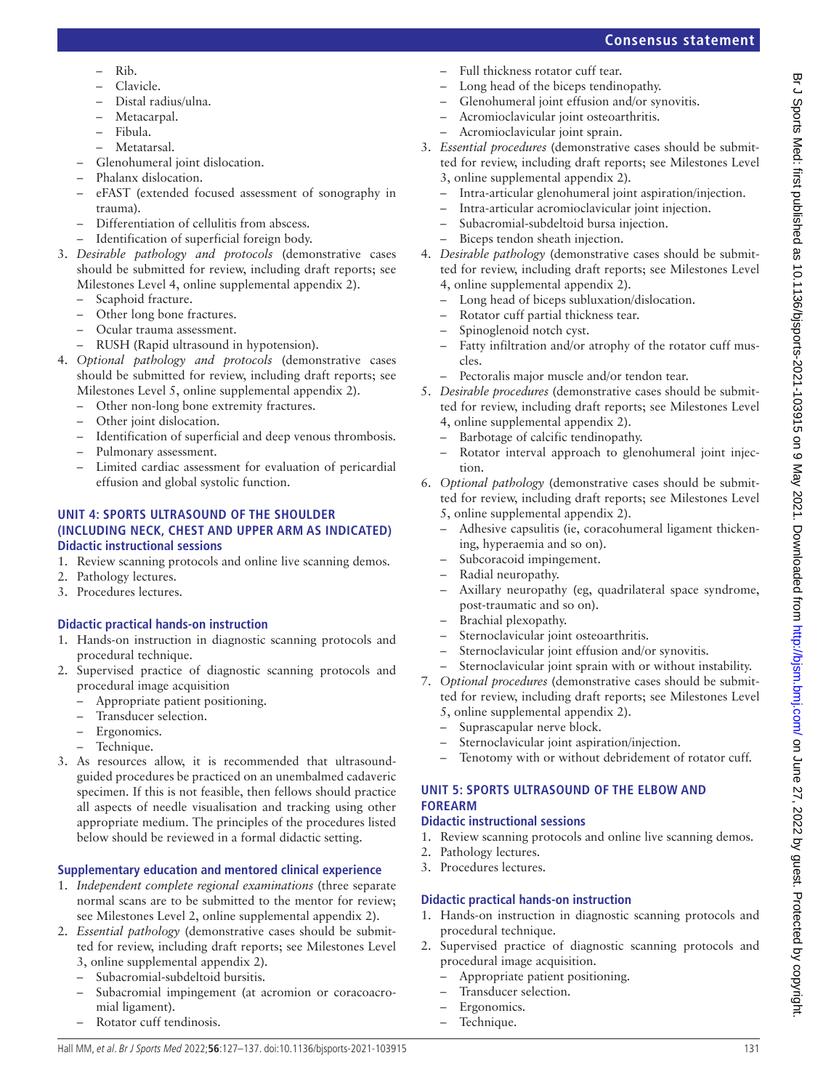# – Full thickness rotator cuff tear.

- Long head of the biceps tendinopathy.
- Glenohumeral joint effusion and/or synovitis.
- Acromioclavicular joint osteoarthritis.
- Acromioclavicular joint sprain.
- 3. *Essential procedures* (demonstrative cases should be submitted for review, including draft reports; see Milestones Level 3, [online supplemental appendix 2](https://dx.doi.org/10.1136/bjsports-2021-103915)).
	- Intra-articular glenohumeral joint aspiration/injection.
	- Intra-articular acromioclavicular joint injection.
	- Subacromial-subdeltoid bursa injection.
	- Biceps tendon sheath injection.
- 4. *Desirable pathology* (demonstrative cases should be submitted for review, including draft reports; see Milestones Level 4, [online supplemental appendix 2](https://dx.doi.org/10.1136/bjsports-2021-103915)).
	- Long head of biceps subluxation/dislocation.
	- Rotator cuff partial thickness tear.
	- Spinoglenoid notch cyst.
	- Fatty infiltration and/or atrophy of the rotator cuff muscles.
	- Pectoralis major muscle and/or tendon tear.
- 5. *Desirable procedures* (demonstrative cases should be submitted for review, including draft reports; see Milestones Level 4, [online supplemental appendix 2](https://dx.doi.org/10.1136/bjsports-2021-103915)).
	- Barbotage of calcific tendinopathy.
	- Rotator interval approach to glenohumeral joint injection.
- 6. *Optional pathology* (demonstrative cases should be submitted for review, including draft reports; see Milestones Level 5, [online supplemental appendix 2](https://dx.doi.org/10.1136/bjsports-2021-103915)).
	- Adhesive capsulitis (ie, coracohumeral ligament thickening, hyperaemia and so on).
	- Subcoracoid impingement.
	- Radial neuropathy.
	- Axillary neuropathy (eg, quadrilateral space syndrome, post-traumatic and so on).
	- Brachial plexopathy.
	- Sternoclavicular joint osteoarthritis.
	- Sternoclavicular joint effusion and/or synovitis.
	- Sternoclavicular joint sprain with or without instability.
- 7. *Optional procedures* (demonstrative cases should be submitted for review, including draft reports; see Milestones Level
	- 5, [online supplemental appendix 2](https://dx.doi.org/10.1136/bjsports-2021-103915)).
	- Suprascapular nerve block.
	- Sternoclavicular joint aspiration/injection.
	- Tenotomy with or without debridement of rotator cuff.

# **UNIT 5: SPORTS ULTRASOUND OF THE ELBOW AND FOREARM**

# **Didactic instructional sessions**

- 1. Review scanning protocols and online live scanning demos.
- 2. Pathology lectures.
- 3. Procedures lectures.

# **Didactic practical hands-on instruction**

- 1. Hands-on instruction in diagnostic scanning protocols and procedural technique.
- 2. Supervised practice of diagnostic scanning protocols and procedural image acquisition.
	- Appropriate patient positioning.
	- Transducer selection.
	- Ergonomics.
	- Technique.
- Clavicle.
- Distal radius/ulna.
- Metacarpal.
- Fibula.
- Metatarsal.
- Glenohumeral joint dislocation.
- Phalanx dislocation.
- eFAST (extended focused assessment of sonography in trauma).
- Differentiation of cellulitis from abscess.
- Identification of superficial foreign body.
- 3. *Desirable pathology and protocols* (demonstrative cases should be submitted for review, including draft reports; see Milestones Level 4, [online supplemental appendix 2](https://dx.doi.org/10.1136/bjsports-2021-103915)).
	- Scaphoid fracture.
	- Other long bone fractures.
	- Ocular trauma assessment.
	- RUSH (Rapid ultrasound in hypotension).
- 4. *Optional pathology and protocols* (demonstrative cases should be submitted for review, including draft reports; see Milestones Level 5, [online supplemental appendix 2](https://dx.doi.org/10.1136/bjsports-2021-103915)).
	- Other non-long bone extremity fractures.
	- Other joint dislocation.
	- Identification of superficial and deep venous thrombosis.
	- Pulmonary assessment.
	- Limited cardiac assessment for evaluation of pericardial effusion and global systolic function.

# **UNIT 4: SPORTS ULTRASOUND OF THE SHOULDER (INCLUDING NECK, CHEST AND UPPER ARM AS INDICATED) Didactic instructional sessions**

- 1. Review scanning protocols and online live scanning demos.
- 2. Pathology lectures.
- 3. Procedures lectures.

# **Didactic practical hands-on instruction**

- 1. Hands-on instruction in diagnostic scanning protocols and procedural technique.
- 2. Supervised practice of diagnostic scanning protocols and procedural image acquisition
	- Appropriate patient positioning.
	- Transducer selection.
	- Ergonomics.
	- Technique.
- 3. As resources allow, it is recommended that ultrasoundguided procedures be practiced on an unembalmed cadaveric specimen. If this is not feasible, then fellows should practice all aspects of needle visualisation and tracking using other appropriate medium. The principles of the procedures listed below should be reviewed in a formal didactic setting.

# **Supplementary education and mentored clinical experience**

- 1. *Independent complete regional examinations* (three separate normal scans are to be submitted to the mentor for review; see Milestones Level 2, [online supplemental appendix 2](https://dx.doi.org/10.1136/bjsports-2021-103915)).
- 2. *Essential pathology* (demonstrative cases should be submitted for review, including draft reports; see Milestones Level 3, [online supplemental appendix 2\)](https://dx.doi.org/10.1136/bjsports-2021-103915).
	- Subacromial-subdeltoid bursitis.
	- Subacromial impingement (at acromion or coracoacromial ligament).
	- Rotator cuff tendinosis.

# **Consensus statement**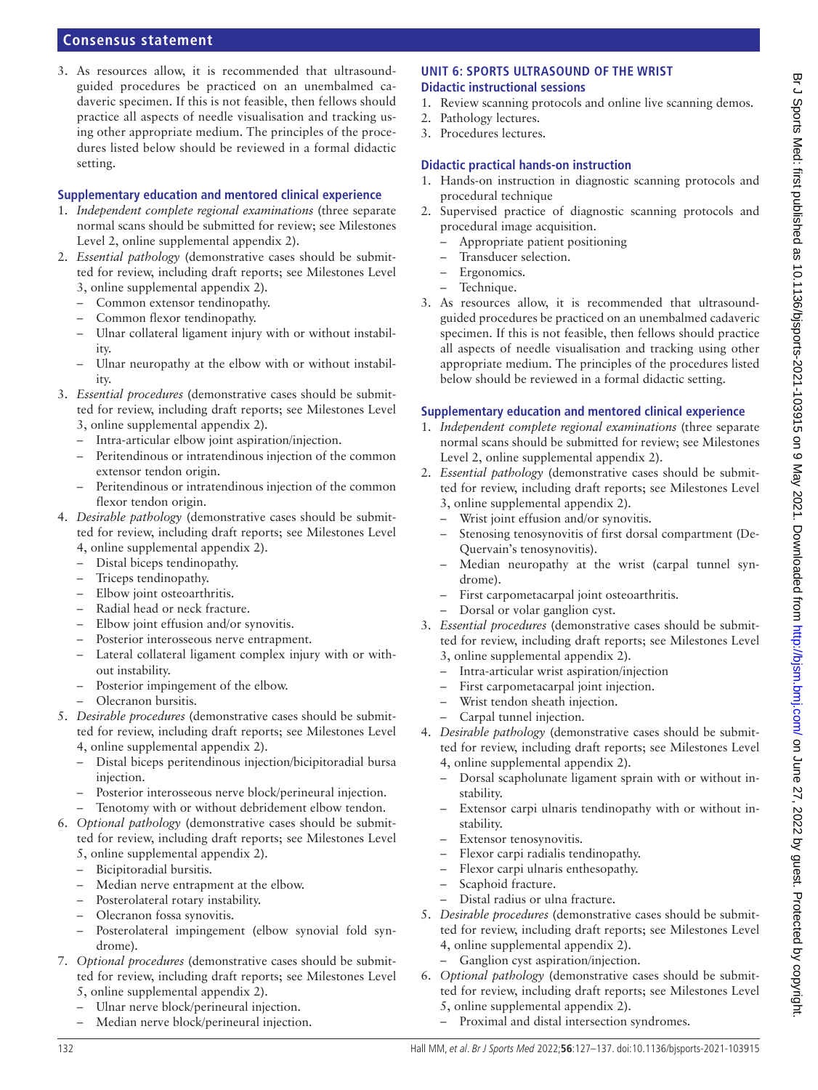3. As resources allow, it is recommended that ultrasoundguided procedures be practiced on an unembalmed cadaveric specimen. If this is not feasible, then fellows should practice all aspects of needle visualisation and tracking using other appropriate medium. The principles of the procedures listed below should be reviewed in a formal didactic setting.

#### **Supplementary education and mentored clinical experience**

- 1. *Independent complete regional examinations* (three separate normal scans should be submitted for review; see Milestones Level 2, [online supplemental appendix 2\)](https://dx.doi.org/10.1136/bjsports-2021-103915).
- 2. *Essential pathology* (demonstrative cases should be submitted for review, including draft reports; see Milestones Level 3, [online supplemental appendix 2\)](https://dx.doi.org/10.1136/bjsports-2021-103915).
	- Common extensor tendinopathy.
	- Common flexor tendinopathy.
	- Ulnar collateral ligament injury with or without instability.
	- Ulnar neuropathy at the elbow with or without instability.
- 3. *Essential procedures* (demonstrative cases should be submitted for review, including draft reports; see Milestones Level 3, [online supplemental appendix 2\)](https://dx.doi.org/10.1136/bjsports-2021-103915).
	- Intra-articular elbow joint aspiration/injection.
	- Peritendinous or intratendinous injection of the common extensor tendon origin.
	- Peritendinous or intratendinous injection of the common flexor tendon origin.
- 4. *Desirable pathology* (demonstrative cases should be submitted for review, including draft reports; see Milestones Level 4, [online supplemental appendix 2\)](https://dx.doi.org/10.1136/bjsports-2021-103915).
	- Distal biceps tendinopathy.
	- Triceps tendinopathy.
	- Elbow joint osteoarthritis.
	- Radial head or neck fracture.
	- Elbow joint effusion and/or synovitis.
	- Posterior interosseous nerve entrapment.
	- Lateral collateral ligament complex injury with or without instability.
	- Posterior impingement of the elbow.
	- Olecranon bursitis.
- 5. *Desirable procedures* (demonstrative cases should be submitted for review, including draft reports; see Milestones Level 4, [online supplemental appendix 2\)](https://dx.doi.org/10.1136/bjsports-2021-103915).
	- Distal biceps peritendinous injection/bicipitoradial bursa injection.
	- Posterior interosseous nerve block/perineural injection.
	- Tenotomy with or without debridement elbow tendon.
- 6. *Optional pathology* (demonstrative cases should be submitted for review, including draft reports; see Milestones Level 5, [online supplemental appendix 2\)](https://dx.doi.org/10.1136/bjsports-2021-103915).
	- Bicipitoradial bursitis.
	- Median nerve entrapment at the elbow.
	- Posterolateral rotary instability.
	- Olecranon fossa synovitis.
	- Posterolateral impingement (elbow synovial fold syndrome).
- 7. *Optional procedures* (demonstrative cases should be submitted for review, including draft reports; see Milestones Level 5, [online supplemental appendix 2\)](https://dx.doi.org/10.1136/bjsports-2021-103915).
	- Ulnar nerve block/perineural injection.
	- Median nerve block/perineural injection.

#### **UNIT 6: SPORTS ULTRASOUND OF THE WRIST Didactic instructional sessions**

- 1. Review scanning protocols and online live scanning demos.
- 2. Pathology lectures.
- 3. Procedures lectures.

## **Didactic practical hands-on instruction**

- 1. Hands-on instruction in diagnostic scanning protocols and procedural technique
- 2. Supervised practice of diagnostic scanning protocols and procedural image acquisition.
	- Appropriate patient positioning
	- Transducer selection.
	- Ergonomics.
	- Technique.
- 3. As resources allow, it is recommended that ultrasoundguided procedures be practiced on an unembalmed cadaveric specimen. If this is not feasible, then fellows should practice all aspects of needle visualisation and tracking using other appropriate medium. The principles of the procedures listed below should be reviewed in a formal didactic setting.

- 1. *Independent complete regional examinations* (three separate normal scans should be submitted for review; see Milestones Level 2, [online supplemental appendix 2](https://dx.doi.org/10.1136/bjsports-2021-103915)).
- 2. *Essential pathology* (demonstrative cases should be submitted for review, including draft reports; see Milestones Level 3, [online supplemental appendix 2](https://dx.doi.org/10.1136/bjsports-2021-103915)).
	- Wrist joint effusion and/or synovitis.
	- Stenosing tenosynovitis of first dorsal compartment (De-Quervain's tenosynovitis).
	- Median neuropathy at the wrist (carpal tunnel syndrome).
	- First carpometacarpal joint osteoarthritis.
	- Dorsal or volar ganglion cyst.
- 3. *Essential procedures* (demonstrative cases should be submitted for review, including draft reports; see Milestones Level 3, [online supplemental appendix 2](https://dx.doi.org/10.1136/bjsports-2021-103915)).
	- Intra-articular wrist aspiration/injection
	- First carpometacarpal joint injection.
	- Wrist tendon sheath injection.
	- Carpal tunnel injection.
- 4. *Desirable pathology* (demonstrative cases should be submitted for review, including draft reports; see Milestones Level 4, [online supplemental appendix 2](https://dx.doi.org/10.1136/bjsports-2021-103915)).
	- Dorsal scapholunate ligament sprain with or without instability.
	- Extensor carpi ulnaris tendinopathy with or without instability.
	- Extensor tenosynovitis.
	- Flexor carpi radialis tendinopathy.
	- Flexor carpi ulnaris enthesopathy.
	- Scaphoid fracture.
	- Distal radius or ulna fracture.
- 5. *Desirable procedures* (demonstrative cases should be submitted for review, including draft reports; see Milestones Level 4, [online supplemental appendix 2](https://dx.doi.org/10.1136/bjsports-2021-103915)).
	- Ganglion cyst aspiration/injection.
- 6. *Optional pathology* (demonstrative cases should be submitted for review, including draft reports; see Milestones Level 5, [online supplemental appendix 2](https://dx.doi.org/10.1136/bjsports-2021-103915)).
	- Proximal and distal intersection syndromes.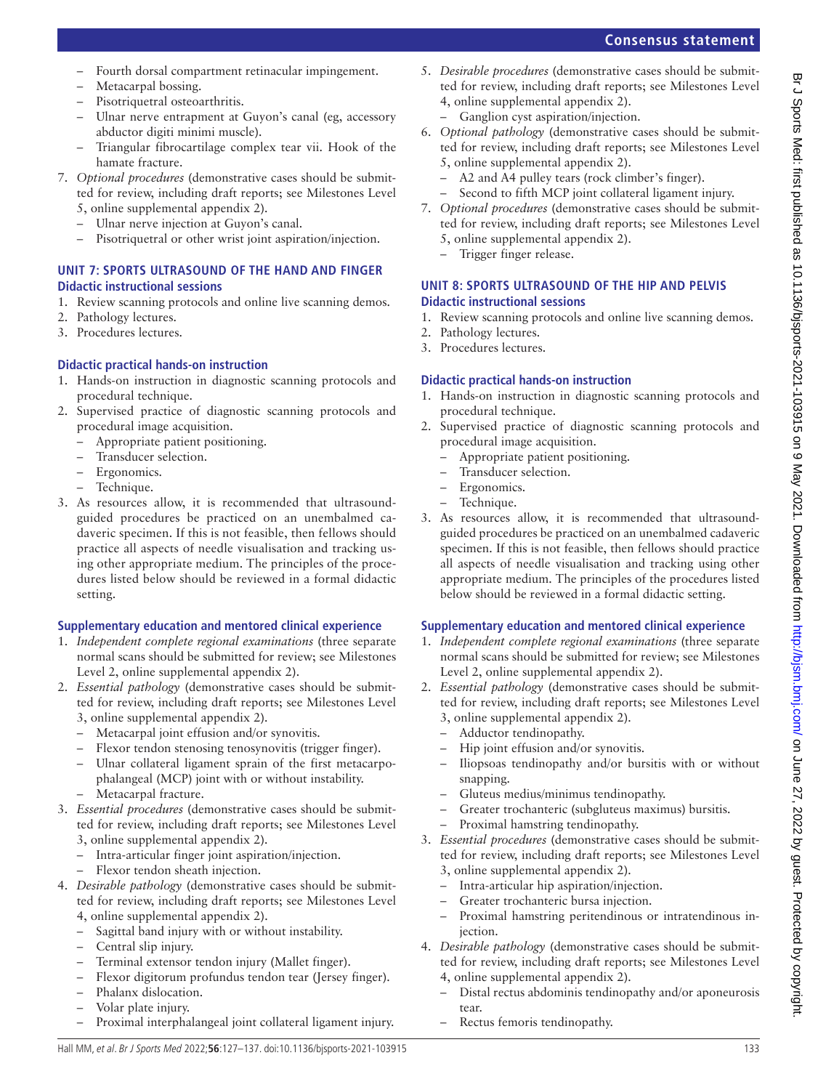- Fourth dorsal compartment retinacular impingement.
- Metacarpal bossing.
- Pisotriquetral osteoarthritis.
- Ulnar nerve entrapment at Guyon's canal (eg, accessory abductor digiti minimi muscle).
- Triangular fibrocartilage complex tear vii. Hook of the hamate fracture.
- 7. *Optional procedures* (demonstrative cases should be submitted for review, including draft reports; see Milestones Level 5, [online supplemental appendix 2\)](https://dx.doi.org/10.1136/bjsports-2021-103915).
	- Ulnar nerve injection at Guyon's canal.
	- Pisotriquetral or other wrist joint aspiration/injection.

# **UNIT 7: SPORTS ULTRASOUND OF THE HAND AND FINGER Didactic instructional sessions**

- 1. Review scanning protocols and online live scanning demos.
- 2. Pathology lectures.
- 3. Procedures lectures.

# **Didactic practical hands-on instruction**

- 1. Hands-on instruction in diagnostic scanning protocols and procedural technique.
- 2. Supervised practice of diagnostic scanning protocols and procedural image acquisition.
	- Appropriate patient positioning.
	- Transducer selection.
	- Ergonomics.
	- Technique.
- 3. As resources allow, it is recommended that ultrasoundguided procedures be practiced on an unembalmed cadaveric specimen. If this is not feasible, then fellows should practice all aspects of needle visualisation and tracking using other appropriate medium. The principles of the procedures listed below should be reviewed in a formal didactic setting.

# **Supplementary education and mentored clinical experience**

- 1. *Independent complete regional examinations* (three separate normal scans should be submitted for review; see Milestones Level 2, [online supplemental appendix 2\)](https://dx.doi.org/10.1136/bjsports-2021-103915).
- 2. *Essential pathology* (demonstrative cases should be submitted for review, including draft reports; see Milestones Level 3, [online supplemental appendix 2\)](https://dx.doi.org/10.1136/bjsports-2021-103915).
	- Metacarpal joint effusion and/or synovitis.
	- Flexor tendon stenosing tenosynovitis (trigger finger).
	- Ulnar collateral ligament sprain of the first metacarpophalangeal (MCP) joint with or without instability.
	- Metacarpal fracture.
- 3. *Essential procedures* (demonstrative cases should be submitted for review, including draft reports; see Milestones Level 3, [online supplemental appendix 2\)](https://dx.doi.org/10.1136/bjsports-2021-103915).
	- Intra-articular finger joint aspiration/injection.
	- Flexor tendon sheath injection.
- 4. *Desirable pathology* (demonstrative cases should be submitted for review, including draft reports; see Milestones Level 4, [online supplemental appendix 2\)](https://dx.doi.org/10.1136/bjsports-2021-103915).
	- Sagittal band injury with or without instability.
	- Central slip injury.
	- Terminal extensor tendon injury (Mallet finger).
	- Flexor digitorum profundus tendon tear (Jersey finger).
	- Phalanx dislocation.
	- Volar plate injury.
	- Proximal interphalangeal joint collateral ligament injury.
- 5. *Desirable procedures* (demonstrative cases should be submitted for review, including draft reports; see Milestones Level 4, [online supplemental appendix 2](https://dx.doi.org/10.1136/bjsports-2021-103915)).
	- Ganglion cyst aspiration/injection.
- 6. *Optional pathology* (demonstrative cases should be submitted for review, including draft reports; see Milestones Level 5, [online supplemental appendix 2](https://dx.doi.org/10.1136/bjsports-2021-103915)).
	- A2 and A4 pulley tears (rock climber's finger).
		- Second to fifth MCP joint collateral ligament injury.
- 7. *Optional procedures* (demonstrative cases should be submitted for review, including draft reports; see Milestones Level 5, [online supplemental appendix 2](https://dx.doi.org/10.1136/bjsports-2021-103915)).
	- Trigger finger release.

# **UNIT 8: SPORTS ULTRASOUND OF THE HIP AND PELVIS Didactic instructional sessions**

- 1. Review scanning protocols and online live scanning demos.
- 2. Pathology lectures.
- 3. Procedures lectures.

# **Didactic practical hands-on instruction**

- 1. Hands-on instruction in diagnostic scanning protocols and procedural technique.
- 2. Supervised practice of diagnostic scanning protocols and procedural image acquisition.
	- Appropriate patient positioning.
	- Transducer selection.
	- Ergonomics.
	- Technique.
- 3. As resources allow, it is recommended that ultrasoundguided procedures be practiced on an unembalmed cadaveric specimen. If this is not feasible, then fellows should practice all aspects of needle visualisation and tracking using other appropriate medium. The principles of the procedures listed below should be reviewed in a formal didactic setting.

- 1. *Independent complete regional examinations* (three separate normal scans should be submitted for review; see Milestones Level 2, [online supplemental appendix 2](https://dx.doi.org/10.1136/bjsports-2021-103915)).
- 2. *Essential pathology* (demonstrative cases should be submitted for review, including draft reports; see Milestones Level 3, [online supplemental appendix 2](https://dx.doi.org/10.1136/bjsports-2021-103915)).
	- Adductor tendinopathy.
	- Hip joint effusion and/or synovitis.
	- Iliopsoas tendinopathy and/or bursitis with or without snapping.
	- Gluteus medius/minimus tendinopathy.
	- Greater trochanteric (subgluteus maximus) bursitis.
	- Proximal hamstring tendinopathy.
- 3. *Essential procedures* (demonstrative cases should be submitted for review, including draft reports; see Milestones Level 3, [online supplemental appendix 2](https://dx.doi.org/10.1136/bjsports-2021-103915)).
	- Intra-articular hip aspiration/injection.
	- Greater trochanteric bursa injection.
	- Proximal hamstring peritendinous or intratendinous injection.
- 4. *Desirable pathology* (demonstrative cases should be submitted for review, including draft reports; see Milestones Level 4, [online supplemental appendix 2](https://dx.doi.org/10.1136/bjsports-2021-103915)).
	- Distal rectus abdominis tendinopathy and/or aponeurosis tear.
	- Rectus femoris tendinopathy.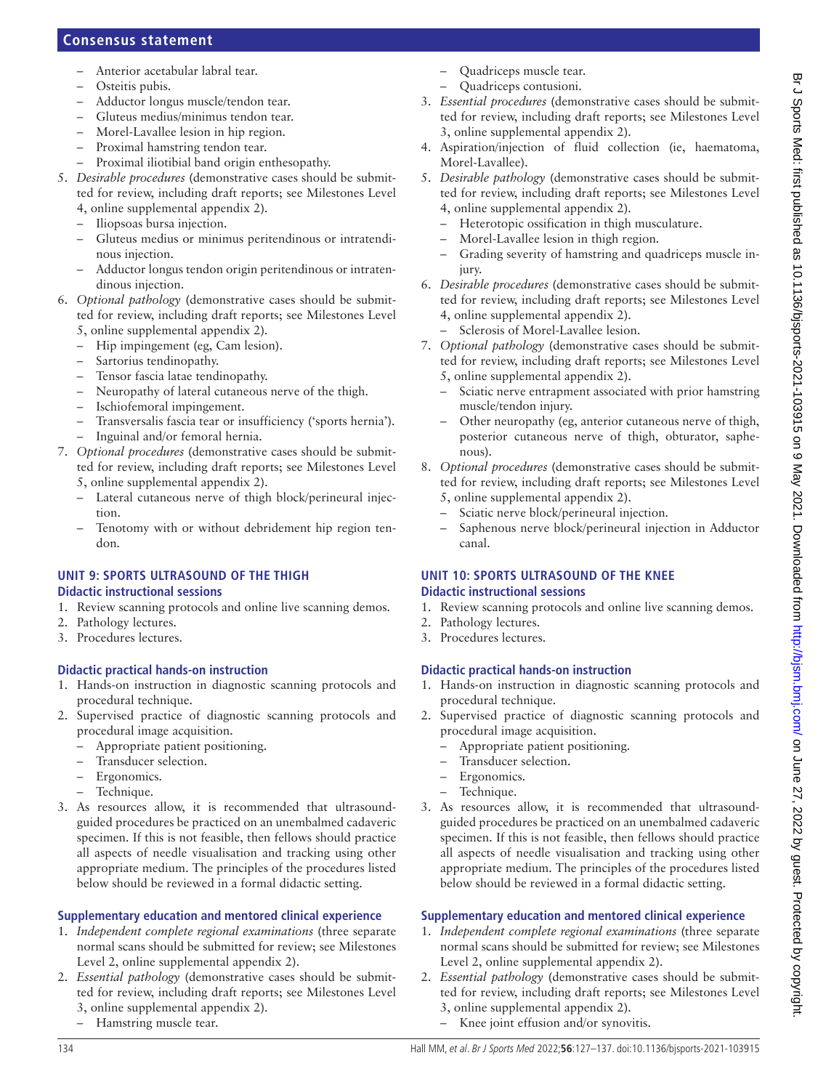- Anterior acetabular labral tear.
- Osteitis pubis.
- Adductor longus muscle/tendon tear.
- Gluteus medius/minimus tendon tear.
- Morel-Lavallee lesion in hip region.
- Proximal hamstring tendon tear.
- Proximal iliotibial band origin enthesopathy.
- 5. *Desirable procedures* (demonstrative cases should be submitted for review, including draft reports; see Milestones Level 4, [online supplemental appendix 2\)](https://dx.doi.org/10.1136/bjsports-2021-103915).
	- Iliopsoas bursa injection.
	- Gluteus medius or minimus peritendinous or intratendinous injection.
	- Adductor longus tendon origin peritendinous or intratendinous injection.
- 6. *Optional pathology* (demonstrative cases should be submitted for review, including draft reports; see Milestones Level 5, [online supplemental appendix 2\)](https://dx.doi.org/10.1136/bjsports-2021-103915).
	- Hip impingement (eg, Cam lesion).
	- Sartorius tendinopathy.
	- Tensor fascia latae tendinopathy.
	- Neuropathy of lateral cutaneous nerve of the thigh.
	- Ischiofemoral impingement.
	- Transversalis fascia tear or insufficiency ('sports hernia').
	- Inguinal and/or femoral hernia.
- 7. *Optional procedures* (demonstrative cases should be submitted for review, including draft reports; see Milestones Level 5, [online supplemental appendix 2\)](https://dx.doi.org/10.1136/bjsports-2021-103915).
	- Lateral cutaneous nerve of thigh block/perineural injection.
	- Tenotomy with or without debridement hip region tendon.

# **UNIT 9: SPORTS ULTRASOUND OF THE THIGH**

# **Didactic instructional sessions**

- 1. Review scanning protocols and online live scanning demos.
- 2. Pathology lectures.
- 3. Procedures lectures.

# **Didactic practical hands-on instruction**

- 1. Hands-on instruction in diagnostic scanning protocols and procedural technique.
- 2. Supervised practice of diagnostic scanning protocols and procedural image acquisition.
	- Appropriate patient positioning.
	- Transducer selection.
	- Ergonomics.
	- Technique.
- 3. As resources allow, it is recommended that ultrasoundguided procedures be practiced on an unembalmed cadaveric specimen. If this is not feasible, then fellows should practice all aspects of needle visualisation and tracking using other appropriate medium. The principles of the procedures listed below should be reviewed in a formal didactic setting.

# **Supplementary education and mentored clinical experience**

- 1. *Independent complete regional examinations* (three separate normal scans should be submitted for review; see Milestones Level 2, [online supplemental appendix 2\)](https://dx.doi.org/10.1136/bjsports-2021-103915).
- 2. *Essential pathology* (demonstrative cases should be submitted for review, including draft reports; see Milestones Level 3, [online supplemental appendix 2\)](https://dx.doi.org/10.1136/bjsports-2021-103915).
	- Hamstring muscle tear.
- Quadriceps muscle tear.
- Quadriceps contusioni.
- 3. *Essential procedures* (demonstrative cases should be submitted for review, including draft reports; see Milestones Level 3, [online supplemental appendix 2](https://dx.doi.org/10.1136/bjsports-2021-103915)).
- 4. Aspiration/injection of fluid collection (ie, haematoma, Morel-Lavallee).
- 5. *Desirable pathology* (demonstrative cases should be submitted for review, including draft reports; see Milestones Level 4, [online supplemental appendix 2](https://dx.doi.org/10.1136/bjsports-2021-103915)).
	- Heterotopic ossification in thigh musculature.
	- Morel-Lavallee lesion in thigh region.
	- Grading severity of hamstring and quadriceps muscle injury.
- 6. *Desirable procedures* (demonstrative cases should be submitted for review, including draft reports; see Milestones Level 4, [online supplemental appendix 2](https://dx.doi.org/10.1136/bjsports-2021-103915)).
	- Sclerosis of Morel-Lavallee lesion.
- 7. *Optional pathology* (demonstrative cases should be submitted for review, including draft reports; see Milestones Level 5, [online supplemental appendix 2](https://dx.doi.org/10.1136/bjsports-2021-103915)).
	- Sciatic nerve entrapment associated with prior hamstring muscle/tendon injury.
	- Other neuropathy (eg, anterior cutaneous nerve of thigh, posterior cutaneous nerve of thigh, obturator, saphenous).
- 8. *Optional procedures* (demonstrative cases should be submitted for review, including draft reports; see Milestones Level 5, [online supplemental appendix 2](https://dx.doi.org/10.1136/bjsports-2021-103915)).
	- Sciatic nerve block/perineural injection.
	- Saphenous nerve block/perineural injection in Adductor canal.

# **UNIT 10: SPORTS ULTRASOUND OF THE KNEE Didactic instructional sessions**

- 1. Review scanning protocols and online live scanning demos.
- 2. Pathology lectures.
- 3. Procedures lectures.

# **Didactic practical hands-on instruction**

- 1. Hands-on instruction in diagnostic scanning protocols and procedural technique.
- 2. Supervised practice of diagnostic scanning protocols and procedural image acquisition.
	- Appropriate patient positioning.
	- Transducer selection.
	- Ergonomics.
	- Technique.
- 3. As resources allow, it is recommended that ultrasoundguided procedures be practiced on an unembalmed cadaveric specimen. If this is not feasible, then fellows should practice all aspects of needle visualisation and tracking using other appropriate medium. The principles of the procedures listed below should be reviewed in a formal didactic setting.

- 1. *Independent complete regional examinations* (three separate normal scans should be submitted for review; see Milestones Level 2, [online supplemental appendix 2](https://dx.doi.org/10.1136/bjsports-2021-103915)).
- 2. *Essential pathology* (demonstrative cases should be submitted for review, including draft reports; see Milestones Level 3, [online supplemental appendix 2](https://dx.doi.org/10.1136/bjsports-2021-103915)).
	- Knee joint effusion and/or synovitis.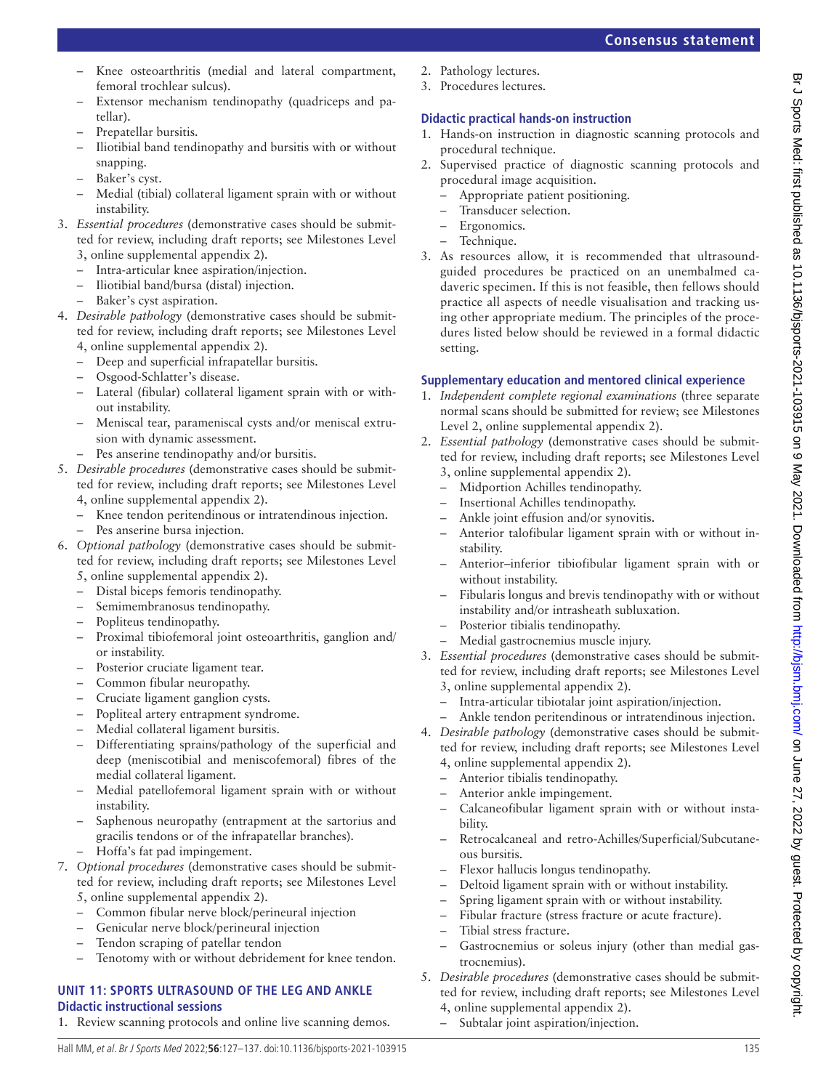## Knee osteoarthritis (medial and lateral compartment, femoral trochlear sulcus).

- Extensor mechanism tendinopathy (quadriceps and patellar).
- Prepatellar bursitis.
- Iliotibial band tendinopathy and bursitis with or without snapping.
- Baker's cyst.
- Medial (tibial) collateral ligament sprain with or without instability.
- 3. *Essential procedures* (demonstrative cases should be submitted for review, including draft reports; see Milestones Level 3, [online supplemental appendix 2\)](https://dx.doi.org/10.1136/bjsports-2021-103915).
	- Intra-articular knee aspiration/injection.
	- Iliotibial band/bursa (distal) injection.
	- Baker's cyst aspiration.
- 4. *Desirable pathology* (demonstrative cases should be submitted for review, including draft reports; see Milestones Level 4, [online supplemental appendix 2\)](https://dx.doi.org/10.1136/bjsports-2021-103915).
	- Deep and superficial infrapatellar bursitis.
	- Osgood-Schlatter's disease.
	- Lateral (fibular) collateral ligament sprain with or without instability.
	- Meniscal tear, parameniscal cysts and/or meniscal extrusion with dynamic assessment.
		- Pes anserine tendinopathy and/or bursitis.
- 5. *Desirable procedures* (demonstrative cases should be submitted for review, including draft reports; see Milestones Level 4, [online supplemental appendix 2\)](https://dx.doi.org/10.1136/bjsports-2021-103915).
	- Knee tendon peritendinous or intratendinous injection.
	- Pes anserine bursa injection.
- 6. *Optional pathology* (demonstrative cases should be submitted for review, including draft reports; see Milestones Level 5, [online supplemental appendix 2\)](https://dx.doi.org/10.1136/bjsports-2021-103915).
	-
	- Distal biceps femoris tendinopathy. – Semimembranosus tendinopathy.
	-
	- Popliteus tendinopathy.
	- Proximal tibiofemoral joint osteoarthritis, ganglion and/ or instability.
	- Posterior cruciate ligament tear.
	- Common fibular neuropathy.
	- Cruciate ligament ganglion cysts.
	- Popliteal artery entrapment syndrome.
	- Medial collateral ligament bursitis.
	- Differentiating sprains/pathology of the superficial and deep (meniscotibial and meniscofemoral) fibres of the medial collateral ligament.
	- Medial patellofemoral ligament sprain with or without instability.
	- Saphenous neuropathy (entrapment at the sartorius and gracilis tendons or of the infrapatellar branches).
	- Hoffa's fat pad impingement.
- 7. *Optional procedures* (demonstrative cases should be submitted for review, including draft reports; see Milestones Level 5, [online supplemental appendix 2\)](https://dx.doi.org/10.1136/bjsports-2021-103915).
	- Common fibular nerve block/perineural injection
	- Genicular nerve block/perineural injection
	- Tendon scraping of patellar tendon
	- Tenotomy with or without debridement for knee tendon.

# **UNIT 11: SPORTS ULTRASOUND OF THE LEG AND ANKLE Didactic instructional sessions**

1. Review scanning protocols and online live scanning demos.

- 2. Pathology lectures.
- 3. Procedures lectures.

# **Didactic practical hands-on instruction**

- 1. Hands-on instruction in diagnostic scanning protocols and procedural technique.
- 2. Supervised practice of diagnostic scanning protocols and procedural image acquisition.
	- Appropriate patient positioning.
	- Transducer selection.
	- Ergonomics.
	- Technique.
- 3. As resources allow, it is recommended that ultrasoundguided procedures be practiced on an unembalmed cadaveric specimen. If this is not feasible, then fellows should practice all aspects of needle visualisation and tracking using other appropriate medium. The principles of the procedures listed below should be reviewed in a formal didactic setting.

- 1. *Independent complete regional examinations* (three separate normal scans should be submitted for review; see Milestones Level 2, [online supplemental appendix 2](https://dx.doi.org/10.1136/bjsports-2021-103915)).
- 2. *Essential pathology* (demonstrative cases should be submitted for review, including draft reports; see Milestones Level 3, [online supplemental appendix 2](https://dx.doi.org/10.1136/bjsports-2021-103915)).
	- Midportion Achilles tendinopathy.
	- Insertional Achilles tendinopathy.
	- Ankle joint effusion and/or synovitis.
	- Anterior talofibular ligament sprain with or without instability.
	- Anterior–inferior tibiofibular ligament sprain with or without instability.
	- Fibularis longus and brevis tendinopathy with or without instability and/or intrasheath subluxation.
	- Posterior tibialis tendinopathy.
	- Medial gastrocnemius muscle injury.
- 3. *Essential procedures* (demonstrative cases should be submitted for review, including draft reports; see Milestones Level 3, [online supplemental appendix 2](https://dx.doi.org/10.1136/bjsports-2021-103915)).
	- Intra-articular tibiotalar joint aspiration/injection.
	- Ankle tendon peritendinous or intratendinous injection.
- 4. *Desirable pathology* (demonstrative cases should be submitted for review, including draft reports; see Milestones Level 4, [online supplemental appendix 2](https://dx.doi.org/10.1136/bjsports-2021-103915)).
	- Anterior tibialis tendinopathy.
	- Anterior ankle impingement.
	- Calcaneofibular ligament sprain with or without instability.
	- Retrocalcaneal and retro-Achilles/Superficial/Subcutaneous bursitis.
	- Flexor hallucis longus tendinopathy.
	- Deltoid ligament sprain with or without instability.
	- Spring ligament sprain with or without instability.
		- Fibular fracture (stress fracture or acute fracture).
	- Tibial stress fracture.
	- Gastrocnemius or soleus injury (other than medial gastrocnemius).
- 5. *Desirable procedures* (demonstrative cases should be submitted for review, including draft reports; see Milestones Level 4, [online supplemental appendix 2](https://dx.doi.org/10.1136/bjsports-2021-103915)).
	- Subtalar joint aspiration/injection.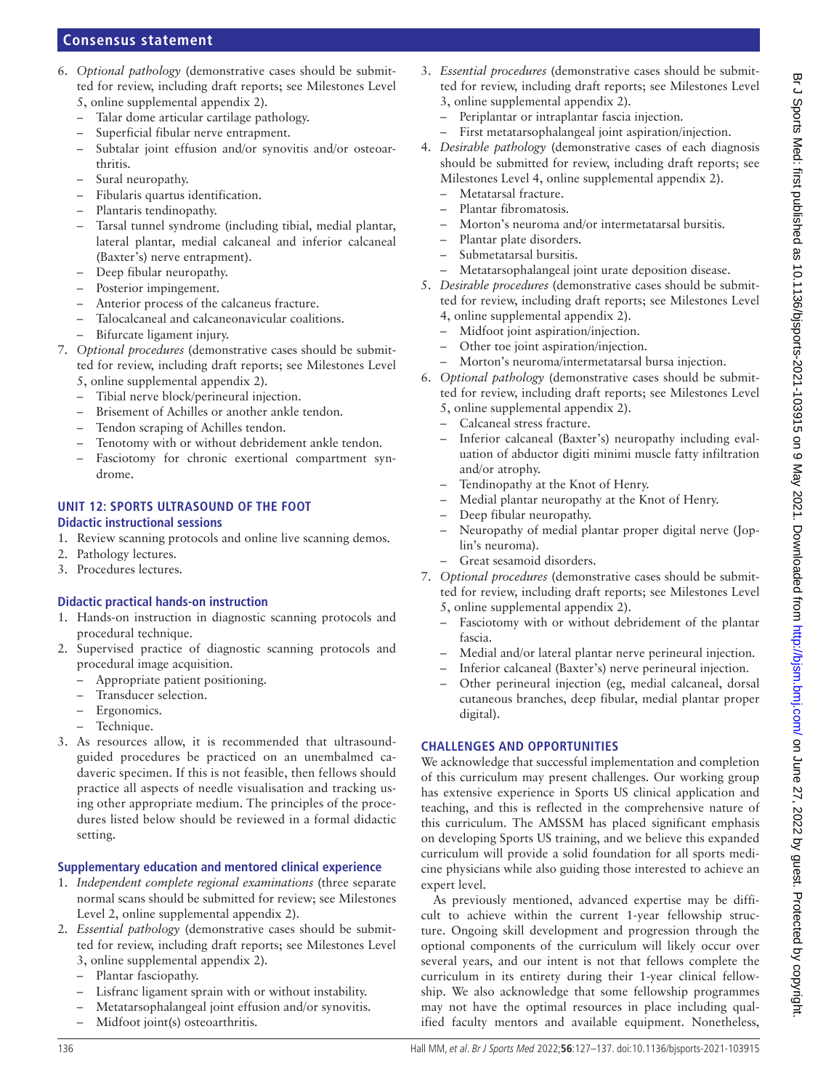- 6. *Optional pathology* (demonstrative cases should be submitted for review, including draft reports; see Milestones Level
	- 5, [online supplemental appendix 2\)](https://dx.doi.org/10.1136/bjsports-2021-103915).
	- Talar dome articular cartilage pathology.
	- Superficial fibular nerve entrapment.
	- Subtalar joint effusion and/or synovitis and/or osteoarthritis.
	- Sural neuropathy.
	- Fibularis quartus identification.
	- Plantaris tendinopathy.
	- Tarsal tunnel syndrome (including tibial, medial plantar, lateral plantar, medial calcaneal and inferior calcaneal (Baxter's) nerve entrapment).
	- Deep fibular neuropathy.
	- Posterior impingement.
	- Anterior process of the calcaneus fracture.
	- Talocalcaneal and calcaneonavicular coalitions.
	- Bifurcate ligament injury.
- 7. *Optional procedures* (demonstrative cases should be submitted for review, including draft reports; see Milestones Level 5, [online supplemental appendix 2\)](https://dx.doi.org/10.1136/bjsports-2021-103915).
	- Tibial nerve block/perineural injection.
	- Brisement of Achilles or another ankle tendon.
	- Tendon scraping of Achilles tendon.
	- Tenotomy with or without debridement ankle tendon.
	- Fasciotomy for chronic exertional compartment syndrome.

#### **UNIT 12: SPORTS ULTRASOUND OF THE FOOT Didactic instructional sessions**

- 1. Review scanning protocols and online live scanning demos.
- 2. Pathology lectures.
- 3. Procedures lectures.

# **Didactic practical hands-on instruction**

- 1. Hands-on instruction in diagnostic scanning protocols and procedural technique.
- 2. Supervised practice of diagnostic scanning protocols and procedural image acquisition.
	- Appropriate patient positioning.
	- Transducer selection.
	- Ergonomics.
	- Technique.
- 3. As resources allow, it is recommended that ultrasoundguided procedures be practiced on an unembalmed cadaveric specimen. If this is not feasible, then fellows should practice all aspects of needle visualisation and tracking using other appropriate medium. The principles of the procedures listed below should be reviewed in a formal didactic setting.

# **Supplementary education and mentored clinical experience**

- 1. *Independent complete regional examinations* (three separate normal scans should be submitted for review; see Milestones Level 2, [online supplemental appendix 2\)](https://dx.doi.org/10.1136/bjsports-2021-103915).
- 2. *Essential pathology* (demonstrative cases should be submitted for review, including draft reports; see Milestones Level 3, [online supplemental appendix 2\)](https://dx.doi.org/10.1136/bjsports-2021-103915).
	- Plantar fasciopathy.
	- Lisfranc ligament sprain with or without instability.
	- Metatarsophalangeal joint effusion and/or synovitis.
	- Midfoot joint(s) osteoarthritis.
- 3. *Essential procedures* (demonstrative cases should be submitted for review, including draft reports; see Milestones Level 3, [online supplemental appendix 2](https://dx.doi.org/10.1136/bjsports-2021-103915)).
	- Periplantar or intraplantar fascia injection.
	- First metatarsophalangeal joint aspiration/injection.
- 4. *Desirable pathology* (demonstrative cases of each diagnosis should be submitted for review, including draft reports; see Milestones Level 4, [online supplemental appendix 2\)](https://dx.doi.org/10.1136/bjsports-2021-103915).
	- Metatarsal fracture.
	- Plantar fibromatosis.
	- Morton's neuroma and/or intermetatarsal bursitis.
	- Plantar plate disorders.
	- Submetatarsal bursitis.
	- Metatarsophalangeal joint urate deposition disease.
- 5. *Desirable procedures* (demonstrative cases should be submitted for review, including draft reports; see Milestones Level 4, [online supplemental appendix 2](https://dx.doi.org/10.1136/bjsports-2021-103915)).
	- Midfoot joint aspiration/injection.
	- Other toe joint aspiration/injection.
	- Morton's neuroma/intermetatarsal bursa injection.
- 6. *Optional pathology* (demonstrative cases should be submitted for review, including draft reports; see Milestones Level 5, [online supplemental appendix 2](https://dx.doi.org/10.1136/bjsports-2021-103915)).
	- Calcaneal stress fracture.
	- Inferior calcaneal (Baxter's) neuropathy including evaluation of abductor digiti minimi muscle fatty infiltration and/or atrophy.
	- Tendinopathy at the Knot of Henry.
		- Medial plantar neuropathy at the Knot of Henry.
	- Deep fibular neuropathy.
	- Neuropathy of medial plantar proper digital nerve (Joplin's neuroma).
	- Great sesamoid disorders.
- 7. *Optional procedures* (demonstrative cases should be submitted for review, including draft reports; see Milestones Level 5, [online supplemental appendix 2](https://dx.doi.org/10.1136/bjsports-2021-103915)).
	- Fasciotomy with or without debridement of the plantar fascia.
	- Medial and/or lateral plantar nerve perineural injection.
	- Inferior calcaneal (Baxter's) nerve perineural injection.
	- Other perineural injection (eg, medial calcaneal, dorsal cutaneous branches, deep fibular, medial plantar proper digital).

# **CHALLENGES AND OPPORTUNITIES**

We acknowledge that successful implementation and completion of this curriculum may present challenges. Our working group has extensive experience in Sports US clinical application and teaching, and this is reflected in the comprehensive nature of this curriculum. The AMSSM has placed significant emphasis on developing Sports US training, and we believe this expanded curriculum will provide a solid foundation for all sports medicine physicians while also guiding those interested to achieve an expert level.

As previously mentioned, advanced expertise may be difficult to achieve within the current 1-year fellowship structure. Ongoing skill development and progression through the optional components of the curriculum will likely occur over several years, and our intent is not that fellows complete the curriculum in its entirety during their 1-year clinical fellowship. We also acknowledge that some fellowship programmes may not have the optimal resources in place including qualified faculty mentors and available equipment. Nonetheless,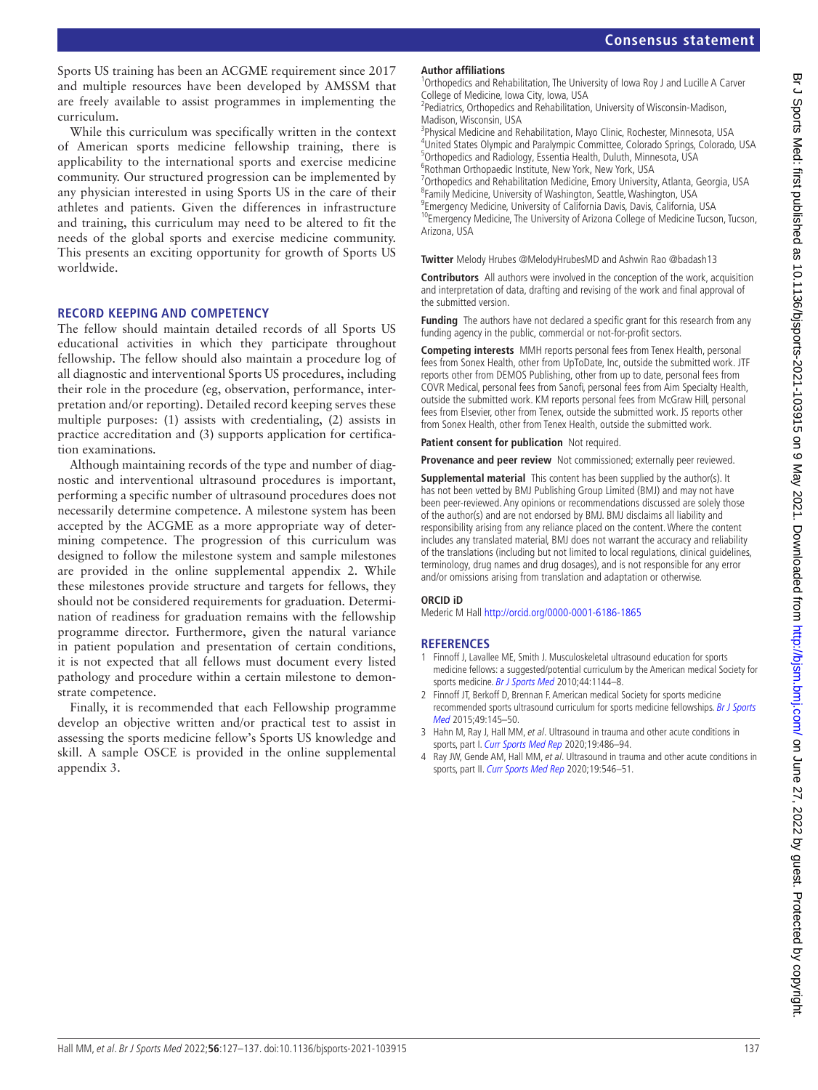Sports US training has been an ACGME requirement since 2017 and multiple resources have been developed by AMSSM that are freely available to assist programmes in implementing the curriculum.

While this curriculum was specifically written in the context of American sports medicine fellowship training, there is applicability to the international sports and exercise medicine community. Our structured progression can be implemented by any physician interested in using Sports US in the care of their athletes and patients. Given the differences in infrastructure and training, this curriculum may need to be altered to fit the needs of the global sports and exercise medicine community. This presents an exciting opportunity for growth of Sports US worldwide.

# **RECORD KEEPING AND COMPETENCY**

The fellow should maintain detailed records of all Sports US educational activities in which they participate throughout fellowship. The fellow should also maintain a procedure log of all diagnostic and interventional Sports US procedures, including their role in the procedure (eg, observation, performance, interpretation and/or reporting). Detailed record keeping serves these multiple purposes: (1) assists with credentialing, (2) assists in practice accreditation and (3) supports application for certification examinations.

Although maintaining records of the type and number of diagnostic and interventional ultrasound procedures is important, performing a specific number of ultrasound procedures does not necessarily determine competence. A milestone system has been accepted by the ACGME as a more appropriate way of determining competence. The progression of this curriculum was designed to follow the milestone system and sample milestones are provided in the [online supplemental appendix 2](https://dx.doi.org/10.1136/bjsports-2021-103915). While these milestones provide structure and targets for fellows, they should not be considered requirements for graduation. Determination of readiness for graduation remains with the fellowship programme director. Furthermore, given the natural variance in patient population and presentation of certain conditions, it is not expected that all fellows must document every listed pathology and procedure within a certain milestone to demonstrate competence.

Finally, it is recommended that each Fellowship programme develop an objective written and/or practical test to assist in assessing the sports medicine fellow's Sports US knowledge and skill. A sample OSCE is provided in the [online supplemental](https://dx.doi.org/10.1136/bjsports-2021-103915)  [appendix 3](https://dx.doi.org/10.1136/bjsports-2021-103915).

#### **Author affiliations**

<sup>1</sup>Orthopedics and Rehabilitation, The University of Iowa Roy J and Lucille A Carver College of Medicine, Iowa City, Iowa, USA

<sup>2</sup> Pediatrics, Orthopedics and Rehabilitation, University of Wisconsin-Madison, Madison, Wisconsin, USA

<sup>3</sup> Physical Medicine and Rehabilitation, Mayo Clinic, Rochester, Minnesota, USA 4 United States Olympic and Paralympic Committee, Colorado Springs, Colorado, USA <sup>5</sup>Orthopedics and Radiology, Essentia Health, Duluth, Minnesota, USA 6 Rothman Orthopaedic Institute, New York, New York, USA

<sup>7</sup> Orthopedics and Rehabilitation Medicine, Emory University, Atlanta, Georgia, USA <sup>8</sup> Family Medicine, University of Washington, Seattle, Washington, USA <sup>9</sup> Emergency Medicine, University of California Davis, Davis, California, USA

<sup>10</sup>Emergency Medicine, The University of Arizona College of Medicine Tucson, Tucson, Arizona, USA

**Twitter** Melody Hrubes [@MelodyHrubesMD](https://twitter.com/MelodyHrubesMD) and Ashwin Rao [@badash13](https://twitter.com/badash13)

**Contributors** All authors were involved in the conception of the work, acquisition and interpretation of data, drafting and revising of the work and final approval of the submitted version.

**Funding** The authors have not declared a specific grant for this research from any funding agency in the public, commercial or not-for-profit sectors.

**Competing interests** MMH reports personal fees from Tenex Health, personal fees from Sonex Health, other from UpToDate, Inc, outside the submitted work. JTF reports other from DEMOS Publishing, other from up to date, personal fees from COVR Medical, personal fees from Sanofi, personal fees from Aim Specialty Health, outside the submitted work. KM reports personal fees from McGraw Hill, personal fees from Elsevier, other from Tenex, outside the submitted work. JS reports other from Sonex Health, other from Tenex Health, outside the submitted work.

**Patient consent for publication** Not required.

**Provenance and peer review** Not commissioned; externally peer reviewed.

**Supplemental material** This content has been supplied by the author(s). It has not been vetted by BMJ Publishing Group Limited (BMJ) and may not have been peer-reviewed. Any opinions or recommendations discussed are solely those of the author(s) and are not endorsed by BMJ. BMJ disclaims all liability and responsibility arising from any reliance placed on the content. Where the content includes any translated material, BMJ does not warrant the accuracy and reliability of the translations (including but not limited to local regulations, clinical guidelines, terminology, drug names and drug dosages), and is not responsible for any error and/or omissions arising from translation and adaptation or otherwise.

#### **ORCID iD**

Mederic M Hall <http://orcid.org/0000-0001-6186-1865>

# **REFERENCES**

- <span id="page-10-0"></span>1 Finnoff J, Lavallee ME, Smith J. Musculoskeletal ultrasound education for sports medicine fellows: a suggested/potential curriculum by the American medical Society for sports medicine. [Br J Sports Med](http://dx.doi.org/10.1136/bjsm.2010.078857) 2010;44:1144-8.
- <span id="page-10-1"></span>2 Finnoff JT, Berkoff D, Brennan F. American medical Society for sports medicine recommended sports ultrasound curriculum for sports medicine fellowships. Br J Sports [Med](http://dx.doi.org/1136/bjsports-2014-094220) 2015;49:145–50.
- <span id="page-10-2"></span>3 Hahn M, Ray J, Hall MM, et al. Ultrasound in trauma and other acute conditions in sports, part I. [Curr Sports Med Rep](http://dx.doi.org/10.1249/JSR.0000000000000774) 2020;19:486-94.
- 4 Ray JW, Gende AM, Hall MM, et al. Ultrasound in trauma and other acute conditions in sports, part II. [Curr Sports Med Rep](http://dx.doi.org/10.1249/JSR.0000000000000788) 2020;19:546-51.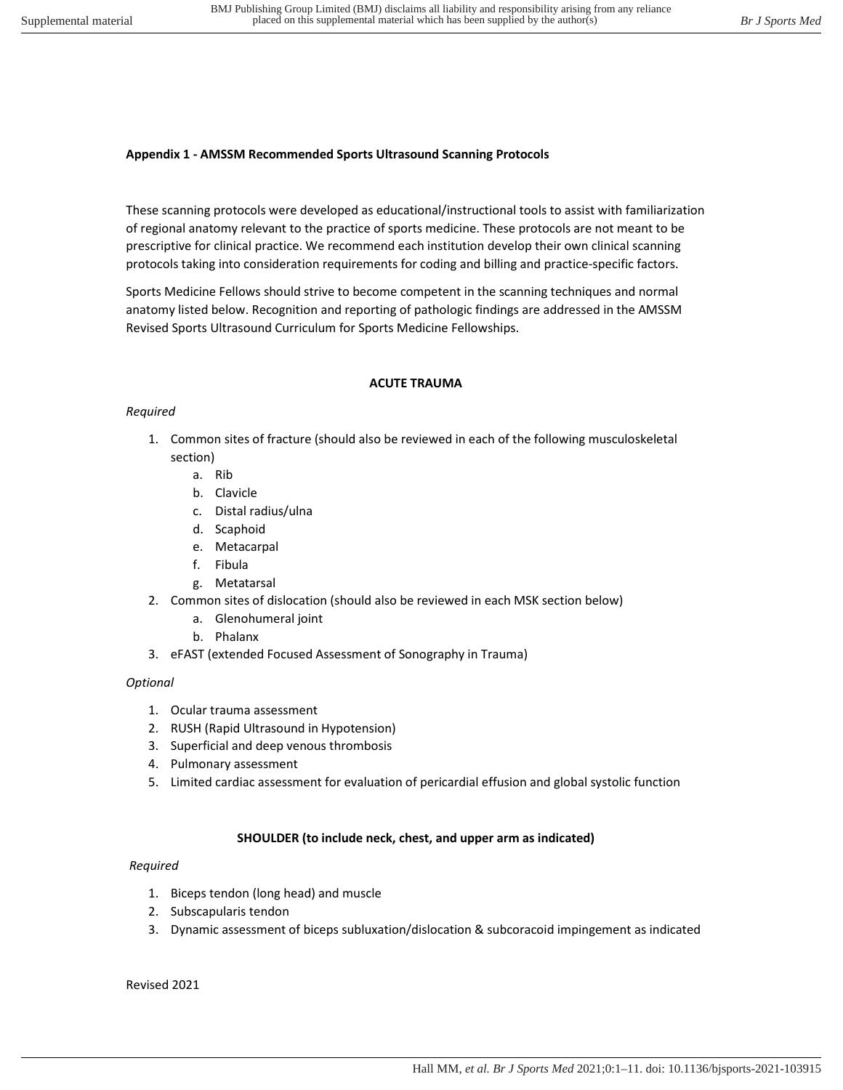## **Appendix 1 - AMSSM Recommended Sports Ultrasound Scanning Protocols**

These scanning protocols were developed as educational/instructional tools to assist with familiarization of regional anatomy relevant to the practice of sports medicine. These protocols are not meant to be prescriptive for clinical practice. We recommend each institution develop their own clinical scanning protocols taking into consideration requirements for coding and billing and practice-specific factors.

Sports Medicine Fellows should strive to become competent in the scanning techniques and normal anatomy listed below. Recognition and reporting of pathologic findings are addressed in the AMSSM Revised Sports Ultrasound Curriculum for Sports Medicine Fellowships.

#### **ACUTE TRAUMA**

# *Required*

- 1. Common sites of fracture (should also be reviewed in each of the following musculoskeletal section)
	- a. Rib
	- b. Clavicle
	- c. Distal radius/ulna
	- d. Scaphoid
	- e. Metacarpal
	- f. Fibula
	- g. Metatarsal
- 2. Common sites of dislocation (should also be reviewed in each MSK section below)
	- a. Glenohumeral joint
	- b. Phalanx
- 3. eFAST (extended Focused Assessment of Sonography in Trauma)

# *Optional*

- 1. Ocular trauma assessment
- 2. RUSH (Rapid Ultrasound in Hypotension)
- 3. Superficial and deep venous thrombosis
- 4. Pulmonary assessment
- 5. Limited cardiac assessment for evaluation of pericardial effusion and global systolic function

# **SHOULDER (to include neck, chest, and upper arm as indicated)**

# *Required*

- 1. Biceps tendon (long head) and muscle
- 2. Subscapularis tendon
- 3. Dynamic assessment of biceps subluxation/dislocation & subcoracoid impingement as indicated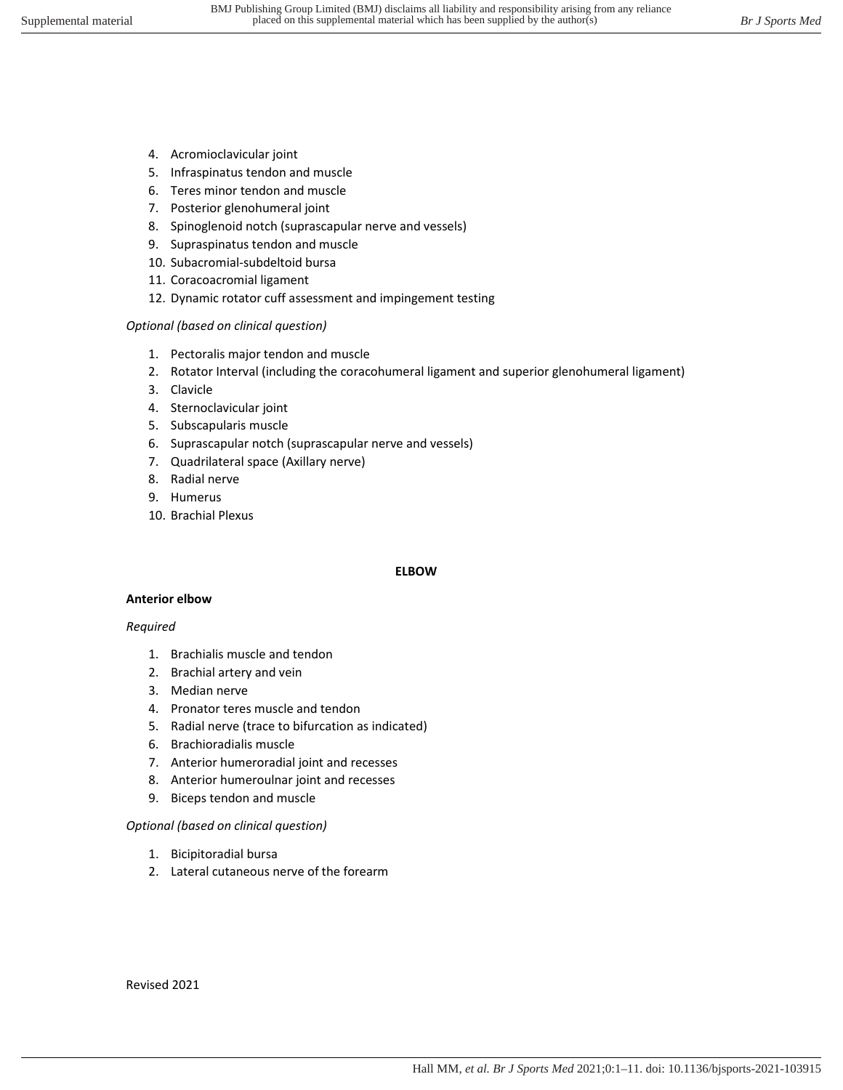- 4. Acromioclavicular joint
- 5. Infraspinatus tendon and muscle
- 6. Teres minor tendon and muscle
- 7. Posterior glenohumeral joint
- 8. Spinoglenoid notch (suprascapular nerve and vessels)
- 9. Supraspinatus tendon and muscle
- 10. Subacromial-subdeltoid bursa
- 11. Coracoacromial ligament
- 12. Dynamic rotator cuff assessment and impingement testing

#### *Optional (based on clinical question)*

- 1. Pectoralis major tendon and muscle
- 2. Rotator Interval (including the coracohumeral ligament and superior glenohumeral ligament)
- 3. Clavicle
- 4. Sternoclavicular joint
- 5. Subscapularis muscle
- 6. Suprascapular notch (suprascapular nerve and vessels)
- 7. Quadrilateral space (Axillary nerve)
- 8. Radial nerve
- 9. Humerus
- 10. Brachial Plexus

#### **ELBOW**

#### **Anterior elbow**

#### *Required*

- 1. Brachialis muscle and tendon
- 2. Brachial artery and vein
- 3. Median nerve
- 4. Pronator teres muscle and tendon
- 5. Radial nerve (trace to bifurcation as indicated)
- 6. Brachioradialis muscle
- 7. Anterior humeroradial joint and recesses
- 8. Anterior humeroulnar joint and recesses
- 9. Biceps tendon and muscle

#### *Optional (based on clinical question)*

- 1. Bicipitoradial bursa
- 2. Lateral cutaneous nerve of the forearm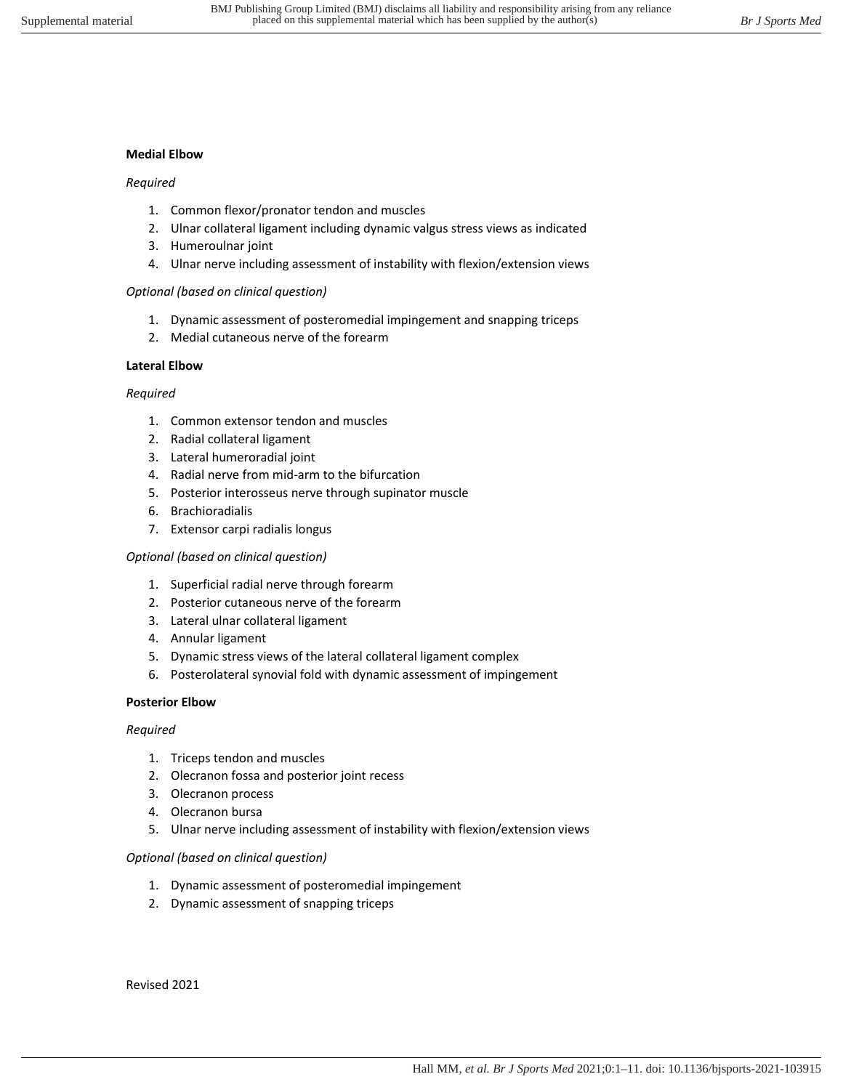## **Medial Elbow**

#### *Required*

- 1. Common flexor/pronator tendon and muscles
- 2. Ulnar collateral ligament including dynamic valgus stress views as indicated
- 3. Humeroulnar joint
- 4. Ulnar nerve including assessment of instability with flexion/extension views

#### *Optional (based on clinical question)*

- 1. Dynamic assessment of posteromedial impingement and snapping triceps
- 2. Medial cutaneous nerve of the forearm

# **Lateral Elbow**

#### *Required*

- 1. Common extensor tendon and muscles
- 2. Radial collateral ligament
- 3. Lateral humeroradial joint
- 4. Radial nerve from mid-arm to the bifurcation
- 5. Posterior interosseus nerve through supinator muscle
- 6. Brachioradialis
- 7. Extensor carpi radialis longus

#### *Optional (based on clinical question)*

- 1. Superficial radial nerve through forearm
- 2. Posterior cutaneous nerve of the forearm
- 3. Lateral ulnar collateral ligament
- 4. Annular ligament
- 5. Dynamic stress views of the lateral collateral ligament complex
- 6. Posterolateral synovial fold with dynamic assessment of impingement

# **Posterior Elbow**

#### *Required*

- 1. Triceps tendon and muscles
- 2. Olecranon fossa and posterior joint recess
- 3. Olecranon process
- 4. Olecranon bursa
- 5. Ulnar nerve including assessment of instability with flexion/extension views

# *Optional (based on clinical question)*

- 1. Dynamic assessment of posteromedial impingement
- 2. Dynamic assessment of snapping triceps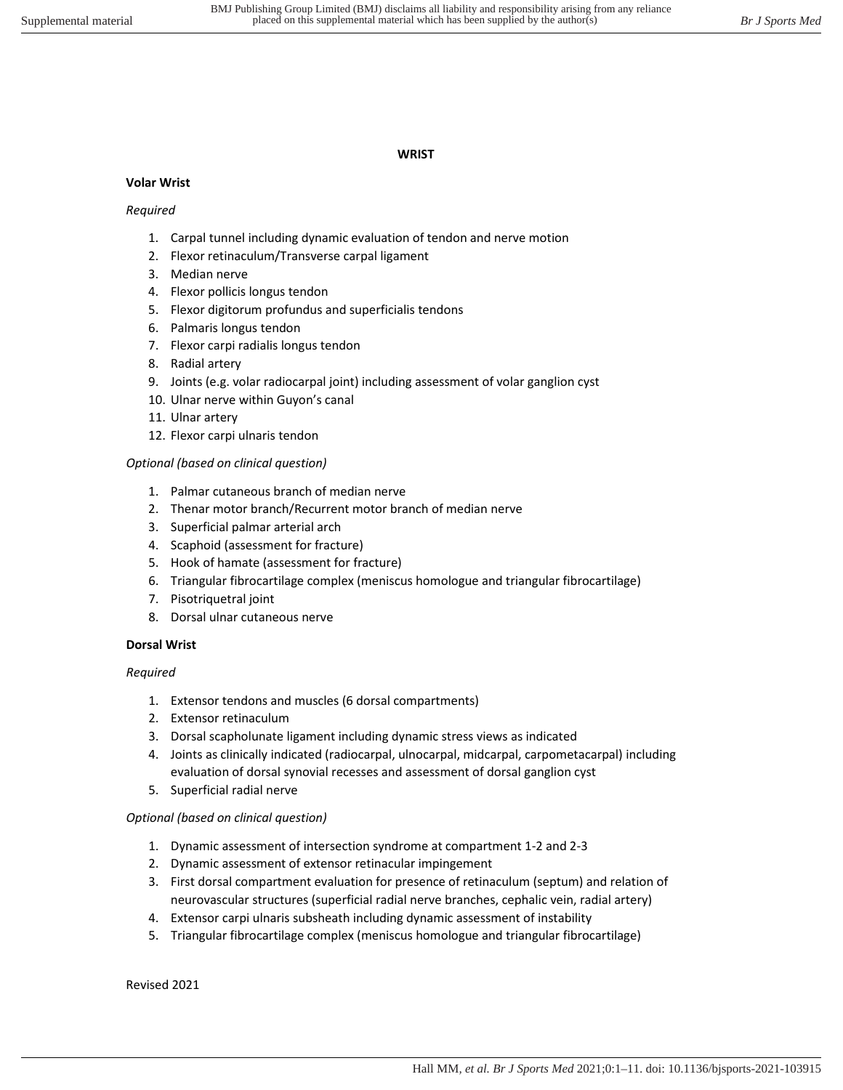## **WRIST**

# **Volar Wrist**

# *Required*

- 1. Carpal tunnel including dynamic evaluation of tendon and nerve motion
- 2. Flexor retinaculum/Transverse carpal ligament
- 3. Median nerve
- 4. Flexor pollicis longus tendon
- 5. Flexor digitorum profundus and superficialis tendons
- 6. Palmaris longus tendon
- 7. Flexor carpi radialis longus tendon
- 8. Radial artery
- 9. Joints (e.g. volar radiocarpal joint) including assessment of volar ganglion cyst
- 10. Ulnar nerve within Guyon's canal
- 11. Ulnar artery
- 12. Flexor carpi ulnaris tendon

# *Optional (based on clinical question)*

- 1. Palmar cutaneous branch of median nerve
- 2. Thenar motor branch/Recurrent motor branch of median nerve
- 3. Superficial palmar arterial arch
- 4. Scaphoid (assessment for fracture)
- 5. Hook of hamate (assessment for fracture)
- 6. Triangular fibrocartilage complex (meniscus homologue and triangular fibrocartilage)
- 7. Pisotriquetral joint
- 8. Dorsal ulnar cutaneous nerve

# **Dorsal Wrist**

# *Required*

- 1. Extensor tendons and muscles (6 dorsal compartments)
- 2. Extensor retinaculum
- 3. Dorsal scapholunate ligament including dynamic stress views as indicated
- 4. Joints as clinically indicated (radiocarpal, ulnocarpal, midcarpal, carpometacarpal) including evaluation of dorsal synovial recesses and assessment of dorsal ganglion cyst
- 5. Superficial radial nerve

# *Optional (based on clinical question)*

- 1. Dynamic assessment of intersection syndrome at compartment 1-2 and 2-3
- 2. Dynamic assessment of extensor retinacular impingement
- 3. First dorsal compartment evaluation for presence of retinaculum (septum) and relation of neurovascular structures (superficial radial nerve branches, cephalic vein, radial artery)
- 4. Extensor carpi ulnaris subsheath including dynamic assessment of instability
- 5. Triangular fibrocartilage complex (meniscus homologue and triangular fibrocartilage)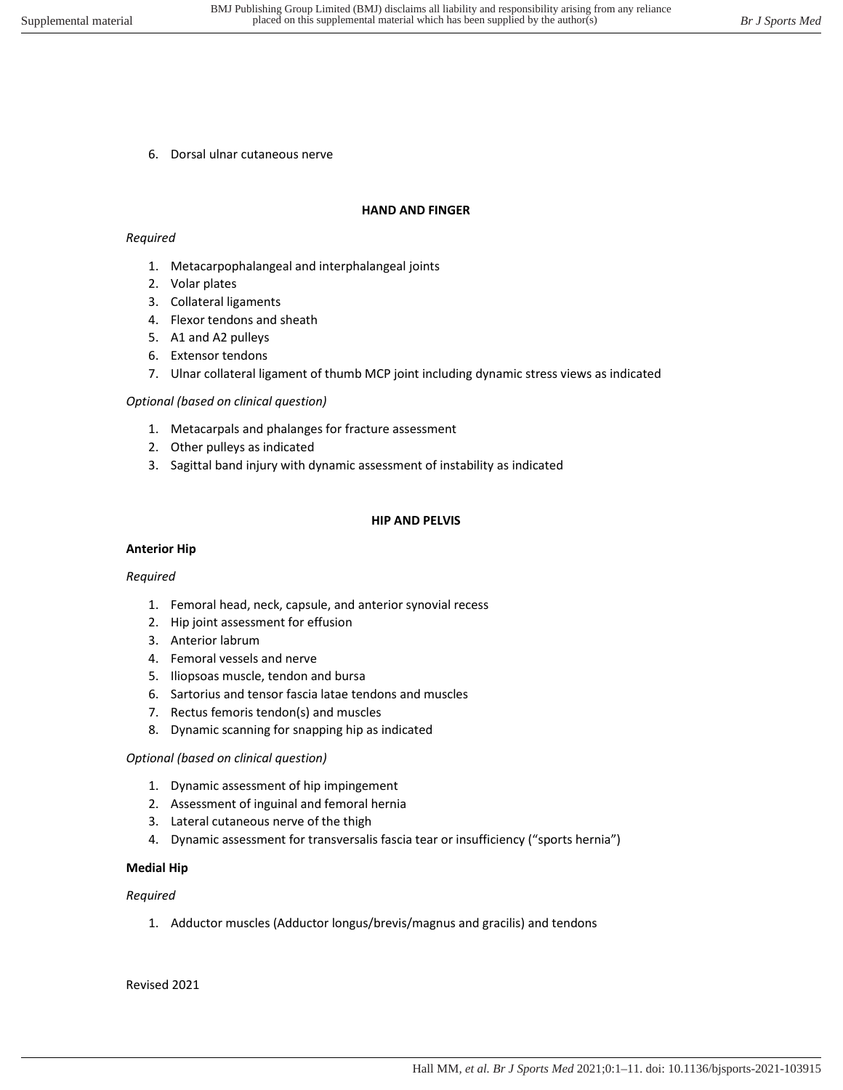6. Dorsal ulnar cutaneous nerve

#### **HAND AND FINGER**

#### *Required*

- 1. Metacarpophalangeal and interphalangeal joints
- 2. Volar plates
- 3. Collateral ligaments
- 4. Flexor tendons and sheath
- 5. A1 and A2 pulleys
- 6. Extensor tendons
- 7. Ulnar collateral ligament of thumb MCP joint including dynamic stress views as indicated

#### *Optional (based on clinical question)*

- 1. Metacarpals and phalanges for fracture assessment
- 2. Other pulleys as indicated
- 3. Sagittal band injury with dynamic assessment of instability as indicated

#### **HIP AND PELVIS**

#### **Anterior Hip**

#### *Required*

- 1. Femoral head, neck, capsule, and anterior synovial recess
- 2. Hip joint assessment for effusion
- 3. Anterior labrum
- 4. Femoral vessels and nerve
- 5. Iliopsoas muscle, tendon and bursa
- 6. Sartorius and tensor fascia latae tendons and muscles
- 7. Rectus femoris tendon(s) and muscles
- 8. Dynamic scanning for snapping hip as indicated

#### *Optional (based on clinical question)*

- 1. Dynamic assessment of hip impingement
- 2. Assessment of inguinal and femoral hernia
- 3. Lateral cutaneous nerve of the thigh
- 4. Dynamic assessment for transversalis fascia tear or insufficiency ("sports hernia")

#### **Medial Hip**

#### *Required*

1. Adductor muscles (Adductor longus/brevis/magnus and gracilis) and tendons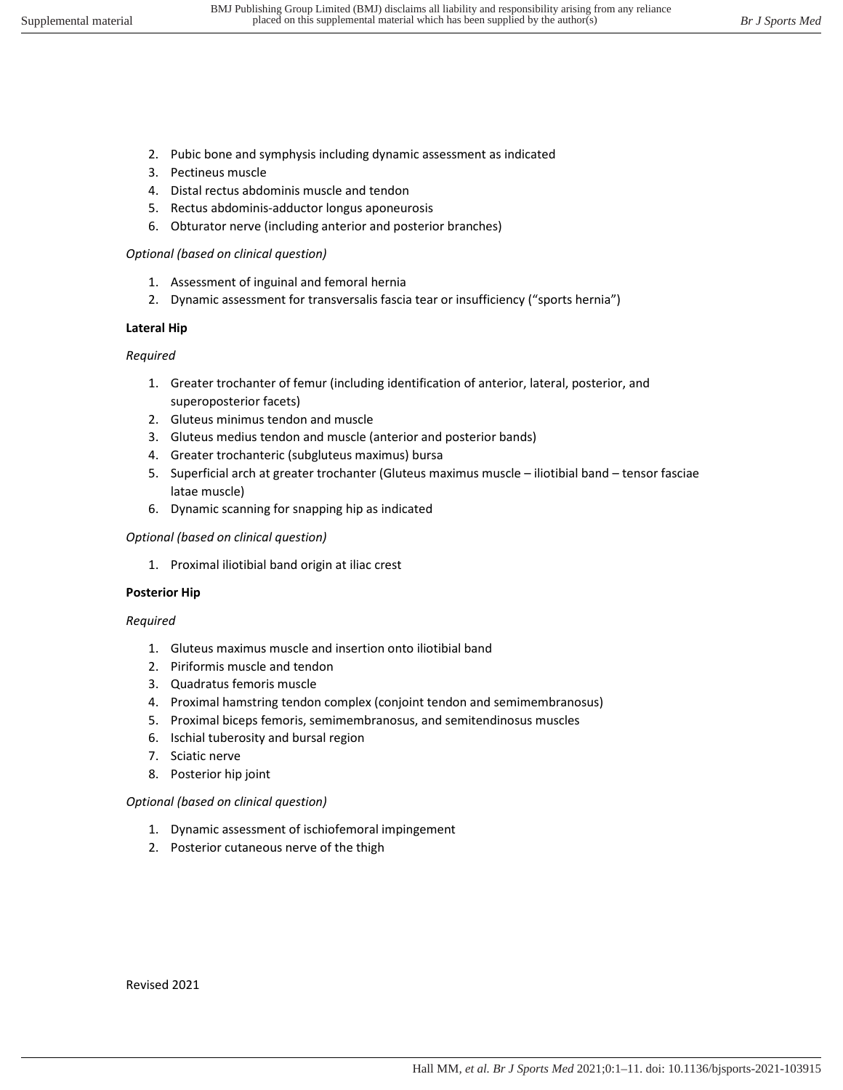- 2. Pubic bone and symphysis including dynamic assessment as indicated
- 3. Pectineus muscle
- 4. Distal rectus abdominis muscle and tendon
- 5. Rectus abdominis-adductor longus aponeurosis
- 6. Obturator nerve (including anterior and posterior branches)

# *Optional (based on clinical question)*

- 1. Assessment of inguinal and femoral hernia
- 2. Dynamic assessment for transversalis fascia tear or insufficiency ("sports hernia")

# **Lateral Hip**

# *Required*

- 1. Greater trochanter of femur (including identification of anterior, lateral, posterior, and superoposterior facets)
- 2. Gluteus minimus tendon and muscle
- 3. Gluteus medius tendon and muscle (anterior and posterior bands)
- 4. Greater trochanteric (subgluteus maximus) bursa
- 5. Superficial arch at greater trochanter (Gluteus maximus muscle iliotibial band tensor fasciae latae muscle)
- 6. Dynamic scanning for snapping hip as indicated

# *Optional (based on clinical question)*

1. Proximal iliotibial band origin at iliac crest

# **Posterior Hip**

# *Required*

- 1. Gluteus maximus muscle and insertion onto iliotibial band
- 2. Piriformis muscle and tendon
- 3. Quadratus femoris muscle
- 4. Proximal hamstring tendon complex (conjoint tendon and semimembranosus)
- 5. Proximal biceps femoris, semimembranosus, and semitendinosus muscles
- 6. Ischial tuberosity and bursal region
- 7. Sciatic nerve
- 8. Posterior hip joint

# *Optional (based on clinical question)*

- 1. Dynamic assessment of ischiofemoral impingement
- 2. Posterior cutaneous nerve of the thigh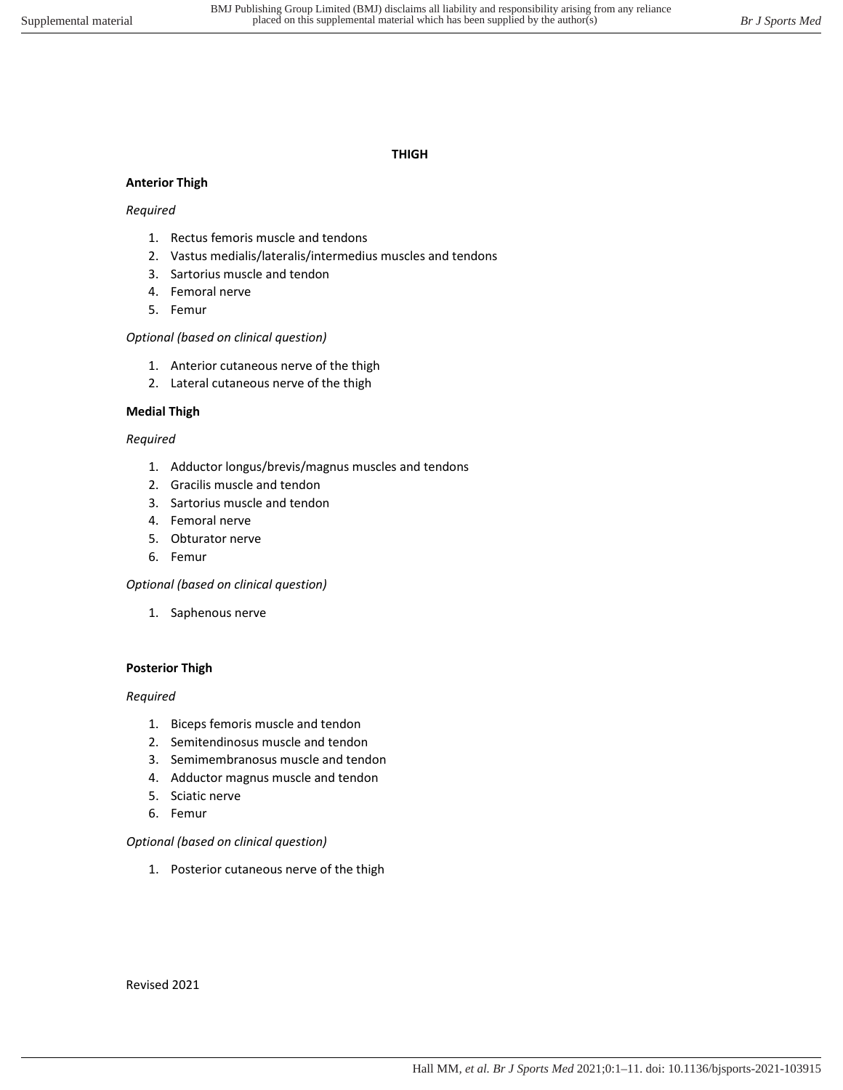## **THIGH**

## **Anterior Thigh**

#### *Required*

- 1. Rectus femoris muscle and tendons
- 2. Vastus medialis/lateralis/intermedius muscles and tendons
- 3. Sartorius muscle and tendon
- 4. Femoral nerve
- 5. Femur

### *Optional (based on clinical question)*

- 1. Anterior cutaneous nerve of the thigh
- 2. Lateral cutaneous nerve of the thigh

#### **Medial Thigh**

#### *Required*

- 1. Adductor longus/brevis/magnus muscles and tendons
- 2. Gracilis muscle and tendon
- 3. Sartorius muscle and tendon
- 4. Femoral nerve
- 5. Obturator nerve
- 6. Femur

#### *Optional (based on clinical question)*

1. Saphenous nerve

#### **Posterior Thigh**

#### *Required*

- 1. Biceps femoris muscle and tendon
- 2. Semitendinosus muscle and tendon
- 3. Semimembranosus muscle and tendon
- 4. Adductor magnus muscle and tendon
- 5. Sciatic nerve
- 6. Femur

#### *Optional (based on clinical question)*

1. Posterior cutaneous nerve of the thigh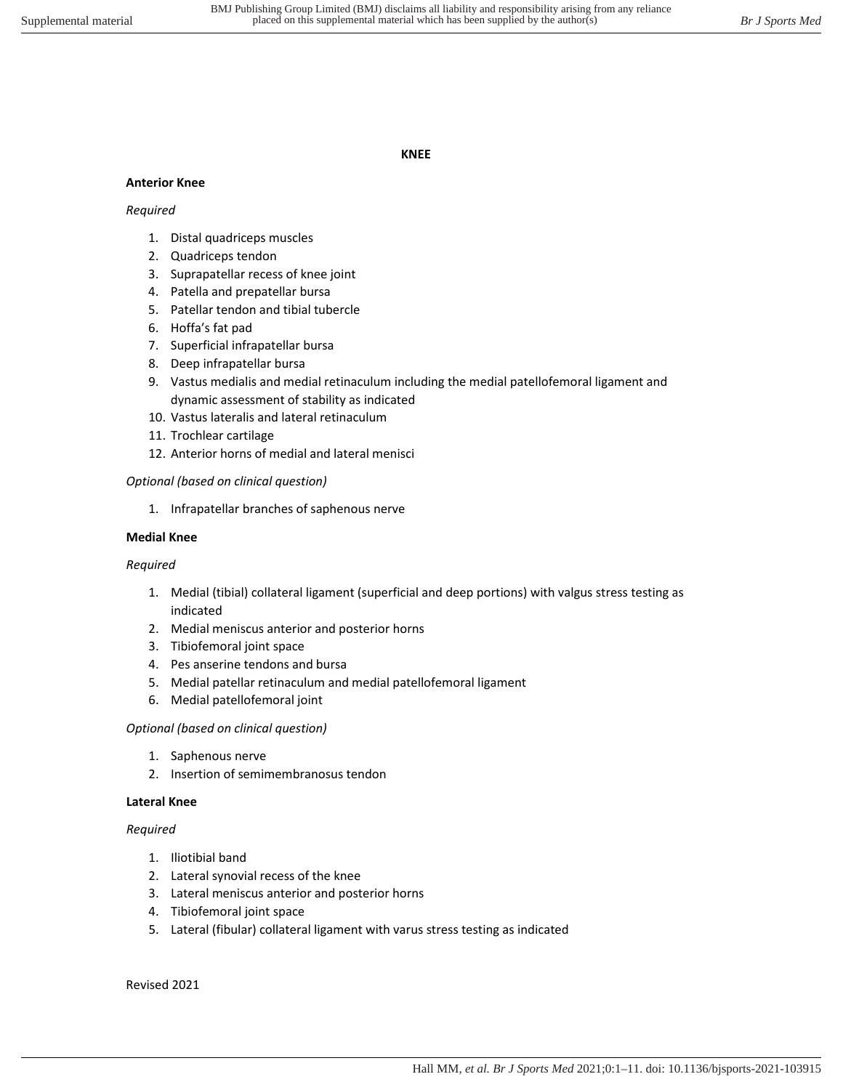#### **KNEE**

# **Anterior Knee**

#### *Required*

- 1. Distal quadriceps muscles
- 2. Quadriceps tendon
- 3. Suprapatellar recess of knee joint
- 4. Patella and prepatellar bursa
- 5. Patellar tendon and tibial tubercle
- 6. Hoffa's fat pad
- 7. Superficial infrapatellar bursa
- 8. Deep infrapatellar bursa
- 9. Vastus medialis and medial retinaculum including the medial patellofemoral ligament and dynamic assessment of stability as indicated
- 10. Vastus lateralis and lateral retinaculum
- 11. Trochlear cartilage
- 12. Anterior horns of medial and lateral menisci

# *Optional (based on clinical question)*

1. Infrapatellar branches of saphenous nerve

#### **Medial Knee**

# *Required*

- 1. Medial (tibial) collateral ligament (superficial and deep portions) with valgus stress testing as indicated
- 2. Medial meniscus anterior and posterior horns
- 3. Tibiofemoral joint space
- 4. Pes anserine tendons and bursa
- 5. Medial patellar retinaculum and medial patellofemoral ligament
- 6. Medial patellofemoral joint

#### *Optional (based on clinical question)*

- 1. Saphenous nerve
- 2. Insertion of semimembranosus tendon

# **Lateral Knee**

# *Required*

- 1. Iliotibial band
- 2. Lateral synovial recess of the knee
- 3. Lateral meniscus anterior and posterior horns
- 4. Tibiofemoral joint space
- 5. Lateral (fibular) collateral ligament with varus stress testing as indicated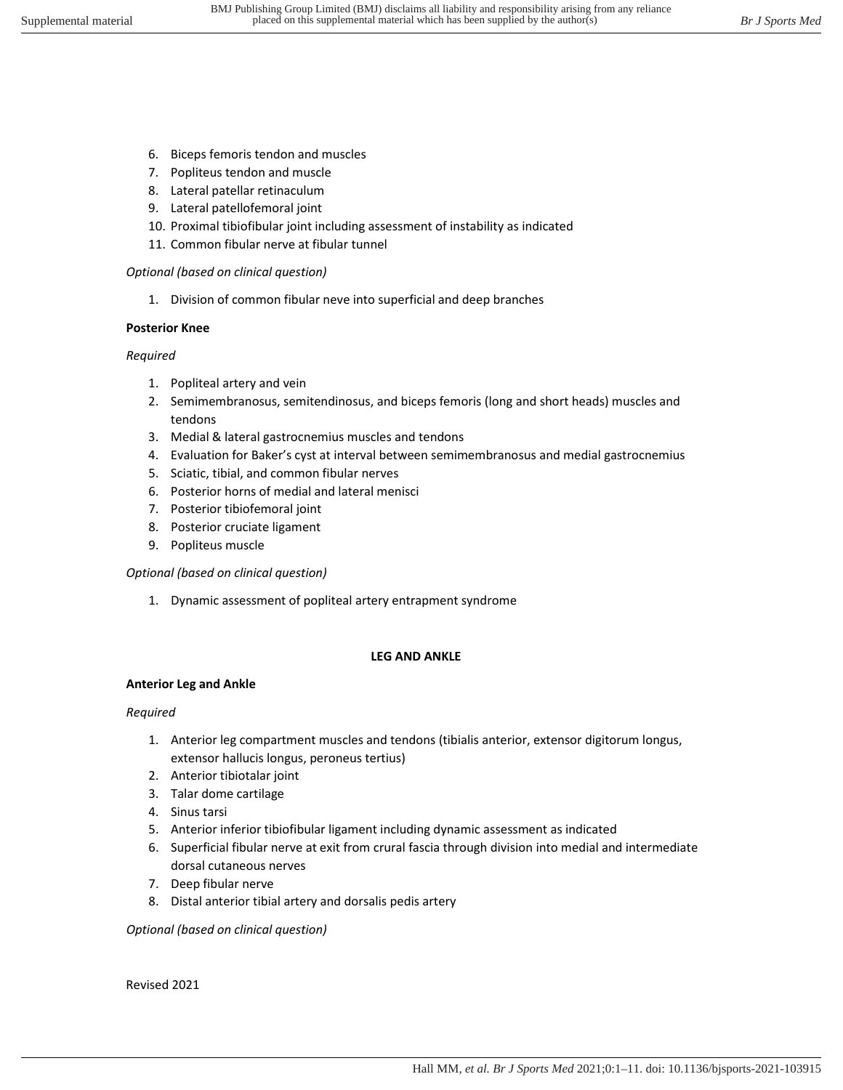- 6. Biceps femoris tendon and muscles
- 7. Popliteus tendon and muscle
- 8. Lateral patellar retinaculum
- 9. Lateral patellofemoral joint
- 10. Proximal tibiofibular joint including assessment of instability as indicated
- 11. Common fibular nerve at fibular tunnel

# *Optional (based on clinical question)*

1. Division of common fibular neve into superficial and deep branches

# **Posterior Knee**

# *Required*

- 1. Popliteal artery and vein
- 2. Semimembranosus, semitendinosus, and biceps femoris (long and short heads) muscles and tendons
- 3. Medial & lateral gastrocnemius muscles and tendons
- 4. Evaluation for Baker's cyst at interval between semimembranosus and medial gastrocnemius
- 5. Sciatic, tibial, and common fibular nerves
- 6. Posterior horns of medial and lateral menisci
- 7. Posterior tibiofemoral joint
- 8. Posterior cruciate ligament
- 9. Popliteus muscle

# *Optional (based on clinical question)*

1. Dynamic assessment of popliteal artery entrapment syndrome

# **LEG AND ANKLE**

# **Anterior Leg and Ankle**

# *Required*

- 1. Anterior leg compartment muscles and tendons (tibialis anterior, extensor digitorum longus, extensor hallucis longus, peroneus tertius)
- 2. Anterior tibiotalar joint
- 3. Talar dome cartilage
- 4. Sinus tarsi
- 5. Anterior inferior tibiofibular ligament including dynamic assessment as indicated
- 6. Superficial fibular nerve at exit from crural fascia through division into medial and intermediate dorsal cutaneous nerves
- 7. Deep fibular nerve
- 8. Distal anterior tibial artery and dorsalis pedis artery

*Optional (based on clinical question)*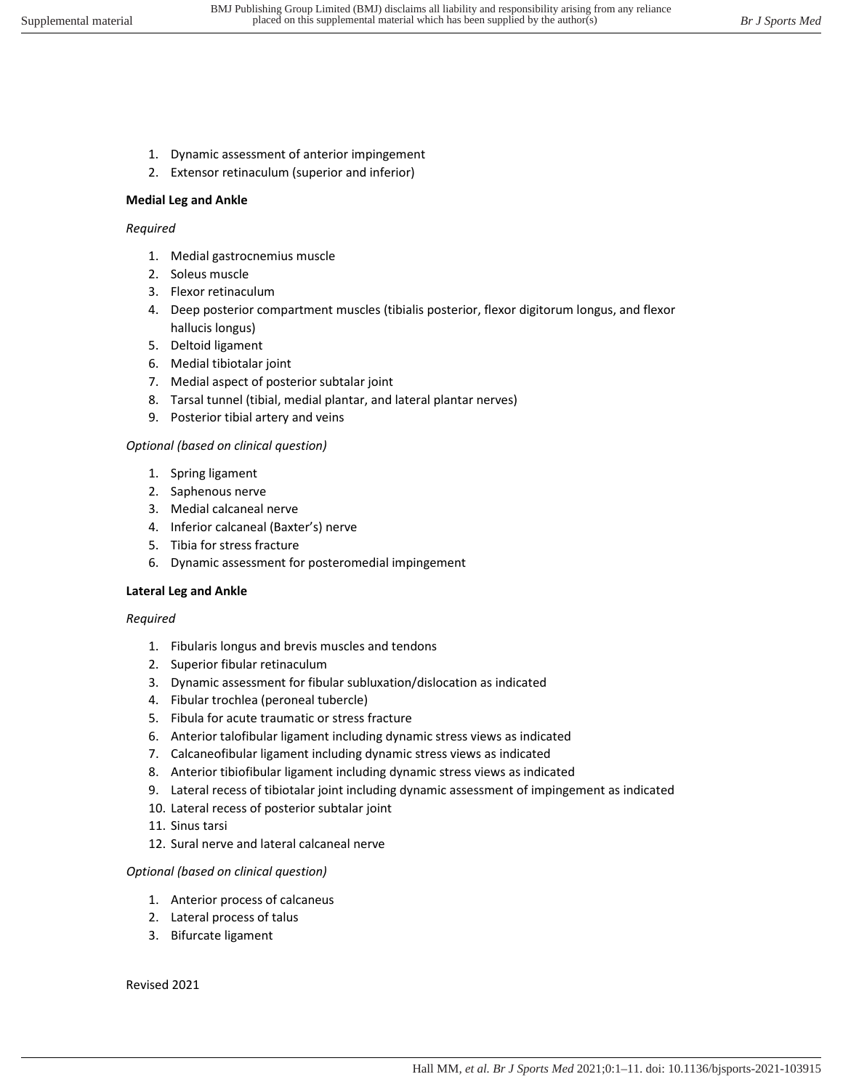- 1. Dynamic assessment of anterior impingement
- 2. Extensor retinaculum (superior and inferior)

## **Medial Leg and Ankle**

#### *Required*

- 1. Medial gastrocnemius muscle
- 2. Soleus muscle
- 3. Flexor retinaculum
- 4. Deep posterior compartment muscles (tibialis posterior, flexor digitorum longus, and flexor hallucis longus)
- 5. Deltoid ligament
- 6. Medial tibiotalar joint
- 7. Medial aspect of posterior subtalar joint
- 8. Tarsal tunnel (tibial, medial plantar, and lateral plantar nerves)
- 9. Posterior tibial artery and veins

# *Optional (based on clinical question)*

- 1. Spring ligament
- 2. Saphenous nerve
- 3. Medial calcaneal nerve
- 4. Inferior calcaneal (Baxter's) nerve
- 5. Tibia for stress fracture
- 6. Dynamic assessment for posteromedial impingement

# **Lateral Leg and Ankle**

#### *Required*

- 1. Fibularis longus and brevis muscles and tendons
- 2. Superior fibular retinaculum
- 3. Dynamic assessment for fibular subluxation/dislocation as indicated
- 4. Fibular trochlea (peroneal tubercle)
- 5. Fibula for acute traumatic or stress fracture
- 6. Anterior talofibular ligament including dynamic stress views as indicated
- 7. Calcaneofibular ligament including dynamic stress views as indicated
- 8. Anterior tibiofibular ligament including dynamic stress views as indicated
- 9. Lateral recess of tibiotalar joint including dynamic assessment of impingement as indicated
- 10. Lateral recess of posterior subtalar joint
- 11. Sinus tarsi
- 12. Sural nerve and lateral calcaneal nerve

# *Optional (based on clinical question)*

- 1. Anterior process of calcaneus
- 2. Lateral process of talus
- 3. Bifurcate ligament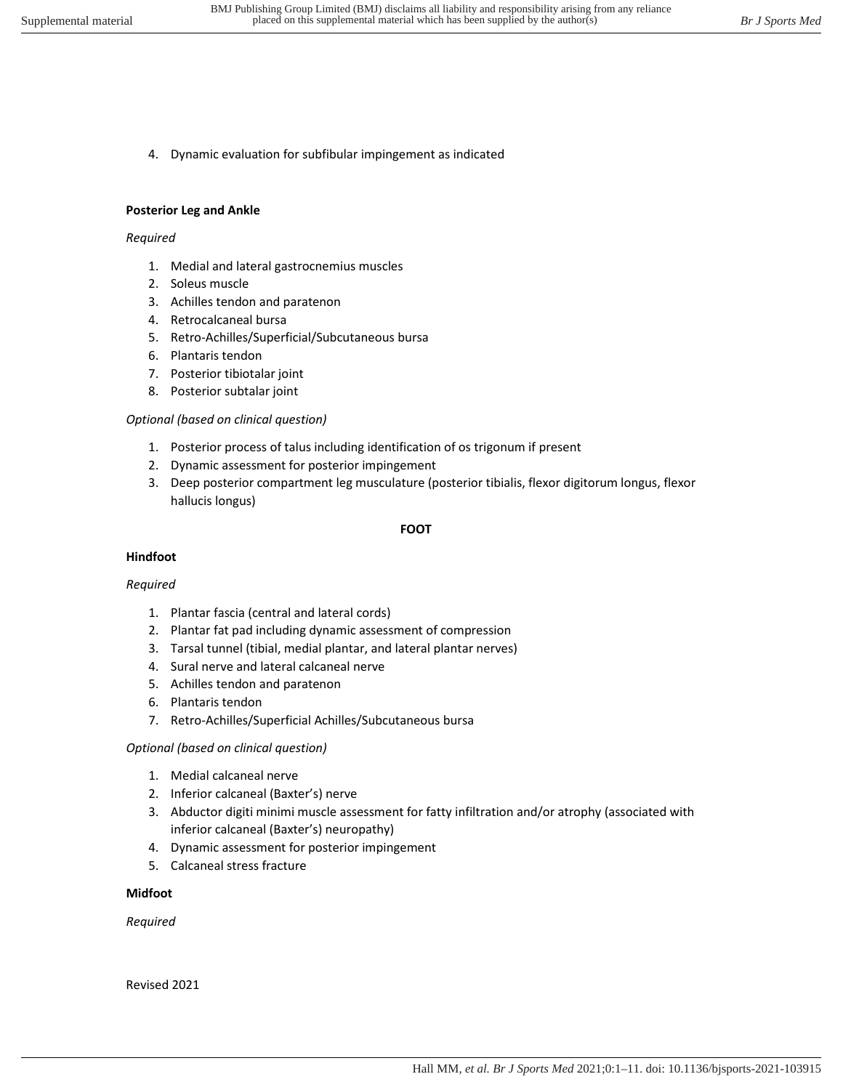4. Dynamic evaluation for subfibular impingement as indicated

# **Posterior Leg and Ankle**

## *Required*

- 1. Medial and lateral gastrocnemius muscles
- 2. Soleus muscle
- 3. Achilles tendon and paratenon
- 4. Retrocalcaneal bursa
- 5. Retro-Achilles/Superficial/Subcutaneous bursa
- 6. Plantaris tendon
- 7. Posterior tibiotalar joint
- 8. Posterior subtalar joint

# *Optional (based on clinical question)*

- 1. Posterior process of talus including identification of os trigonum if present
- 2. Dynamic assessment for posterior impingement
- 3. Deep posterior compartment leg musculature (posterior tibialis, flexor digitorum longus, flexor hallucis longus)

# **FOOT**

# **Hindfoot**

# *Required*

- 1. Plantar fascia (central and lateral cords)
- 2. Plantar fat pad including dynamic assessment of compression
- 3. Tarsal tunnel (tibial, medial plantar, and lateral plantar nerves)
- 4. Sural nerve and lateral calcaneal nerve
- 5. Achilles tendon and paratenon
- 6. Plantaris tendon
- 7. Retro-Achilles/Superficial Achilles/Subcutaneous bursa

# *Optional (based on clinical question)*

- 1. Medial calcaneal nerve
- 2. Inferior calcaneal (Baxter's) nerve
- 3. Abductor digiti minimi muscle assessment for fatty infiltration and/or atrophy (associated with inferior calcaneal (Baxter's) neuropathy)
- 4. Dynamic assessment for posterior impingement
- 5. Calcaneal stress fracture

# **Midfoot**

*Required*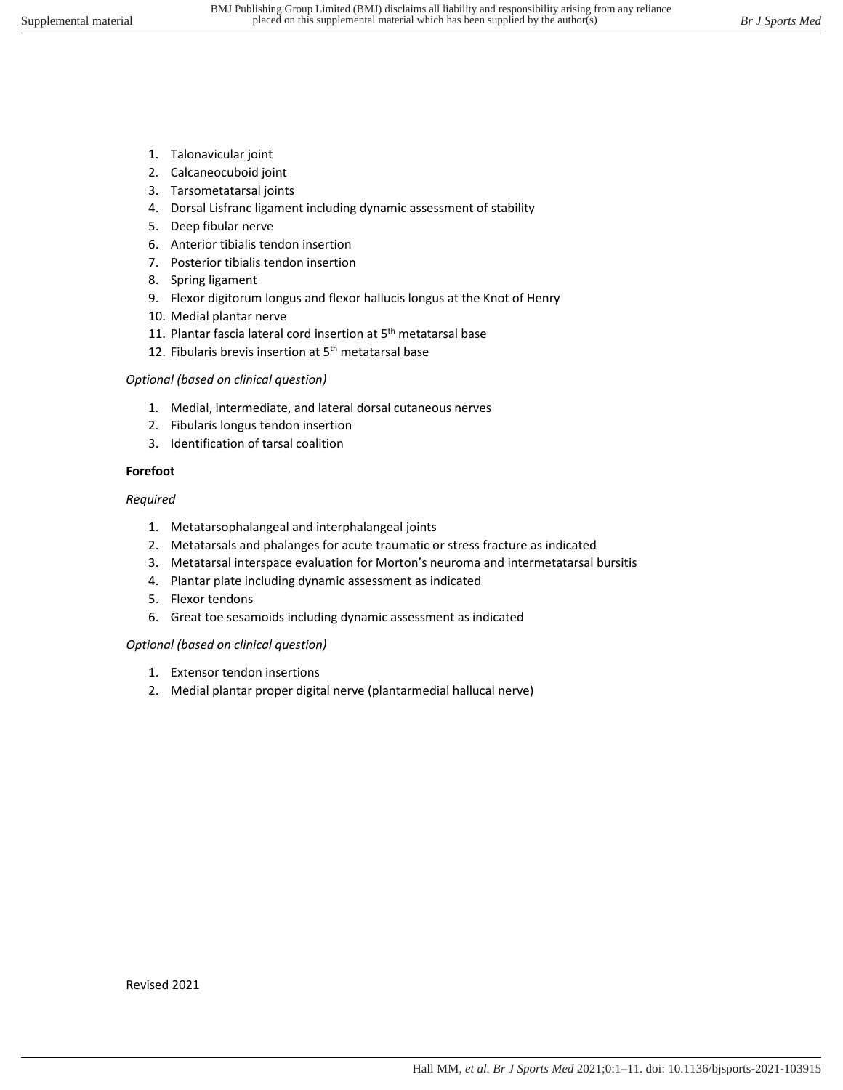- 1. Talonavicular joint
- 2. Calcaneocuboid joint
- 3. Tarsometatarsal joints
- 4. Dorsal Lisfranc ligament including dynamic assessment of stability
- 5. Deep fibular nerve
- 6. Anterior tibialis tendon insertion
- 7. Posterior tibialis tendon insertion
- 8. Spring ligament
- 9. Flexor digitorum longus and flexor hallucis longus at the Knot of Henry
- 10. Medial plantar nerve
- 11. Plantar fascia lateral cord insertion at 5<sup>th</sup> metatarsal base
- 12. Fibularis brevis insertion at 5<sup>th</sup> metatarsal base

# *Optional (based on clinical question)*

- 1. Medial, intermediate, and lateral dorsal cutaneous nerves
- 2. Fibularis longus tendon insertion
- 3. Identification of tarsal coalition

# **Forefoot**

*Required*

- 1. Metatarsophalangeal and interphalangeal joints
- 2. Metatarsals and phalanges for acute traumatic or stress fracture as indicated
- 3. Metatarsal interspace evaluation for Morton's neuroma and intermetatarsal bursitis
- 4. Plantar plate including dynamic assessment as indicated
- 5. Flexor tendons
- 6. Great toe sesamoids including dynamic assessment as indicated

# *Optional (based on clinical question)*

- 1. Extensor tendon insertions
- 2. Medial plantar proper digital nerve (plantarmedial hallucal nerve)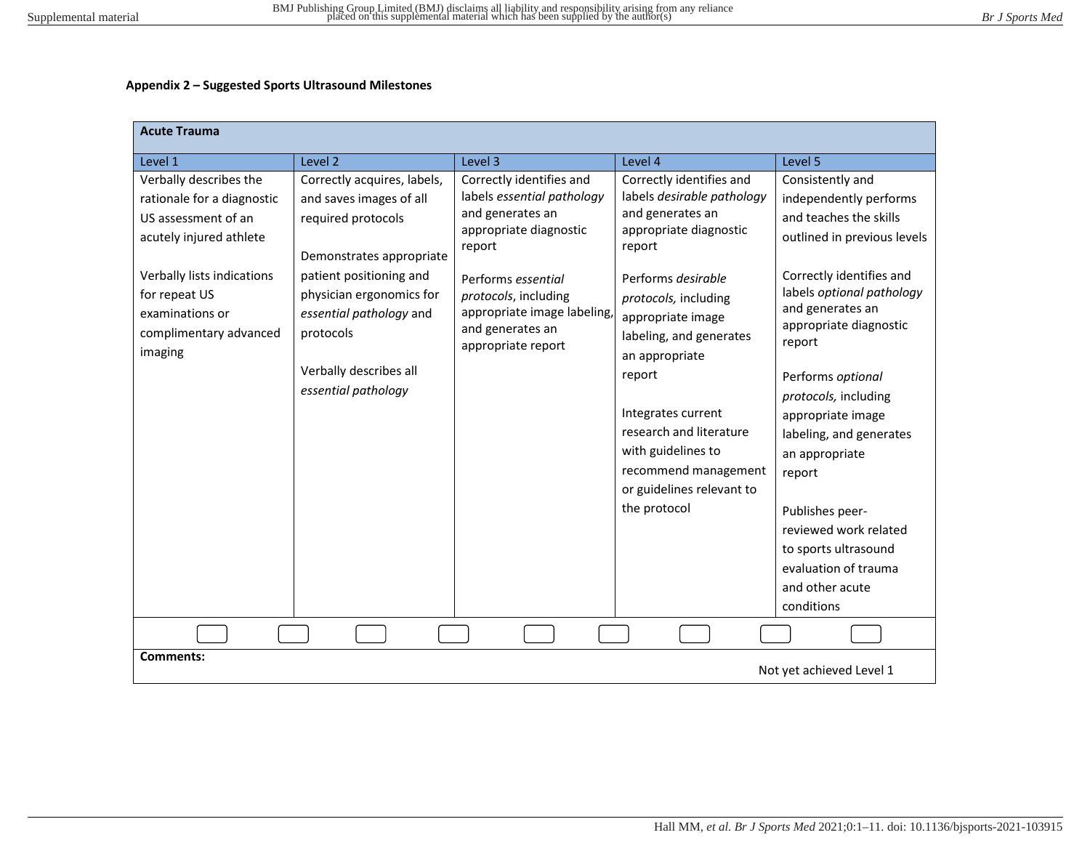### **Appendix 2 – Suggested Sports Ultrasound Milestones**

| <b>Acute Trauma</b>                                                                                                                                                                                           |                                                                                                                                                                                                                                                          |                                                                                                                                                                                                                                       |                                                                                                                                                                                                                                                                                                                                                                                      |                                                                                                                                                                                                                                                                                                                                                                                                                                                                            |
|---------------------------------------------------------------------------------------------------------------------------------------------------------------------------------------------------------------|----------------------------------------------------------------------------------------------------------------------------------------------------------------------------------------------------------------------------------------------------------|---------------------------------------------------------------------------------------------------------------------------------------------------------------------------------------------------------------------------------------|--------------------------------------------------------------------------------------------------------------------------------------------------------------------------------------------------------------------------------------------------------------------------------------------------------------------------------------------------------------------------------------|----------------------------------------------------------------------------------------------------------------------------------------------------------------------------------------------------------------------------------------------------------------------------------------------------------------------------------------------------------------------------------------------------------------------------------------------------------------------------|
| Level 1                                                                                                                                                                                                       | Level 2                                                                                                                                                                                                                                                  | Level 3                                                                                                                                                                                                                               | Level 4                                                                                                                                                                                                                                                                                                                                                                              | Level 5                                                                                                                                                                                                                                                                                                                                                                                                                                                                    |
| Verbally describes the<br>rationale for a diagnostic<br>US assessment of an<br>acutely injured athlete<br>Verbally lists indications<br>for repeat US<br>examinations or<br>complimentary advanced<br>imaging | Correctly acquires, labels,<br>and saves images of all<br>required protocols<br>Demonstrates appropriate<br>patient positioning and<br>physician ergonomics for<br>essential pathology and<br>protocols<br>Verbally describes all<br>essential pathology | Correctly identifies and<br>labels essential pathology<br>and generates an<br>appropriate diagnostic<br>report<br>Performs essential<br>protocols, including<br>appropriate image labeling,<br>and generates an<br>appropriate report | Correctly identifies and<br>labels desirable pathology<br>and generates an<br>appropriate diagnostic<br>report<br>Performs desirable<br>protocols, including<br>appropriate image<br>labeling, and generates<br>an appropriate<br>report<br>Integrates current<br>research and literature<br>with guidelines to<br>recommend management<br>or guidelines relevant to<br>the protocol | Consistently and<br>independently performs<br>and teaches the skills<br>outlined in previous levels<br>Correctly identifies and<br>labels optional pathology<br>and generates an<br>appropriate diagnostic<br>report<br>Performs optional<br>protocols, including<br>appropriate image<br>labeling, and generates<br>an appropriate<br>report<br>Publishes peer-<br>reviewed work related<br>to sports ultrasound<br>evaluation of trauma<br>and other acute<br>conditions |
| <b>Comments:</b>                                                                                                                                                                                              |                                                                                                                                                                                                                                                          |                                                                                                                                                                                                                                       |                                                                                                                                                                                                                                                                                                                                                                                      |                                                                                                                                                                                                                                                                                                                                                                                                                                                                            |
|                                                                                                                                                                                                               |                                                                                                                                                                                                                                                          |                                                                                                                                                                                                                                       |                                                                                                                                                                                                                                                                                                                                                                                      | Not yet achieved Level 1                                                                                                                                                                                                                                                                                                                                                                                                                                                   |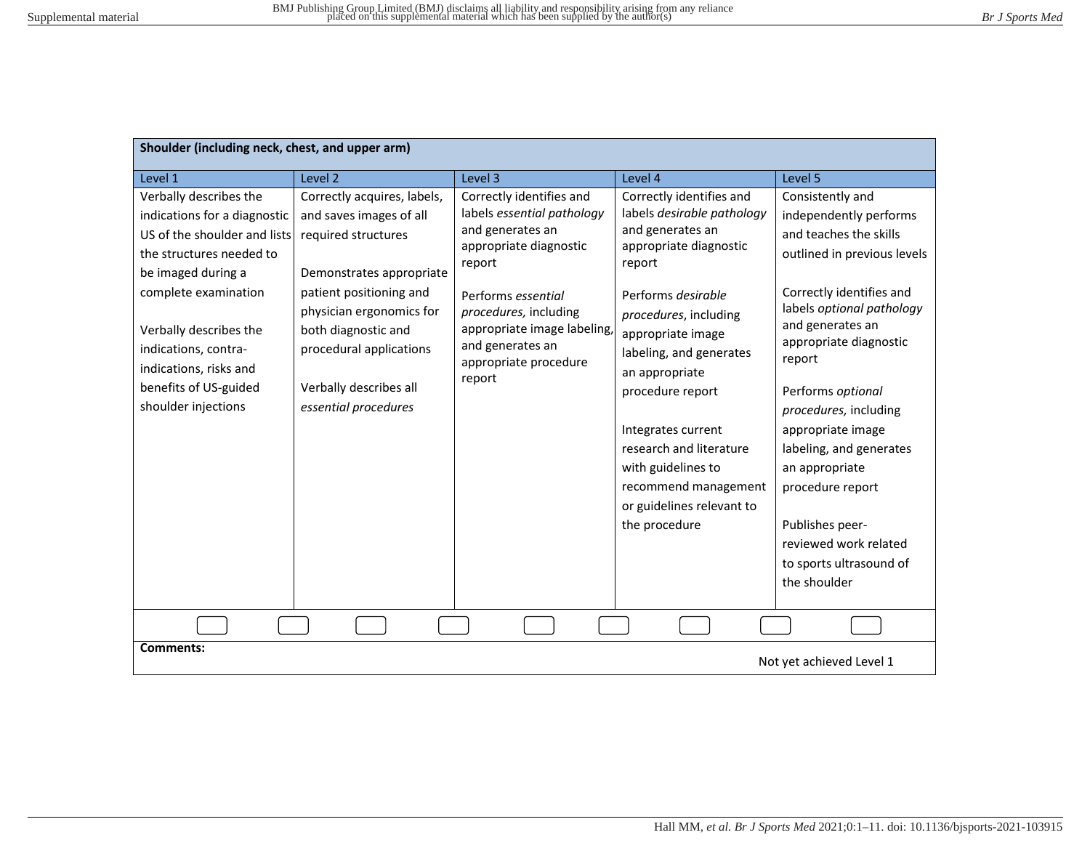| Shoulder (including neck, chest, and upper arm)                                                                                                                                                                                                                                              |                                                                                                                                                                                                                                                                      |                                                                                                                                                                                                                                                     |                                                                                                                                                                                                                                                                                                                                                                                                  |                                                                                                                                                                                                                                                                                                                                                                                                                                                 |
|----------------------------------------------------------------------------------------------------------------------------------------------------------------------------------------------------------------------------------------------------------------------------------------------|----------------------------------------------------------------------------------------------------------------------------------------------------------------------------------------------------------------------------------------------------------------------|-----------------------------------------------------------------------------------------------------------------------------------------------------------------------------------------------------------------------------------------------------|--------------------------------------------------------------------------------------------------------------------------------------------------------------------------------------------------------------------------------------------------------------------------------------------------------------------------------------------------------------------------------------------------|-------------------------------------------------------------------------------------------------------------------------------------------------------------------------------------------------------------------------------------------------------------------------------------------------------------------------------------------------------------------------------------------------------------------------------------------------|
| Level 1                                                                                                                                                                                                                                                                                      | Level 2                                                                                                                                                                                                                                                              | Level 3                                                                                                                                                                                                                                             | Level 4                                                                                                                                                                                                                                                                                                                                                                                          | Level 5                                                                                                                                                                                                                                                                                                                                                                                                                                         |
| Verbally describes the<br>indications for a diagnostic<br>US of the shoulder and lists<br>the structures needed to<br>be imaged during a<br>complete examination<br>Verbally describes the<br>indications, contra-<br>indications, risks and<br>benefits of US-guided<br>shoulder injections | Correctly acquires, labels,<br>and saves images of all<br>required structures<br>Demonstrates appropriate<br>patient positioning and<br>physician ergonomics for<br>both diagnostic and<br>procedural applications<br>Verbally describes all<br>essential procedures | Correctly identifies and<br>labels essential pathology<br>and generates an<br>appropriate diagnostic<br>report<br>Performs essential<br>procedures, including<br>appropriate image labeling,<br>and generates an<br>appropriate procedure<br>report | Correctly identifies and<br>labels desirable pathology<br>and generates an<br>appropriate diagnostic<br>report<br>Performs desirable<br>procedures, including<br>appropriate image<br>labeling, and generates<br>an appropriate<br>procedure report<br>Integrates current<br>research and literature<br>with guidelines to<br>recommend management<br>or guidelines relevant to<br>the procedure | Consistently and<br>independently performs<br>and teaches the skills<br>outlined in previous levels<br>Correctly identifies and<br>labels optional pathology<br>and generates an<br>appropriate diagnostic<br>report<br>Performs optional<br>procedures, including<br>appropriate image<br>labeling, and generates<br>an appropriate<br>procedure report<br>Publishes peer-<br>reviewed work related<br>to sports ultrasound of<br>the shoulder |
|                                                                                                                                                                                                                                                                                              |                                                                                                                                                                                                                                                                      |                                                                                                                                                                                                                                                     |                                                                                                                                                                                                                                                                                                                                                                                                  |                                                                                                                                                                                                                                                                                                                                                                                                                                                 |
| <b>Comments:</b>                                                                                                                                                                                                                                                                             |                                                                                                                                                                                                                                                                      |                                                                                                                                                                                                                                                     |                                                                                                                                                                                                                                                                                                                                                                                                  | Not yet achieved Level 1                                                                                                                                                                                                                                                                                                                                                                                                                        |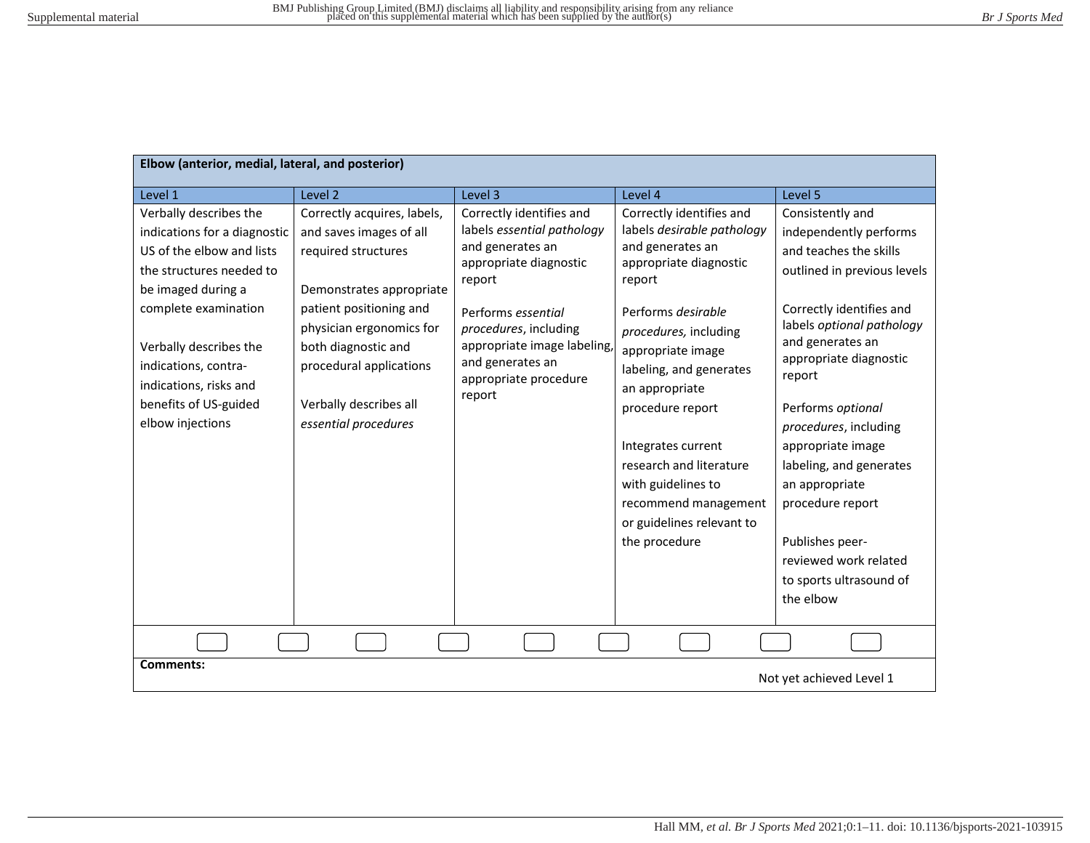| Elbow (anterior, medial, lateral, and posterior)                                                                                                                                                                                                                                       |                                                                                                                                                                                                                                                                      |                                                                                                                                                                                                                                                     |                                                                                                                                                                                                                                                                                                                                                                                                  |                                                                                                                                                                                                                                                                                                                                                                                                                                              |
|----------------------------------------------------------------------------------------------------------------------------------------------------------------------------------------------------------------------------------------------------------------------------------------|----------------------------------------------------------------------------------------------------------------------------------------------------------------------------------------------------------------------------------------------------------------------|-----------------------------------------------------------------------------------------------------------------------------------------------------------------------------------------------------------------------------------------------------|--------------------------------------------------------------------------------------------------------------------------------------------------------------------------------------------------------------------------------------------------------------------------------------------------------------------------------------------------------------------------------------------------|----------------------------------------------------------------------------------------------------------------------------------------------------------------------------------------------------------------------------------------------------------------------------------------------------------------------------------------------------------------------------------------------------------------------------------------------|
| Level 1                                                                                                                                                                                                                                                                                | Level 2                                                                                                                                                                                                                                                              | Level 3                                                                                                                                                                                                                                             | Level 4                                                                                                                                                                                                                                                                                                                                                                                          | Level 5                                                                                                                                                                                                                                                                                                                                                                                                                                      |
| Verbally describes the<br>indications for a diagnostic<br>US of the elbow and lists<br>the structures needed to<br>be imaged during a<br>complete examination<br>Verbally describes the<br>indications, contra-<br>indications, risks and<br>benefits of US-guided<br>elbow injections | Correctly acquires, labels,<br>and saves images of all<br>required structures<br>Demonstrates appropriate<br>patient positioning and<br>physician ergonomics for<br>both diagnostic and<br>procedural applications<br>Verbally describes all<br>essential procedures | Correctly identifies and<br>labels essential pathology<br>and generates an<br>appropriate diagnostic<br>report<br>Performs essential<br>procedures, including<br>appropriate image labeling,<br>and generates an<br>appropriate procedure<br>report | Correctly identifies and<br>labels desirable pathology<br>and generates an<br>appropriate diagnostic<br>report<br>Performs desirable<br>procedures, including<br>appropriate image<br>labeling, and generates<br>an appropriate<br>procedure report<br>Integrates current<br>research and literature<br>with guidelines to<br>recommend management<br>or guidelines relevant to<br>the procedure | Consistently and<br>independently performs<br>and teaches the skills<br>outlined in previous levels<br>Correctly identifies and<br>labels optional pathology<br>and generates an<br>appropriate diagnostic<br>report<br>Performs optional<br>procedures, including<br>appropriate image<br>labeling, and generates<br>an appropriate<br>procedure report<br>Publishes peer-<br>reviewed work related<br>to sports ultrasound of<br>the elbow |
|                                                                                                                                                                                                                                                                                        |                                                                                                                                                                                                                                                                      |                                                                                                                                                                                                                                                     |                                                                                                                                                                                                                                                                                                                                                                                                  |                                                                                                                                                                                                                                                                                                                                                                                                                                              |
| <b>Comments:</b><br>Not yet achieved Level 1                                                                                                                                                                                                                                           |                                                                                                                                                                                                                                                                      |                                                                                                                                                                                                                                                     |                                                                                                                                                                                                                                                                                                                                                                                                  |                                                                                                                                                                                                                                                                                                                                                                                                                                              |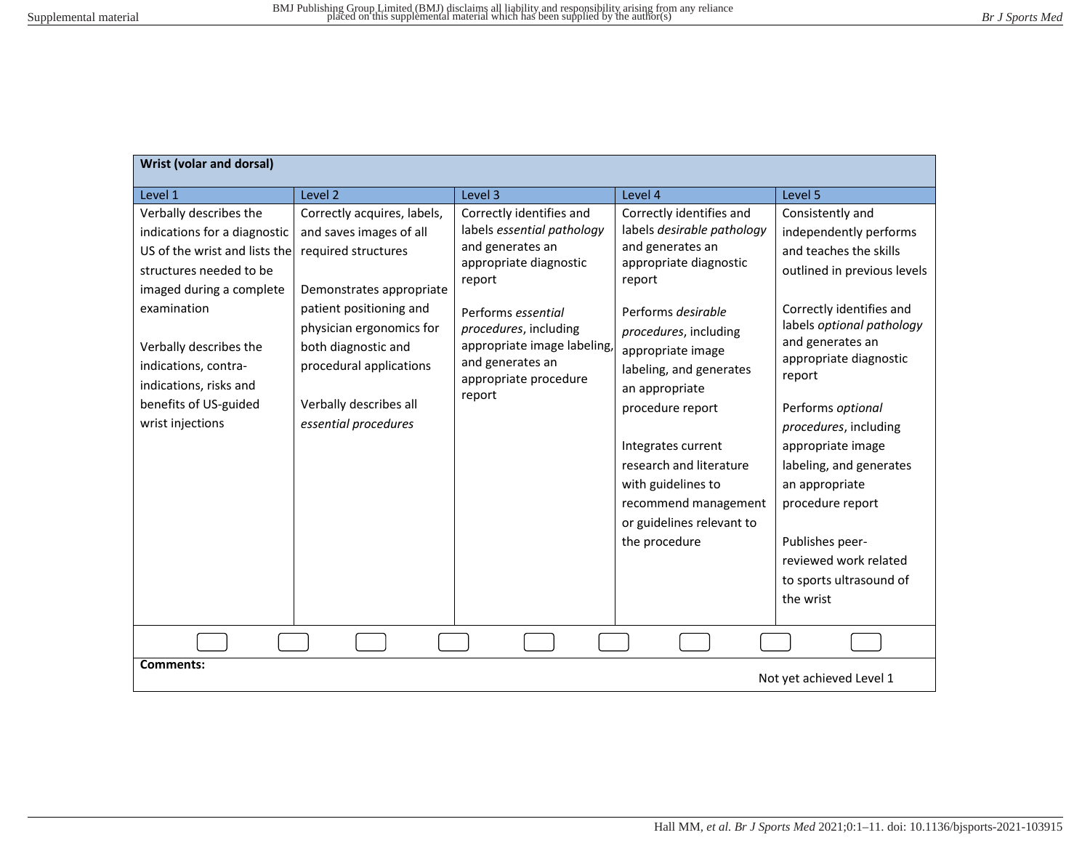| <b>Wrist (volar and dorsal)</b>                                                                                                                                                                                                                                                        |                                                                                                                                                                                                                                                                      |                                                                                                                                                                                                                                                     |                                                                                                                                                                                                                                                                                                                                                                                                  |                                                                                                                                                                                                                                                                                                                                                                                                                                              |
|----------------------------------------------------------------------------------------------------------------------------------------------------------------------------------------------------------------------------------------------------------------------------------------|----------------------------------------------------------------------------------------------------------------------------------------------------------------------------------------------------------------------------------------------------------------------|-----------------------------------------------------------------------------------------------------------------------------------------------------------------------------------------------------------------------------------------------------|--------------------------------------------------------------------------------------------------------------------------------------------------------------------------------------------------------------------------------------------------------------------------------------------------------------------------------------------------------------------------------------------------|----------------------------------------------------------------------------------------------------------------------------------------------------------------------------------------------------------------------------------------------------------------------------------------------------------------------------------------------------------------------------------------------------------------------------------------------|
| Level 1                                                                                                                                                                                                                                                                                | Level 2                                                                                                                                                                                                                                                              | Level 3                                                                                                                                                                                                                                             | Level 4                                                                                                                                                                                                                                                                                                                                                                                          | Level 5                                                                                                                                                                                                                                                                                                                                                                                                                                      |
| Verbally describes the<br>indications for a diagnostic<br>US of the wrist and lists the<br>structures needed to be<br>imaged during a complete<br>examination<br>Verbally describes the<br>indications, contra-<br>indications, risks and<br>benefits of US-guided<br>wrist injections | Correctly acquires, labels,<br>and saves images of all<br>required structures<br>Demonstrates appropriate<br>patient positioning and<br>physician ergonomics for<br>both diagnostic and<br>procedural applications<br>Verbally describes all<br>essential procedures | Correctly identifies and<br>labels essential pathology<br>and generates an<br>appropriate diagnostic<br>report<br>Performs essential<br>procedures, including<br>appropriate image labeling,<br>and generates an<br>appropriate procedure<br>report | Correctly identifies and<br>labels desirable pathology<br>and generates an<br>appropriate diagnostic<br>report<br>Performs desirable<br>procedures, including<br>appropriate image<br>labeling, and generates<br>an appropriate<br>procedure report<br>Integrates current<br>research and literature<br>with guidelines to<br>recommend management<br>or guidelines relevant to<br>the procedure | Consistently and<br>independently performs<br>and teaches the skills<br>outlined in previous levels<br>Correctly identifies and<br>labels optional pathology<br>and generates an<br>appropriate diagnostic<br>report<br>Performs optional<br>procedures, including<br>appropriate image<br>labeling, and generates<br>an appropriate<br>procedure report<br>Publishes peer-<br>reviewed work related<br>to sports ultrasound of<br>the wrist |
|                                                                                                                                                                                                                                                                                        |                                                                                                                                                                                                                                                                      |                                                                                                                                                                                                                                                     |                                                                                                                                                                                                                                                                                                                                                                                                  |                                                                                                                                                                                                                                                                                                                                                                                                                                              |
| <b>Comments:</b><br>Not yet achieved Level 1                                                                                                                                                                                                                                           |                                                                                                                                                                                                                                                                      |                                                                                                                                                                                                                                                     |                                                                                                                                                                                                                                                                                                                                                                                                  |                                                                                                                                                                                                                                                                                                                                                                                                                                              |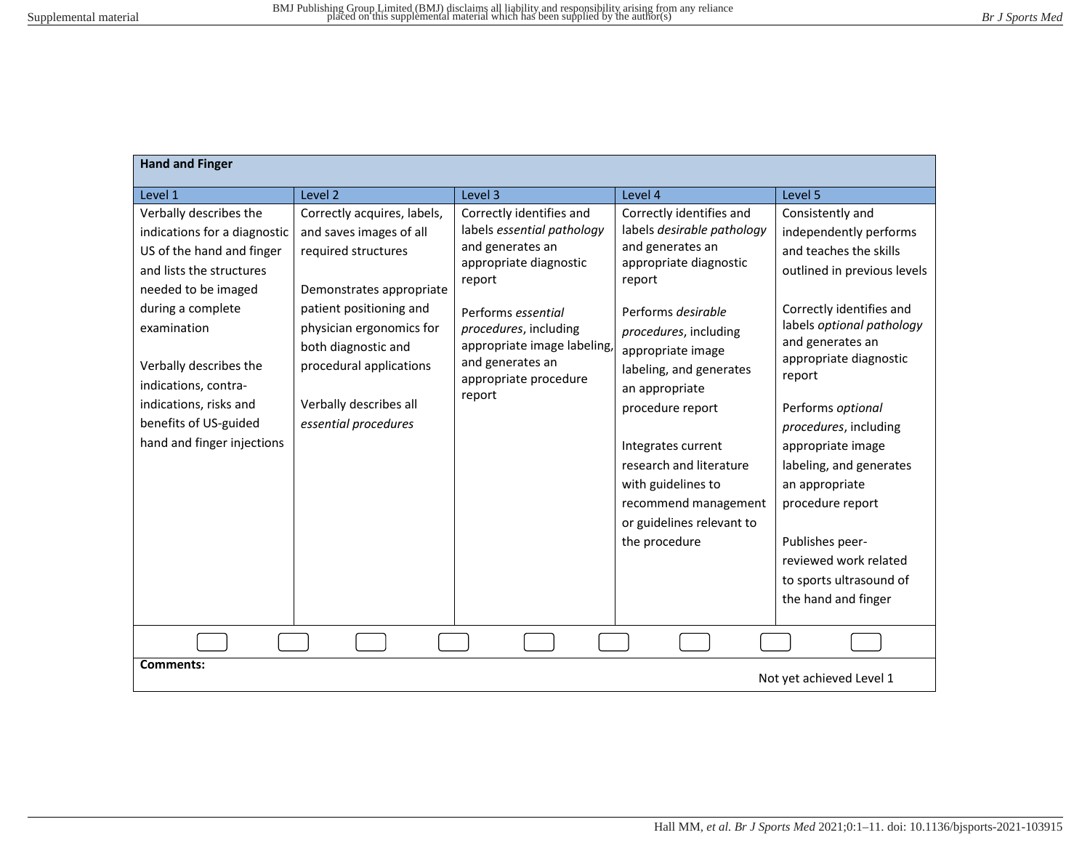| <b>Hand and Finger</b>                                                                                                                                                                                                                                                                                        |                                                                                                                                                                                                                                                                      |                                                                                                                                                                                                                                                     |                                                                                                                                                                                                                                                                                                                                                                                                  |                                                                                                                                                                                                                                                                                                                                                                                                                                                        |
|---------------------------------------------------------------------------------------------------------------------------------------------------------------------------------------------------------------------------------------------------------------------------------------------------------------|----------------------------------------------------------------------------------------------------------------------------------------------------------------------------------------------------------------------------------------------------------------------|-----------------------------------------------------------------------------------------------------------------------------------------------------------------------------------------------------------------------------------------------------|--------------------------------------------------------------------------------------------------------------------------------------------------------------------------------------------------------------------------------------------------------------------------------------------------------------------------------------------------------------------------------------------------|--------------------------------------------------------------------------------------------------------------------------------------------------------------------------------------------------------------------------------------------------------------------------------------------------------------------------------------------------------------------------------------------------------------------------------------------------------|
| Level 1                                                                                                                                                                                                                                                                                                       | Level 2                                                                                                                                                                                                                                                              | Level 3                                                                                                                                                                                                                                             | Level 4                                                                                                                                                                                                                                                                                                                                                                                          | Level 5                                                                                                                                                                                                                                                                                                                                                                                                                                                |
| Verbally describes the<br>indications for a diagnostic<br>US of the hand and finger<br>and lists the structures<br>needed to be imaged<br>during a complete<br>examination<br>Verbally describes the<br>indications, contra-<br>indications, risks and<br>benefits of US-guided<br>hand and finger injections | Correctly acquires, labels,<br>and saves images of all<br>required structures<br>Demonstrates appropriate<br>patient positioning and<br>physician ergonomics for<br>both diagnostic and<br>procedural applications<br>Verbally describes all<br>essential procedures | Correctly identifies and<br>labels essential pathology<br>and generates an<br>appropriate diagnostic<br>report<br>Performs essential<br>procedures, including<br>appropriate image labeling,<br>and generates an<br>appropriate procedure<br>report | Correctly identifies and<br>labels desirable pathology<br>and generates an<br>appropriate diagnostic<br>report<br>Performs desirable<br>procedures, including<br>appropriate image<br>labeling, and generates<br>an appropriate<br>procedure report<br>Integrates current<br>research and literature<br>with guidelines to<br>recommend management<br>or guidelines relevant to<br>the procedure | Consistently and<br>independently performs<br>and teaches the skills<br>outlined in previous levels<br>Correctly identifies and<br>labels optional pathology<br>and generates an<br>appropriate diagnostic<br>report<br>Performs optional<br>procedures, including<br>appropriate image<br>labeling, and generates<br>an appropriate<br>procedure report<br>Publishes peer-<br>reviewed work related<br>to sports ultrasound of<br>the hand and finger |
|                                                                                                                                                                                                                                                                                                               |                                                                                                                                                                                                                                                                      |                                                                                                                                                                                                                                                     |                                                                                                                                                                                                                                                                                                                                                                                                  |                                                                                                                                                                                                                                                                                                                                                                                                                                                        |
| <b>Comments:</b><br>Not yet achieved Level 1                                                                                                                                                                                                                                                                  |                                                                                                                                                                                                                                                                      |                                                                                                                                                                                                                                                     |                                                                                                                                                                                                                                                                                                                                                                                                  |                                                                                                                                                                                                                                                                                                                                                                                                                                                        |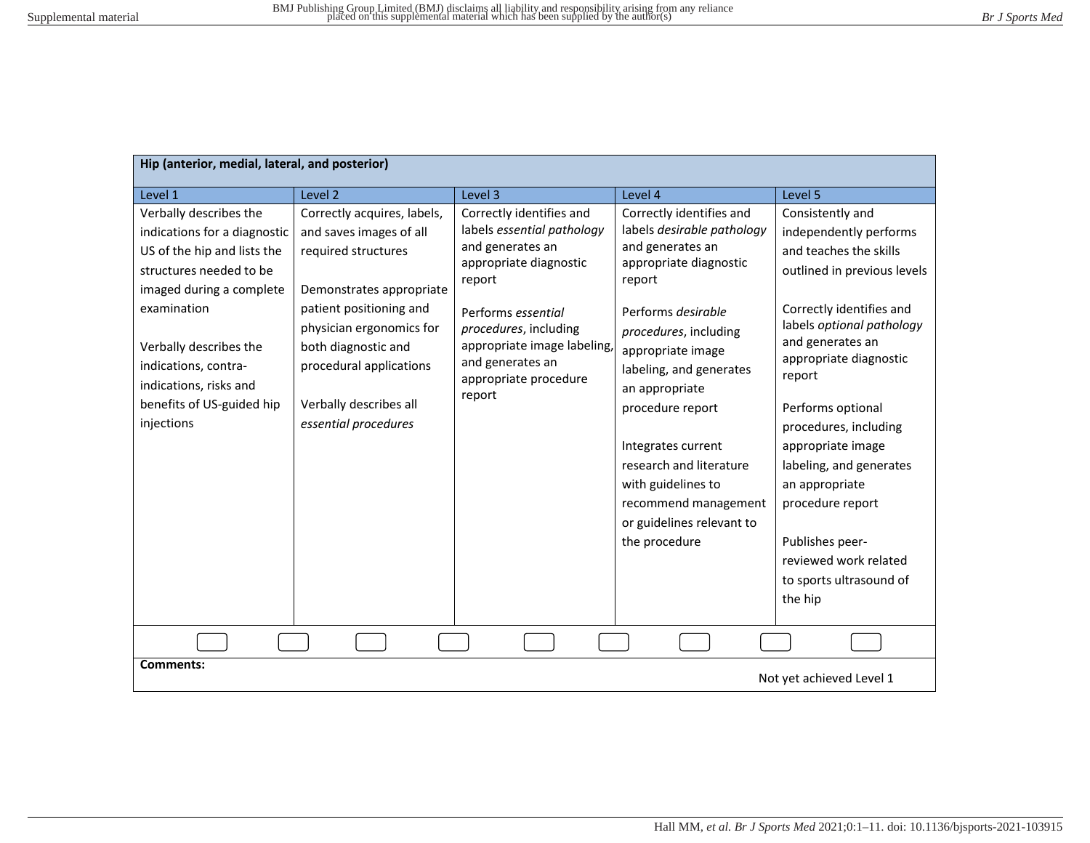| Hip (anterior, medial, lateral, and posterior)                                                                                                                                                                                                                                     |                                                                                                                                                                                                                                                                      |                                                                                                                                                                                                                                                     |                                                                                                                                                                                                                                                                                                                                                                                                  |                                                                                                                                                                                                                                                                                                                                                                                                                                            |
|------------------------------------------------------------------------------------------------------------------------------------------------------------------------------------------------------------------------------------------------------------------------------------|----------------------------------------------------------------------------------------------------------------------------------------------------------------------------------------------------------------------------------------------------------------------|-----------------------------------------------------------------------------------------------------------------------------------------------------------------------------------------------------------------------------------------------------|--------------------------------------------------------------------------------------------------------------------------------------------------------------------------------------------------------------------------------------------------------------------------------------------------------------------------------------------------------------------------------------------------|--------------------------------------------------------------------------------------------------------------------------------------------------------------------------------------------------------------------------------------------------------------------------------------------------------------------------------------------------------------------------------------------------------------------------------------------|
| Level 1                                                                                                                                                                                                                                                                            | Level 2                                                                                                                                                                                                                                                              | Level 3                                                                                                                                                                                                                                             | Level 4                                                                                                                                                                                                                                                                                                                                                                                          | Level 5                                                                                                                                                                                                                                                                                                                                                                                                                                    |
| Verbally describes the<br>indications for a diagnostic<br>US of the hip and lists the<br>structures needed to be<br>imaged during a complete<br>examination<br>Verbally describes the<br>indications, contra-<br>indications, risks and<br>benefits of US-guided hip<br>injections | Correctly acquires, labels,<br>and saves images of all<br>required structures<br>Demonstrates appropriate<br>patient positioning and<br>physician ergonomics for<br>both diagnostic and<br>procedural applications<br>Verbally describes all<br>essential procedures | Correctly identifies and<br>labels essential pathology<br>and generates an<br>appropriate diagnostic<br>report<br>Performs essential<br>procedures, including<br>appropriate image labeling,<br>and generates an<br>appropriate procedure<br>report | Correctly identifies and<br>labels desirable pathology<br>and generates an<br>appropriate diagnostic<br>report<br>Performs desirable<br>procedures, including<br>appropriate image<br>labeling, and generates<br>an appropriate<br>procedure report<br>Integrates current<br>research and literature<br>with guidelines to<br>recommend management<br>or guidelines relevant to<br>the procedure | Consistently and<br>independently performs<br>and teaches the skills<br>outlined in previous levels<br>Correctly identifies and<br>labels optional pathology<br>and generates an<br>appropriate diagnostic<br>report<br>Performs optional<br>procedures, including<br>appropriate image<br>labeling, and generates<br>an appropriate<br>procedure report<br>Publishes peer-<br>reviewed work related<br>to sports ultrasound of<br>the hip |
|                                                                                                                                                                                                                                                                                    |                                                                                                                                                                                                                                                                      |                                                                                                                                                                                                                                                     |                                                                                                                                                                                                                                                                                                                                                                                                  |                                                                                                                                                                                                                                                                                                                                                                                                                                            |
| <b>Comments:</b><br>Not yet achieved Level 1                                                                                                                                                                                                                                       |                                                                                                                                                                                                                                                                      |                                                                                                                                                                                                                                                     |                                                                                                                                                                                                                                                                                                                                                                                                  |                                                                                                                                                                                                                                                                                                                                                                                                                                            |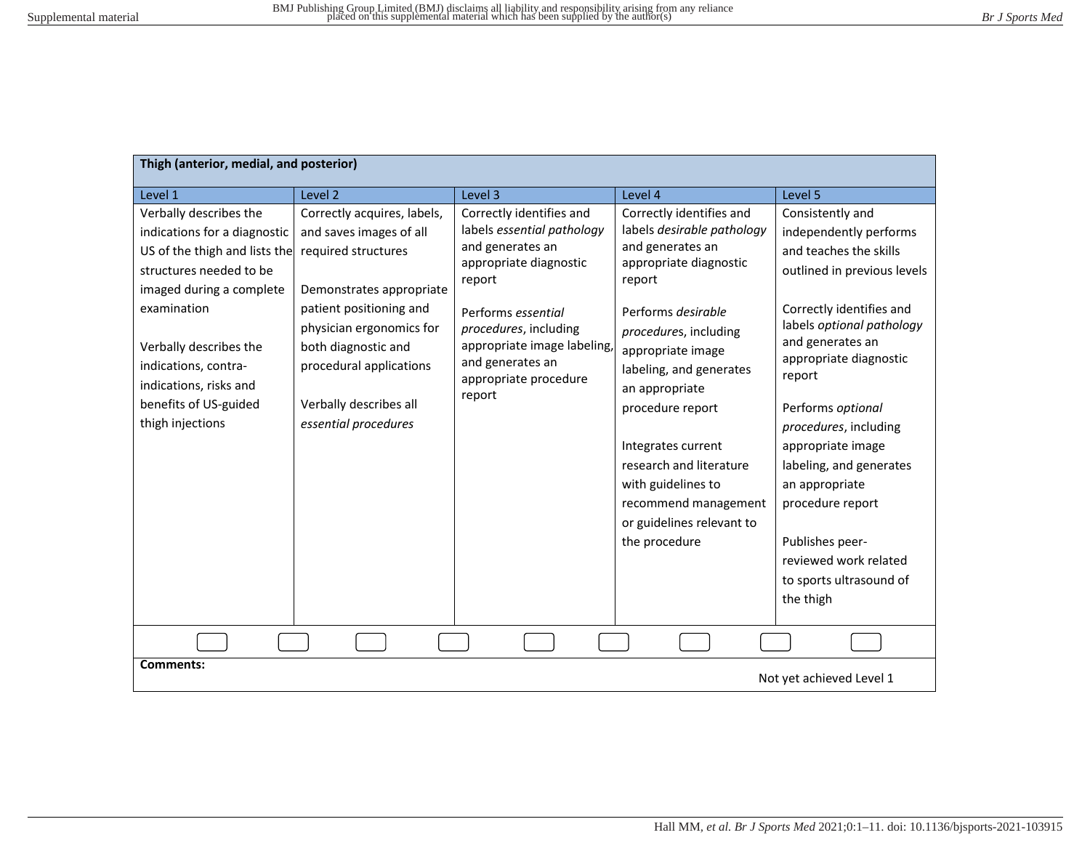| Thigh (anterior, medial, and posterior)                                                                                                                                                                                                                                                |                                                                                                                                                                                                                                                                      |                                                                                                                                                                                                                                                     |                                                                                                                                                                                                                                                                                                                                                                                                  |                                                                                                                                                                                                                                                                                                                                                                                                                                              |
|----------------------------------------------------------------------------------------------------------------------------------------------------------------------------------------------------------------------------------------------------------------------------------------|----------------------------------------------------------------------------------------------------------------------------------------------------------------------------------------------------------------------------------------------------------------------|-----------------------------------------------------------------------------------------------------------------------------------------------------------------------------------------------------------------------------------------------------|--------------------------------------------------------------------------------------------------------------------------------------------------------------------------------------------------------------------------------------------------------------------------------------------------------------------------------------------------------------------------------------------------|----------------------------------------------------------------------------------------------------------------------------------------------------------------------------------------------------------------------------------------------------------------------------------------------------------------------------------------------------------------------------------------------------------------------------------------------|
| Level 1                                                                                                                                                                                                                                                                                | Level <sub>2</sub>                                                                                                                                                                                                                                                   | Level 3                                                                                                                                                                                                                                             | Level 4                                                                                                                                                                                                                                                                                                                                                                                          | Level 5                                                                                                                                                                                                                                                                                                                                                                                                                                      |
| Verbally describes the<br>indications for a diagnostic<br>US of the thigh and lists the<br>structures needed to be<br>imaged during a complete<br>examination<br>Verbally describes the<br>indications, contra-<br>indications, risks and<br>benefits of US-guided<br>thigh injections | Correctly acquires, labels,<br>and saves images of all<br>required structures<br>Demonstrates appropriate<br>patient positioning and<br>physician ergonomics for<br>both diagnostic and<br>procedural applications<br>Verbally describes all<br>essential procedures | Correctly identifies and<br>labels essential pathology<br>and generates an<br>appropriate diagnostic<br>report<br>Performs essential<br>procedures, including<br>appropriate image labeling,<br>and generates an<br>appropriate procedure<br>report | Correctly identifies and<br>labels desirable pathology<br>and generates an<br>appropriate diagnostic<br>report<br>Performs desirable<br>procedures, including<br>appropriate image<br>labeling, and generates<br>an appropriate<br>procedure report<br>Integrates current<br>research and literature<br>with guidelines to<br>recommend management<br>or guidelines relevant to<br>the procedure | Consistently and<br>independently performs<br>and teaches the skills<br>outlined in previous levels<br>Correctly identifies and<br>labels optional pathology<br>and generates an<br>appropriate diagnostic<br>report<br>Performs optional<br>procedures, including<br>appropriate image<br>labeling, and generates<br>an appropriate<br>procedure report<br>Publishes peer-<br>reviewed work related<br>to sports ultrasound of<br>the thigh |
|                                                                                                                                                                                                                                                                                        |                                                                                                                                                                                                                                                                      |                                                                                                                                                                                                                                                     |                                                                                                                                                                                                                                                                                                                                                                                                  |                                                                                                                                                                                                                                                                                                                                                                                                                                              |
| <b>Comments:</b><br>Not yet achieved Level 1                                                                                                                                                                                                                                           |                                                                                                                                                                                                                                                                      |                                                                                                                                                                                                                                                     |                                                                                                                                                                                                                                                                                                                                                                                                  |                                                                                                                                                                                                                                                                                                                                                                                                                                              |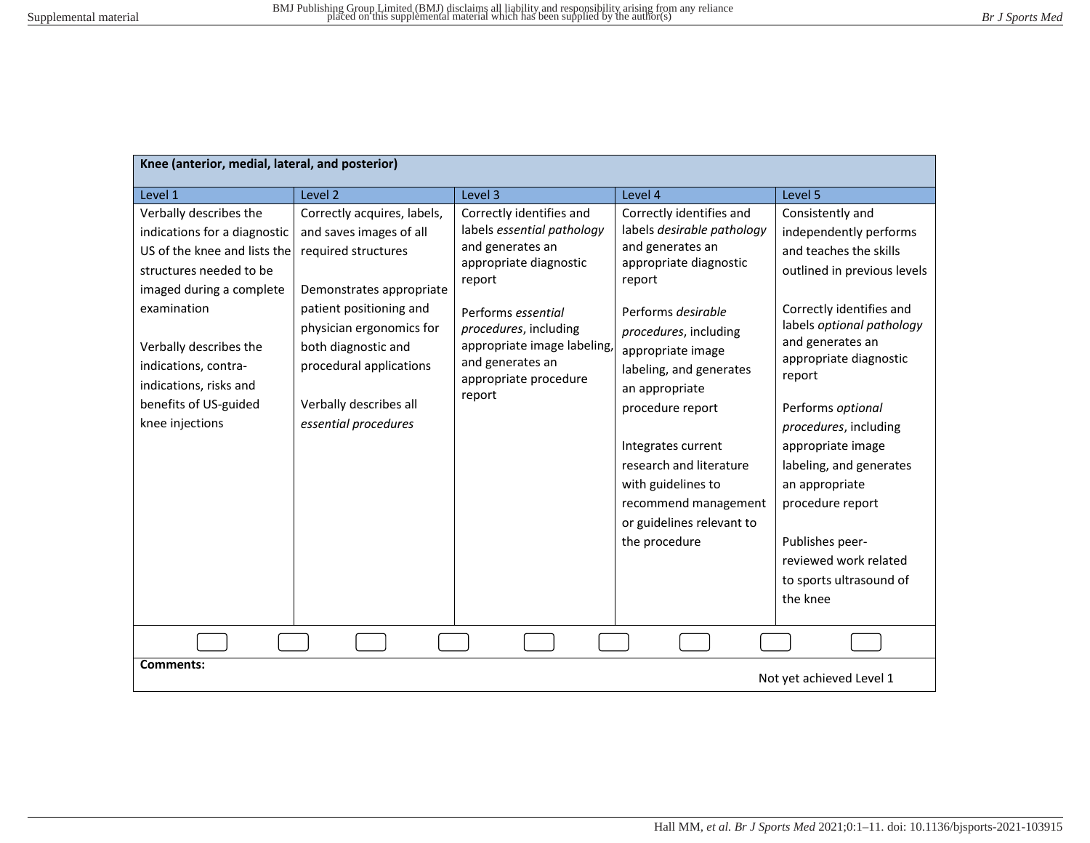| Knee (anterior, medial, lateral, and posterior)                                                                                                                                                                                                                                      |                                                                                                                                                                                                                                                                      |                                                                                                                                                                                                                                                     |                                                                                                                                                                                                                                                                                                                                                                                                  |                                                                                                                                                                                                                                                                                                                                                                                                                                             |
|--------------------------------------------------------------------------------------------------------------------------------------------------------------------------------------------------------------------------------------------------------------------------------------|----------------------------------------------------------------------------------------------------------------------------------------------------------------------------------------------------------------------------------------------------------------------|-----------------------------------------------------------------------------------------------------------------------------------------------------------------------------------------------------------------------------------------------------|--------------------------------------------------------------------------------------------------------------------------------------------------------------------------------------------------------------------------------------------------------------------------------------------------------------------------------------------------------------------------------------------------|---------------------------------------------------------------------------------------------------------------------------------------------------------------------------------------------------------------------------------------------------------------------------------------------------------------------------------------------------------------------------------------------------------------------------------------------|
| Level 1                                                                                                                                                                                                                                                                              | Level <sub>2</sub>                                                                                                                                                                                                                                                   | Level 3                                                                                                                                                                                                                                             | Level 4                                                                                                                                                                                                                                                                                                                                                                                          | Level 5                                                                                                                                                                                                                                                                                                                                                                                                                                     |
| Verbally describes the<br>indications for a diagnostic<br>US of the knee and lists the<br>structures needed to be<br>imaged during a complete<br>examination<br>Verbally describes the<br>indications, contra-<br>indications, risks and<br>benefits of US-guided<br>knee injections | Correctly acquires, labels,<br>and saves images of all<br>required structures<br>Demonstrates appropriate<br>patient positioning and<br>physician ergonomics for<br>both diagnostic and<br>procedural applications<br>Verbally describes all<br>essential procedures | Correctly identifies and<br>labels essential pathology<br>and generates an<br>appropriate diagnostic<br>report<br>Performs essential<br>procedures, including<br>appropriate image labeling,<br>and generates an<br>appropriate procedure<br>report | Correctly identifies and<br>labels desirable pathology<br>and generates an<br>appropriate diagnostic<br>report<br>Performs desirable<br>procedures, including<br>appropriate image<br>labeling, and generates<br>an appropriate<br>procedure report<br>Integrates current<br>research and literature<br>with guidelines to<br>recommend management<br>or guidelines relevant to<br>the procedure | Consistently and<br>independently performs<br>and teaches the skills<br>outlined in previous levels<br>Correctly identifies and<br>labels optional pathology<br>and generates an<br>appropriate diagnostic<br>report<br>Performs optional<br>procedures, including<br>appropriate image<br>labeling, and generates<br>an appropriate<br>procedure report<br>Publishes peer-<br>reviewed work related<br>to sports ultrasound of<br>the knee |
|                                                                                                                                                                                                                                                                                      |                                                                                                                                                                                                                                                                      |                                                                                                                                                                                                                                                     |                                                                                                                                                                                                                                                                                                                                                                                                  |                                                                                                                                                                                                                                                                                                                                                                                                                                             |
| <b>Comments:</b><br>Not yet achieved Level 1                                                                                                                                                                                                                                         |                                                                                                                                                                                                                                                                      |                                                                                                                                                                                                                                                     |                                                                                                                                                                                                                                                                                                                                                                                                  |                                                                                                                                                                                                                                                                                                                                                                                                                                             |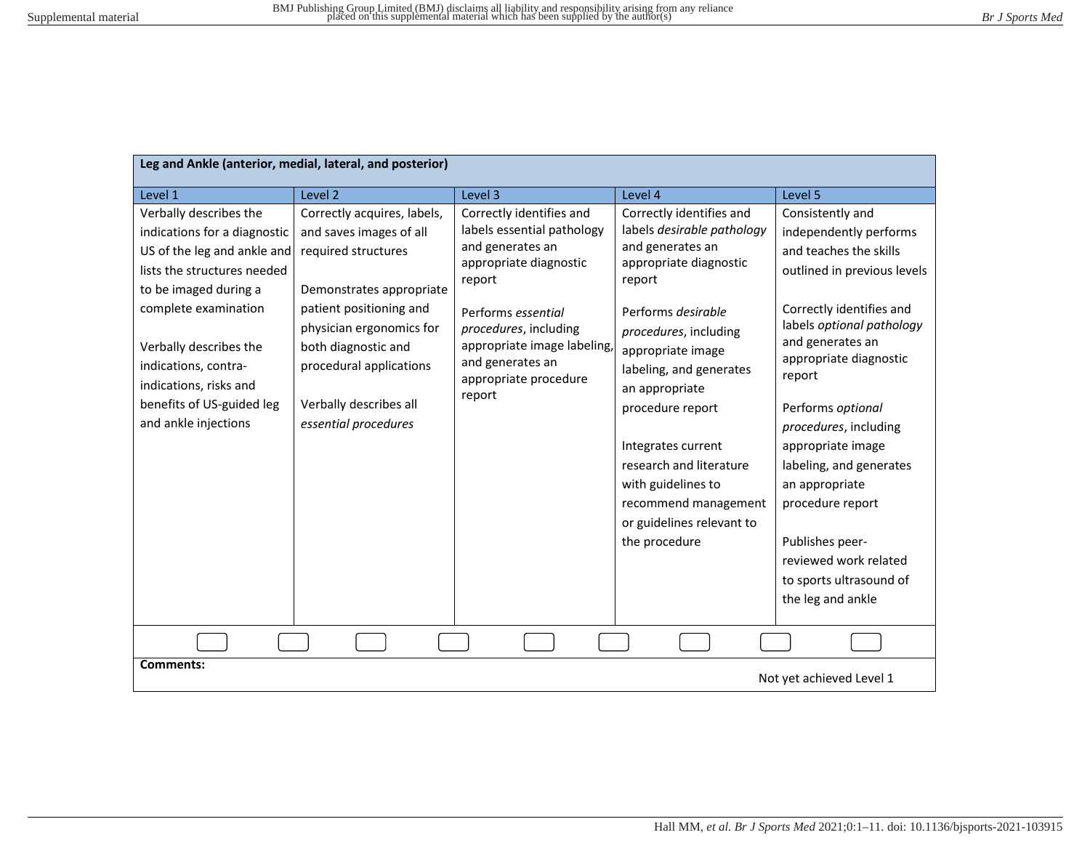| Leg and Ankle (anterior, medial, lateral, and posterior)                                                                                                                                                                                                                                               |                                                                                                                                                                                                                                                                      |                                                                                                                                                                                                                                                     |                                                                                                                                                                                                                                                                                                                                                                                                  |                                                                                                                                                                                                                                                                                                                                                                                                                                                      |
|--------------------------------------------------------------------------------------------------------------------------------------------------------------------------------------------------------------------------------------------------------------------------------------------------------|----------------------------------------------------------------------------------------------------------------------------------------------------------------------------------------------------------------------------------------------------------------------|-----------------------------------------------------------------------------------------------------------------------------------------------------------------------------------------------------------------------------------------------------|--------------------------------------------------------------------------------------------------------------------------------------------------------------------------------------------------------------------------------------------------------------------------------------------------------------------------------------------------------------------------------------------------|------------------------------------------------------------------------------------------------------------------------------------------------------------------------------------------------------------------------------------------------------------------------------------------------------------------------------------------------------------------------------------------------------------------------------------------------------|
| Level 1                                                                                                                                                                                                                                                                                                | Level 2                                                                                                                                                                                                                                                              | Level 3                                                                                                                                                                                                                                             | Level 4                                                                                                                                                                                                                                                                                                                                                                                          | Level 5                                                                                                                                                                                                                                                                                                                                                                                                                                              |
| Verbally describes the<br>indications for a diagnostic<br>US of the leg and ankle and<br>lists the structures needed<br>to be imaged during a<br>complete examination<br>Verbally describes the<br>indications, contra-<br>indications, risks and<br>benefits of US-guided leg<br>and ankle injections | Correctly acquires, labels,<br>and saves images of all<br>required structures<br>Demonstrates appropriate<br>patient positioning and<br>physician ergonomics for<br>both diagnostic and<br>procedural applications<br>Verbally describes all<br>essential procedures | Correctly identifies and<br>labels essential pathology<br>and generates an<br>appropriate diagnostic<br>report<br>Performs essential<br>procedures, including<br>appropriate image labeling,<br>and generates an<br>appropriate procedure<br>report | Correctly identifies and<br>labels desirable pathology<br>and generates an<br>appropriate diagnostic<br>report<br>Performs desirable<br>procedures, including<br>appropriate image<br>labeling, and generates<br>an appropriate<br>procedure report<br>Integrates current<br>research and literature<br>with guidelines to<br>recommend management<br>or guidelines relevant to<br>the procedure | Consistently and<br>independently performs<br>and teaches the skills<br>outlined in previous levels<br>Correctly identifies and<br>labels optional pathology<br>and generates an<br>appropriate diagnostic<br>report<br>Performs optional<br>procedures, including<br>appropriate image<br>labeling, and generates<br>an appropriate<br>procedure report<br>Publishes peer-<br>reviewed work related<br>to sports ultrasound of<br>the leg and ankle |
|                                                                                                                                                                                                                                                                                                        |                                                                                                                                                                                                                                                                      |                                                                                                                                                                                                                                                     |                                                                                                                                                                                                                                                                                                                                                                                                  |                                                                                                                                                                                                                                                                                                                                                                                                                                                      |
| <b>Comments:</b><br>Not yet achieved Level 1                                                                                                                                                                                                                                                           |                                                                                                                                                                                                                                                                      |                                                                                                                                                                                                                                                     |                                                                                                                                                                                                                                                                                                                                                                                                  |                                                                                                                                                                                                                                                                                                                                                                                                                                                      |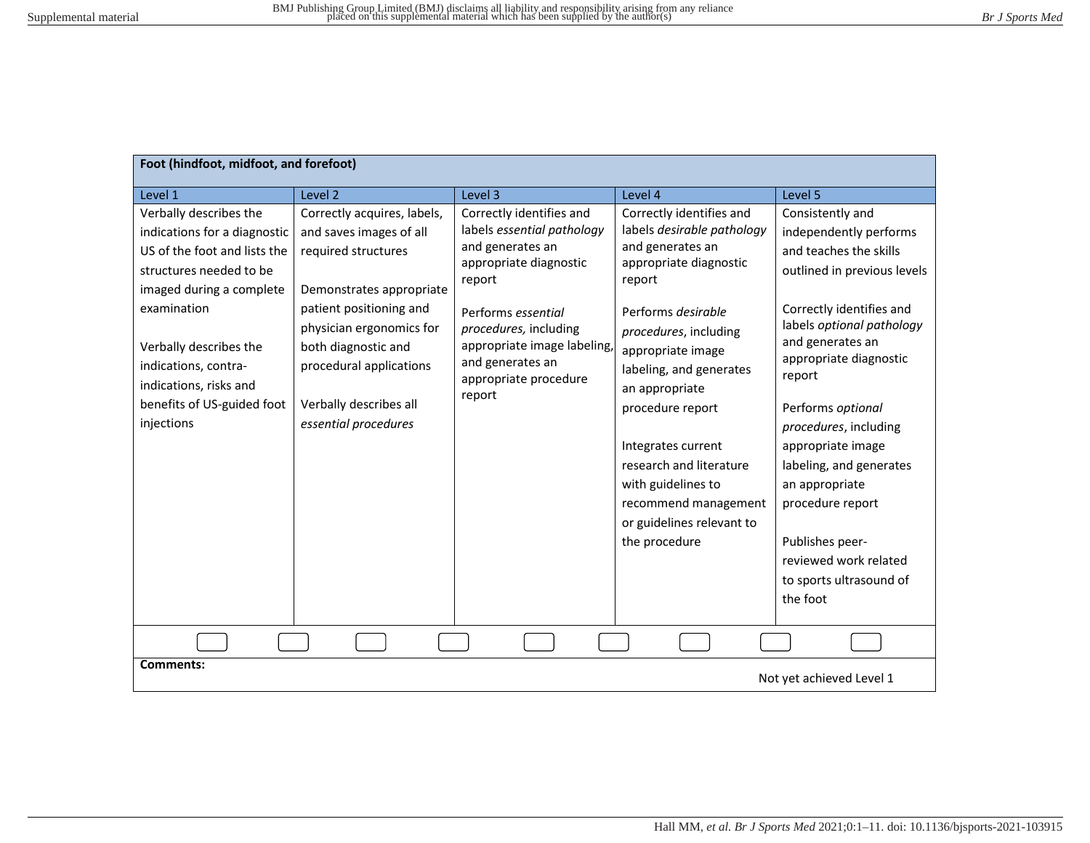| Foot (hindfoot, midfoot, and forefoot)                                                                                                                                                                                                                                               |                                                                                                                                                                                                                                                                      |                                                                                                                                                                                                                                                     |                                                                                                                                                                                                                                                                                                                                                                                                  |                                                                                                                                                                                                                                                                                                                                                                                                                                             |
|--------------------------------------------------------------------------------------------------------------------------------------------------------------------------------------------------------------------------------------------------------------------------------------|----------------------------------------------------------------------------------------------------------------------------------------------------------------------------------------------------------------------------------------------------------------------|-----------------------------------------------------------------------------------------------------------------------------------------------------------------------------------------------------------------------------------------------------|--------------------------------------------------------------------------------------------------------------------------------------------------------------------------------------------------------------------------------------------------------------------------------------------------------------------------------------------------------------------------------------------------|---------------------------------------------------------------------------------------------------------------------------------------------------------------------------------------------------------------------------------------------------------------------------------------------------------------------------------------------------------------------------------------------------------------------------------------------|
| Level 1                                                                                                                                                                                                                                                                              | Level <sub>2</sub>                                                                                                                                                                                                                                                   | Level 3                                                                                                                                                                                                                                             | Level 4                                                                                                                                                                                                                                                                                                                                                                                          | Level 5                                                                                                                                                                                                                                                                                                                                                                                                                                     |
| Verbally describes the<br>indications for a diagnostic<br>US of the foot and lists the<br>structures needed to be<br>imaged during a complete<br>examination<br>Verbally describes the<br>indications, contra-<br>indications, risks and<br>benefits of US-guided foot<br>injections | Correctly acquires, labels,<br>and saves images of all<br>required structures<br>Demonstrates appropriate<br>patient positioning and<br>physician ergonomics for<br>both diagnostic and<br>procedural applications<br>Verbally describes all<br>essential procedures | Correctly identifies and<br>labels essential pathology<br>and generates an<br>appropriate diagnostic<br>report<br>Performs essential<br>procedures, including<br>appropriate image labeling,<br>and generates an<br>appropriate procedure<br>report | Correctly identifies and<br>labels desirable pathology<br>and generates an<br>appropriate diagnostic<br>report<br>Performs desirable<br>procedures, including<br>appropriate image<br>labeling, and generates<br>an appropriate<br>procedure report<br>Integrates current<br>research and literature<br>with guidelines to<br>recommend management<br>or guidelines relevant to<br>the procedure | Consistently and<br>independently performs<br>and teaches the skills<br>outlined in previous levels<br>Correctly identifies and<br>labels optional pathology<br>and generates an<br>appropriate diagnostic<br>report<br>Performs optional<br>procedures, including<br>appropriate image<br>labeling, and generates<br>an appropriate<br>procedure report<br>Publishes peer-<br>reviewed work related<br>to sports ultrasound of<br>the foot |
|                                                                                                                                                                                                                                                                                      |                                                                                                                                                                                                                                                                      |                                                                                                                                                                                                                                                     |                                                                                                                                                                                                                                                                                                                                                                                                  |                                                                                                                                                                                                                                                                                                                                                                                                                                             |
| <b>Comments:</b><br>Not yet achieved Level 1                                                                                                                                                                                                                                         |                                                                                                                                                                                                                                                                      |                                                                                                                                                                                                                                                     |                                                                                                                                                                                                                                                                                                                                                                                                  |                                                                                                                                                                                                                                                                                                                                                                                                                                             |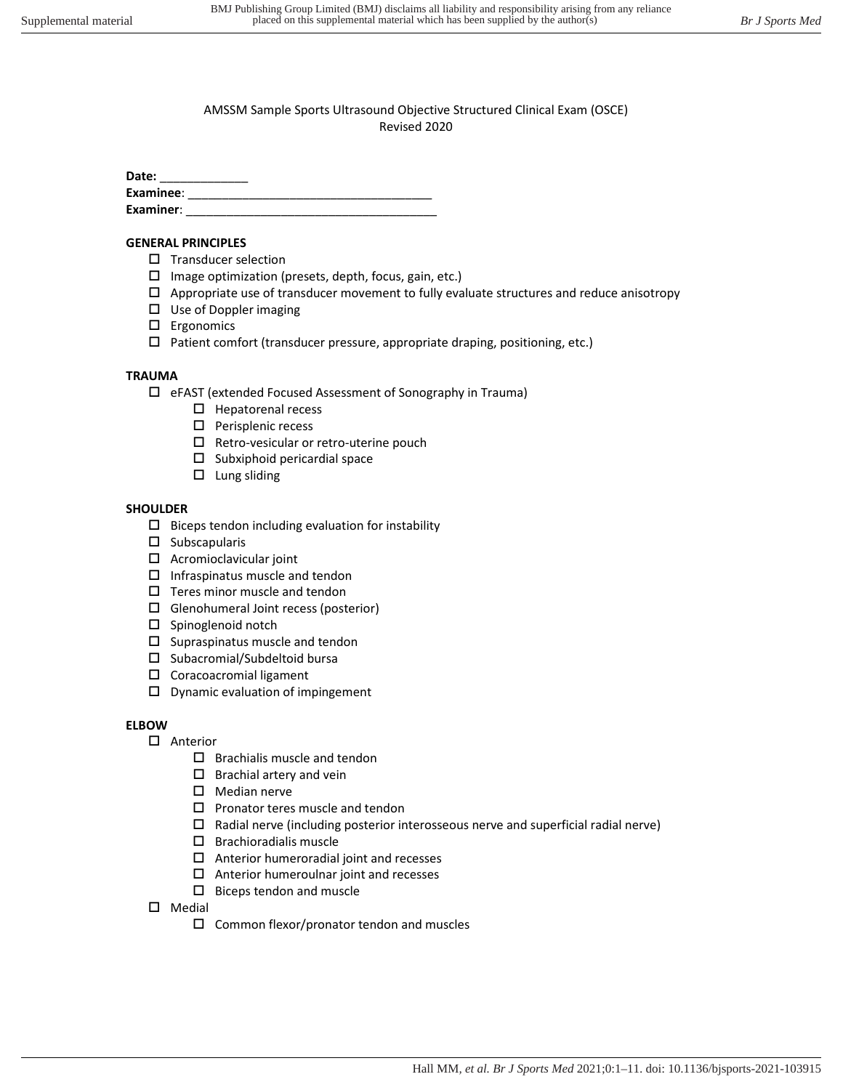Date:

| -------   |  |
|-----------|--|
| Examinee: |  |
| Examiner: |  |

## **GENERAL PRINCIPLES**

- $\square$  Transducer selection
- $\square$  Image optimization (presets, depth, focus, gain, etc.)
- $\Box$  Appropriate use of transducer movement to fully evaluate structures and reduce anisotropy
- $\square$  Use of Doppler imaging
- Ergonomics
- $\Box$  Patient comfort (transducer pressure, appropriate draping, positioning, etc.)

# **TRAUMA**

- eFAST (extended Focused Assessment of Sonography in Trauma)
	- $\square$  Hepatorenal recess
	- $\square$  Perisplenic recess
	- $\square$  Retro-vesicular or retro-uterine pouch
	- $\square$  Subxiphoid pericardial space
	- $\square$  Lung sliding

# **SHOULDER**

- $\square$  Biceps tendon including evaluation for instability
- $\square$  Subscapularis
- $\Box$  Acromioclavicular joint
- $\square$  Infraspinatus muscle and tendon
- $\square$  Teres minor muscle and tendon
- $\Box$  Glenohumeral Joint recess (posterior)
- $\square$  Spinoglenoid notch
- $\square$  Supraspinatus muscle and tendon
- $\square$  Subacromial/Subdeltoid bursa
- □ Coracoacromial ligament
- $\square$  Dynamic evaluation of impingement

# **ELBOW**

- □ Anterior
	- $\square$  Brachialis muscle and tendon
	- $\square$  Brachial artery and vein
	- $\square$  Median nerve
	- $\square$  Pronator teres muscle and tendon
	- $\square$  Radial nerve (including posterior interosseous nerve and superficial radial nerve)
	- $\square$  Brachioradialis muscle
	- $\Box$  Anterior humeroradial joint and recesses
	- $\Box$  Anterior humeroulnar joint and recesses
	- $\square$  Biceps tendon and muscle
- $\square$  Medial
	- $\square$  Common flexor/pronator tendon and muscles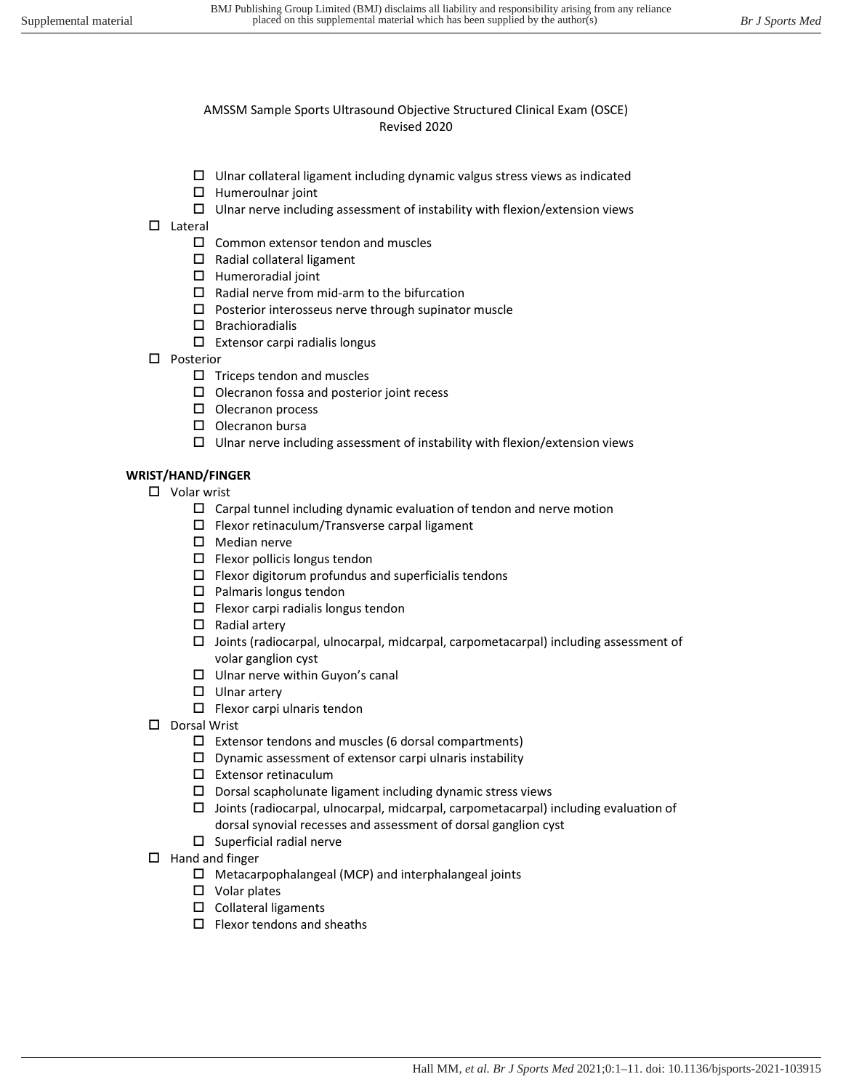- $\Box$  Ulnar collateral ligament including dynamic valgus stress views as indicated
- $\Box$  Humeroulnar joint
- $\square$  Ulnar nerve including assessment of instability with flexion/extension views
- $\square$  Lateral
	- $\square$  Common extensor tendon and muscles
	- $\square$  Radial collateral ligament
	- $\Box$  Humeroradial joint
	- $\square$  Radial nerve from mid-arm to the bifurcation
	- $\square$  Posterior interosseus nerve through supinator muscle
	- $\square$  Brachioradialis
	- $\Box$  Extensor carpi radialis longus
- □ Posterior
	- $\square$  Triceps tendon and muscles
	- $\square$  Olecranon fossa and posterior joint recess
	- $\square$  Olecranon process
	- $\square$  Olecranon bursa
	- $\square$  Ulnar nerve including assessment of instability with flexion/extension views

#### **WRIST/HAND/FINGER**

- □ Volar wrist
	- $\Box$  Carpal tunnel including dynamic evaluation of tendon and nerve motion
	- $\square$  Flexor retinaculum/Transverse carpal ligament
	- $\square$  Median nerve
	- $\square$  Flexor pollicis longus tendon
	- $\square$  Flexor digitorum profundus and superficialis tendons
	- $\square$  Palmaris longus tendon
	- $\Box$  Flexor carpi radialis longus tendon
	- $\square$  Radial artery
	- $\Box$  Joints (radiocarpal, ulnocarpal, midcarpal, carpometacarpal) including assessment of volar ganglion cyst
	- $\square$  Ulnar nerve within Guyon's canal
	- $\square$  Ulnar artery
	- $\Box$  Flexor carpi ulnaris tendon
- D Dorsal Wrist
	- $\square$  Extensor tendons and muscles (6 dorsal compartments)
	- $\square$  Dynamic assessment of extensor carpi ulnaris instability
	- Extensor retinaculum
	- $\square$  Dorsal scapholunate ligament including dynamic stress views
	- $\Box$  Joints (radiocarpal, ulnocarpal, midcarpal, carpometacarpal) including evaluation of dorsal synovial recesses and assessment of dorsal ganglion cyst
	- $\square$  Superficial radial nerve
- $\Box$  Hand and finger
	- $\Box$  Metacarpophalangeal (MCP) and interphalangeal joints
	- □ Volar plates
	- $\square$  Collateral ligaments
	- $\Box$  Flexor tendons and sheaths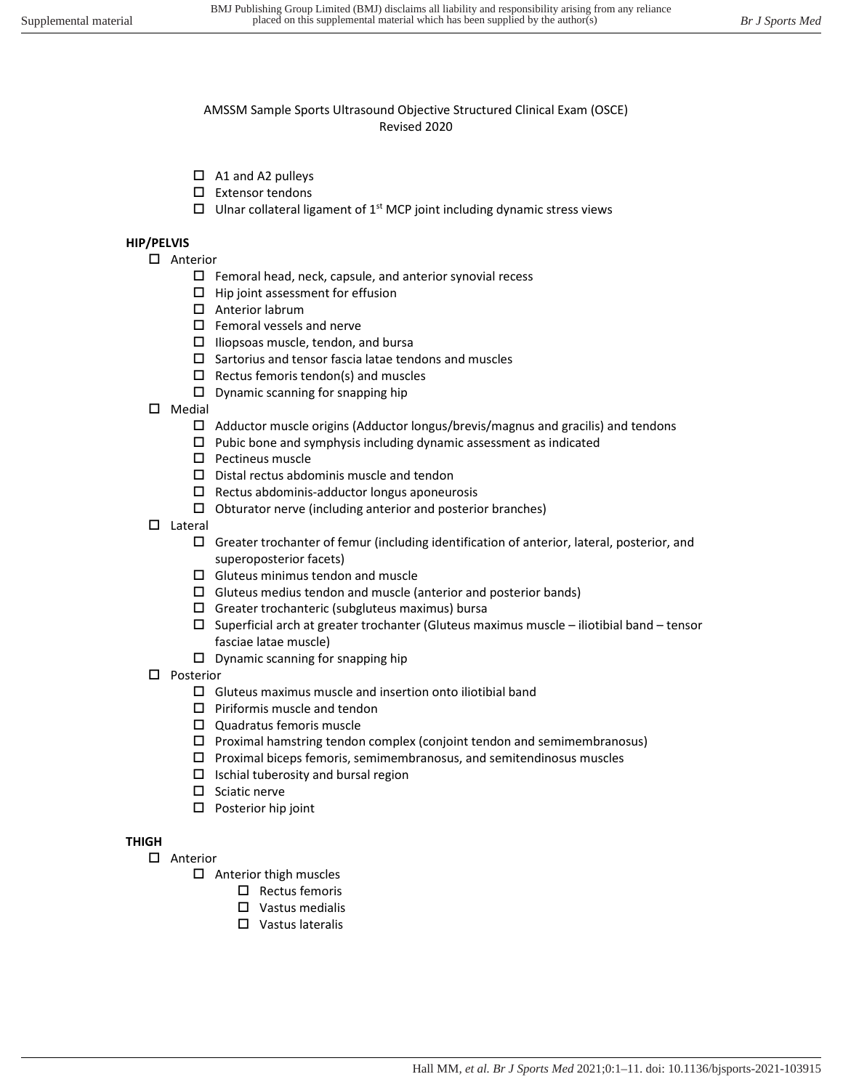- $\Box$  A1 and A2 pulleys
- $\square$  Extensor tendons
- $\Box$  Ulnar collateral ligament of 1<sup>st</sup> MCP joint including dynamic stress views

#### **HIP/PELVIS**

- □ Anterior
	- $\Box$  Femoral head, neck, capsule, and anterior synovial recess
	- $\Box$  Hip joint assessment for effusion
	- □ Anterior labrum
	- $\square$  Femoral vessels and nerve
	- $\Box$  Iliopsoas muscle, tendon, and bursa
	- $\square$  Sartorius and tensor fascia latae tendons and muscles
	- $\Box$  Rectus femoris tendon(s) and muscles
	- $\square$  Dynamic scanning for snapping hip
- $\square$  Medial
	- $\Box$  Adductor muscle origins (Adductor longus/brevis/magnus and gracilis) and tendons
	- $\square$  Pubic bone and symphysis including dynamic assessment as indicated
	- $\square$  Pectineus muscle
	- $\square$  Distal rectus abdominis muscle and tendon
	- $\square$  Rectus abdominis-adductor longus aponeurosis
	- $\Box$  Obturator nerve (including anterior and posterior branches)
- $\square$  Lateral
	- Greater trochanter of femur (including identification of anterior, lateral, posterior, and superoposterior facets)
	- $\square$  Gluteus minimus tendon and muscle
	- $\Box$  Gluteus medius tendon and muscle (anterior and posterior bands)
	- $\square$  Greater trochanteric (subgluteus maximus) bursa
	- $\square$  Superficial arch at greater trochanter (Gluteus maximus muscle iliotibial band tensor fasciae latae muscle)
	- $\square$  Dynamic scanning for snapping hip
- □ Posterior
	- $\square$  Gluteus maximus muscle and insertion onto iliotibial band
	- $\square$  Piriformis muscle and tendon
	- □ Quadratus femoris muscle
	- $\square$  Proximal hamstring tendon complex (conjoint tendon and semimembranosus)
	- $\Box$  Proximal biceps femoris, semimembranosus, and semitendinosus muscles
	- $\Box$  Ischial tuberosity and bursal region
	- $\square$  Sciatic nerve
	- $\square$  Posterior hip joint

# **THIGH**

- □ Anterior
	- $\Box$  Anterior thigh muscles
		- $\Box$  Rectus femoris
		- □ Vastus medialis
		- □ Vastus lateralis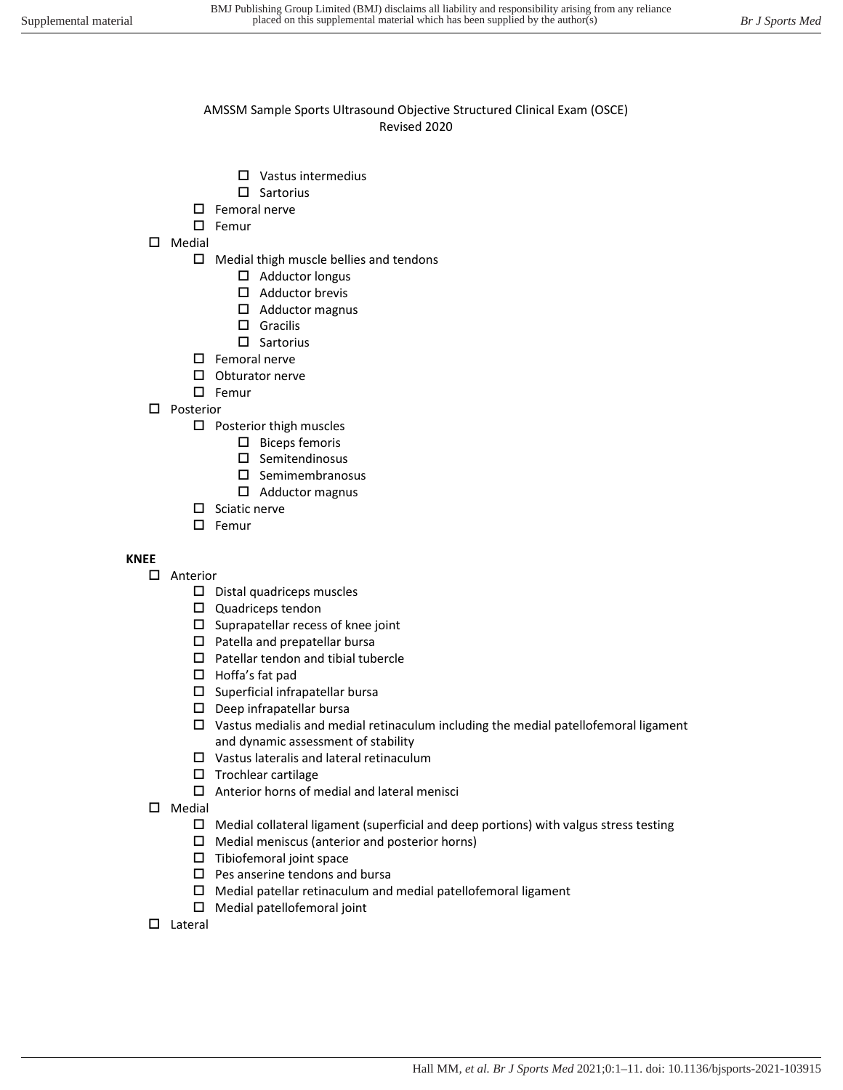- Vastus intermedius
- $\square$  Sartorius
- $\square$  Femoral nerve
- $\square$  Femur
- Medial
	- $\Box$  Medial thigh muscle bellies and tendons
		- $\Box$  Adductor longus
		- $\Box$  Adductor brevis
		- Adductor magnus
		- □ Gracilis
		- $\square$  Sartorius
	- $\square$  Femoral nerve
	- $\square$  Obturator nerve
	- $\square$  Femur
- □ Posterior
	- $\square$  Posterior thigh muscles
		- $\square$  Biceps femoris
		- $\square$  Semitendinosus
		- $\square$  Semimembranosus
		- Adductor magnus
	- $\square$  Sciatic nerve
	- $\square$  Femur

# **KNEE**

- Anterior
	- $\square$  Distal quadriceps muscles
	- $\square$  Quadriceps tendon
	- $\square$  Suprapatellar recess of knee joint
	- $\square$  Patella and prepatellar bursa
	- $\square$  Patellar tendon and tibial tubercle
	- □ Hoffa's fat pad
	- $\square$  Superficial infrapatellar bursa
	- $\square$  Deep infrapatellar bursa
	- $\square$  Vastus medialis and medial retinaculum including the medial patellofemoral ligament and dynamic assessment of stability
	- Vastus lateralis and lateral retinaculum
	- $\square$  Trochlear cartilage
	- $\Box$  Anterior horns of medial and lateral menisci
- $\square$  Medial
	- $\Box$  Medial collateral ligament (superficial and deep portions) with valgus stress testing
	- $\Box$  Medial meniscus (anterior and posterior horns)
	- $\Box$  Tibiofemoral joint space
	- $\square$  Pes anserine tendons and bursa
	- $\Box$  Medial patellar retinaculum and medial patellofemoral ligament
	- Medial patellofemoral joint
- $\square$  Lateral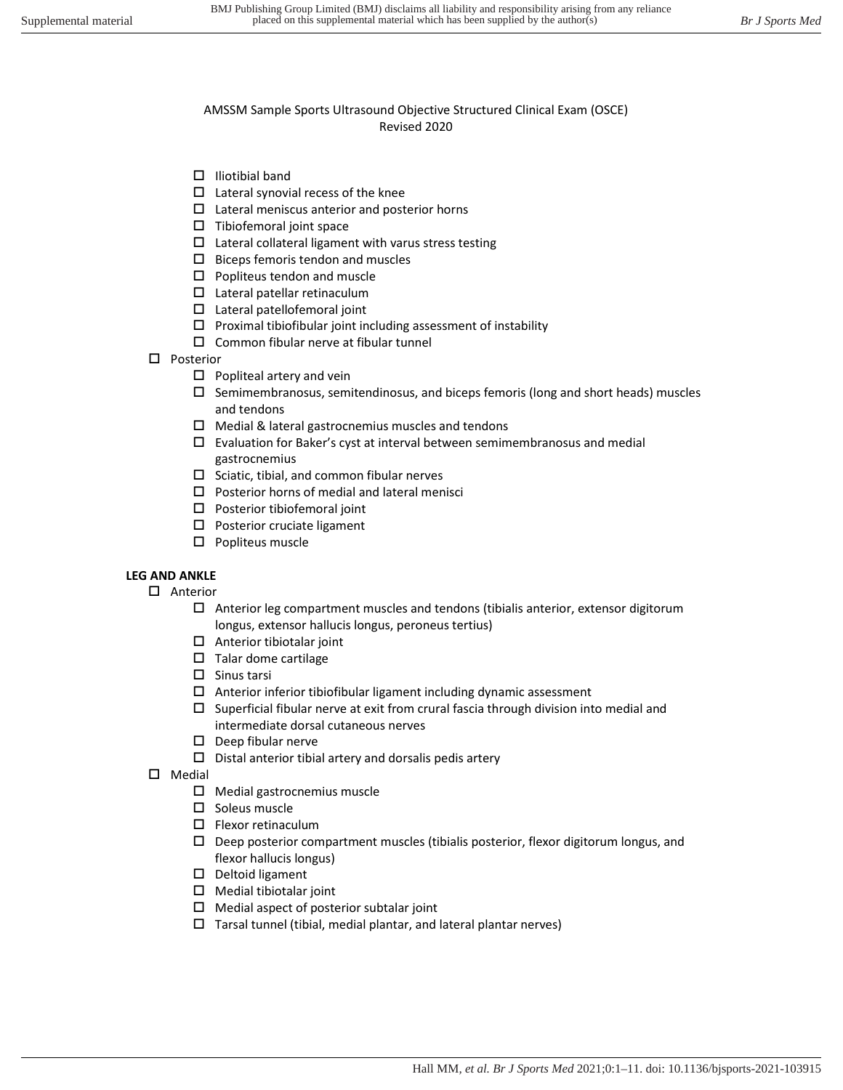- $\Box$  Iliotibial band
- $\Box$  Lateral synovial recess of the knee
- $\square$  Lateral meniscus anterior and posterior horns
- $\square$  Tibiofemoral joint space
- $\square$  Lateral collateral ligament with varus stress testing
- $\square$  Biceps femoris tendon and muscles
- $\square$  Popliteus tendon and muscle
- Lateral patellar retinaculum
- Lateral patellofemoral joint
- $\square$  Proximal tibiofibular joint including assessment of instability
- $\square$  Common fibular nerve at fibular tunnel
- □ Posterior
	- $\square$  Popliteal artery and vein
	- $\square$  Semimembranosus, semitendinosus, and biceps femoris (long and short heads) muscles and tendons
	- $\Box$  Medial & lateral gastrocnemius muscles and tendons
	- $\square$  Evaluation for Baker's cyst at interval between semimembranosus and medial gastrocnemius
	- $\square$  Sciatic, tibial, and common fibular nerves
	- $\square$  Posterior horns of medial and lateral menisci
	- $\square$  Posterior tibiofemoral joint
	- □ Posterior cruciate ligament
	- $\square$  Popliteus muscle

# **LEG AND ANKLE**

- Anterior
	- $\Box$  Anterior leg compartment muscles and tendons (tibialis anterior, extensor digitorum longus, extensor hallucis longus, peroneus tertius)
	- $\Box$  Anterior tibiotalar joint
	- $\square$  Talar dome cartilage
	- $\square$  Sinus tarsi
	- $\Box$  Anterior inferior tibiofibular ligament including dynamic assessment
	- $\square$  Superficial fibular nerve at exit from crural fascia through division into medial and intermediate dorsal cutaneous nerves
	- $\square$  Deep fibular nerve
	- $\square$  Distal anterior tibial artery and dorsalis pedis artery
- $\square$  Medial
	- $\Box$  Medial gastrocnemius muscle
	- $\square$  Soleus muscle
	- $\square$  Flexor retinaculum
	- $\square$  Deep posterior compartment muscles (tibialis posterior, flexor digitorum longus, and flexor hallucis longus)
	- $\square$  Deltoid ligament
	- $\Box$  Medial tibiotalar joint
	- $\Box$  Medial aspect of posterior subtalar joint
	- $\Box$  Tarsal tunnel (tibial, medial plantar, and lateral plantar nerves)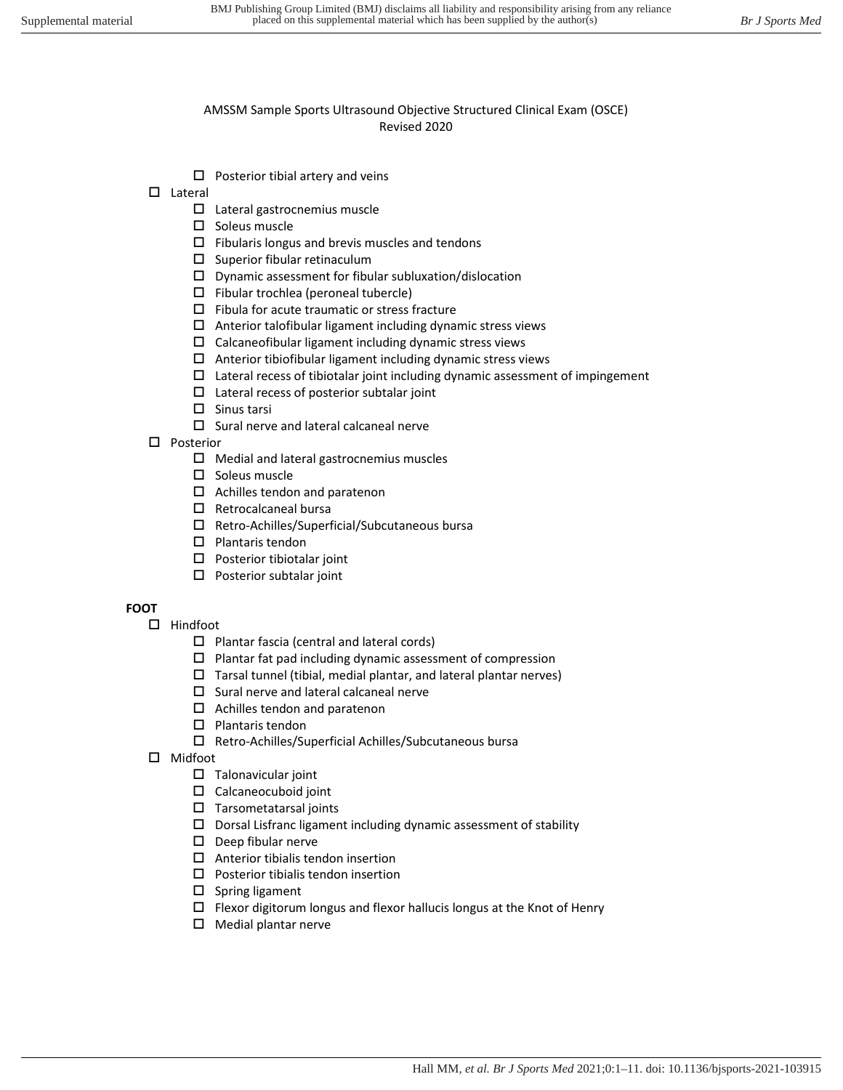- $\Box$  Posterior tibial artery and veins
- Lateral
	- □ Lateral gastrocnemius muscle
	- $\square$  Soleus muscle
	- $\Box$  Fibularis longus and brevis muscles and tendons
	- $\square$  Superior fibular retinaculum
	- $\square$  Dynamic assessment for fibular subluxation/dislocation
	- $\Box$  Fibular trochlea (peroneal tubercle)
	- $\square$  Fibula for acute traumatic or stress fracture
	- $\Box$  Anterior talofibular ligament including dynamic stress views
	- $\square$  Calcaneofibular ligament including dynamic stress views
	- $\Box$  Anterior tibiofibular ligament including dynamic stress views
	- $\Box$  Lateral recess of tibiotalar joint including dynamic assessment of impingement
	- $\square$  Lateral recess of posterior subtalar joint
	- $\square$  Sinus tarsi
		- $\square$  Sural nerve and lateral calcaneal nerve
- □ Posterior
	- $\Box$  Medial and lateral gastrocnemius muscles
	- $\square$  Soleus muscle
	- $\Box$  Achilles tendon and paratenon
	- $\square$  Retrocalcaneal bursa
	- Retro-Achilles/Superficial/Subcutaneous bursa
	- $\square$  Plantaris tendon
	- $\square$  Posterior tibiotalar joint
	- $\square$  Posterior subtalar joint

# **FOOT**

- $\Box$  Hindfoot
	- $\square$  Plantar fascia (central and lateral cords)
	- $\square$  Plantar fat pad including dynamic assessment of compression
	- $\Box$  Tarsal tunnel (tibial, medial plantar, and lateral plantar nerves)
	- $\square$  Sural nerve and lateral calcaneal nerve
	- $\Box$  Achilles tendon and paratenon
	- $\square$  Plantaris tendon
	- Retro-Achilles/Superficial Achilles/Subcutaneous bursa
- Midfoot
	- $\square$  Talonavicular joint
	- Calcaneocuboid joint
	- $\square$  Tarsometatarsal joints
	- $\square$  Dorsal Lisfranc ligament including dynamic assessment of stability
	- $\square$  Deep fibular nerve
	- $\Box$  Anterior tibialis tendon insertion
	- $\square$  Posterior tibialis tendon insertion
	- $\square$  Spring ligament
	- $\Box$  Flexor digitorum longus and flexor hallucis longus at the Knot of Henry
	- $\Box$  Medial plantar nerve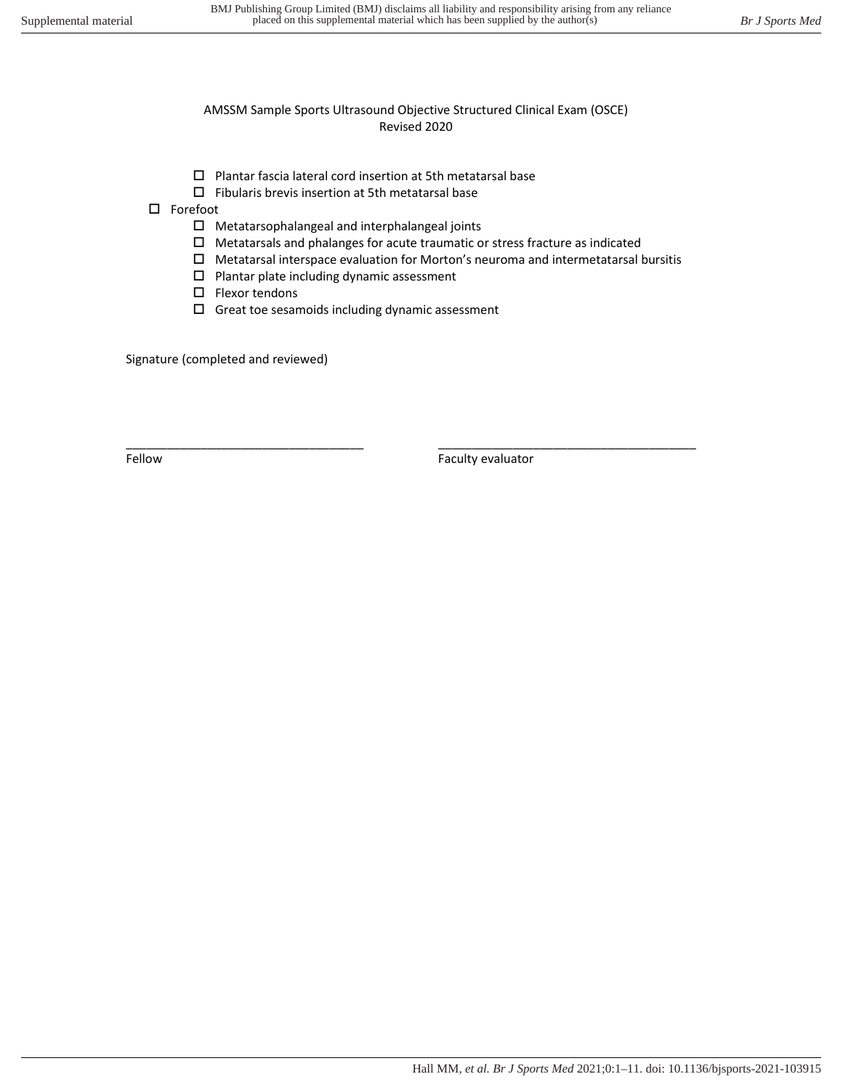- $\square$  Plantar fascia lateral cord insertion at 5th metatarsal base
- $\square$  Fibularis brevis insertion at 5th metatarsal base

□ Forefoot

- $\square$  Metatarsophalangeal and interphalangeal joints
- $\square$  Metatarsals and phalanges for acute traumatic or stress fracture as indicated

\_\_\_\_\_\_\_\_\_\_\_\_\_\_\_\_\_\_\_\_\_\_\_\_\_\_\_\_\_\_\_\_\_\_\_ \_\_\_\_\_\_\_\_\_\_\_\_\_\_\_\_\_\_\_\_\_\_\_\_\_\_\_\_\_\_\_\_\_\_\_\_\_\_

- $\square$  Metatarsal interspace evaluation for Morton's neuroma and intermetatarsal bursitis
- $\square$  Plantar plate including dynamic assessment
- $\square$  Flexor tendons
- $\square$  Great toe sesamoids including dynamic assessment

Signature (completed and reviewed)

Fellow **Faculty evaluator Faculty** evaluator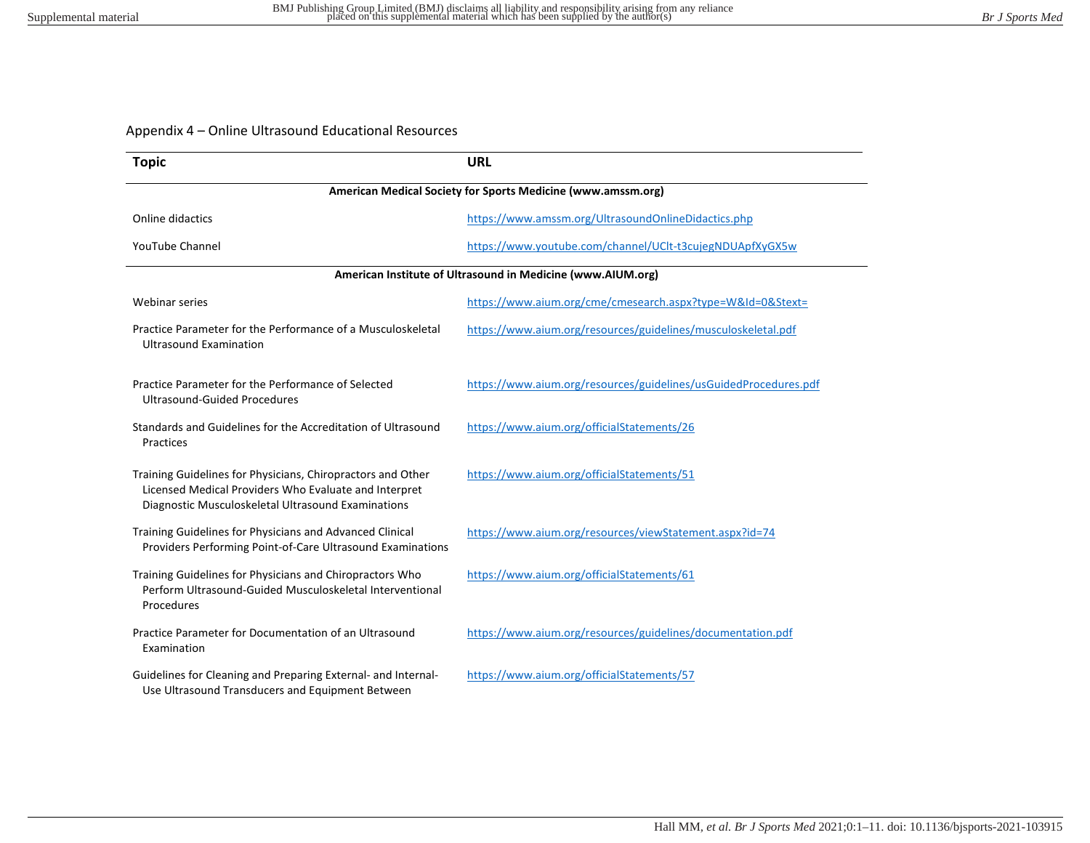# Appendix 4 – Online Ultrasound Educational Resources

| <b>Topic</b>                                                                                                                                                               | <b>URL</b>                                                       |  |  |  |  |
|----------------------------------------------------------------------------------------------------------------------------------------------------------------------------|------------------------------------------------------------------|--|--|--|--|
|                                                                                                                                                                            | American Medical Society for Sports Medicine (www.amssm.org)     |  |  |  |  |
| Online didactics                                                                                                                                                           | https://www.amssm.org/UltrasoundOnlineDidactics.php              |  |  |  |  |
| <b>YouTube Channel</b>                                                                                                                                                     | https://www.youtube.com/channel/UClt-t3cujegNDUApfXyGX5w         |  |  |  |  |
|                                                                                                                                                                            | American Institute of Ultrasound in Medicine (www.AIUM.org)      |  |  |  |  |
| <b>Webinar series</b>                                                                                                                                                      | https://www.aium.org/cme/cmesearch.aspx?type=W&Id=0&Stext=       |  |  |  |  |
| Practice Parameter for the Performance of a Musculoskeletal<br><b>Ultrasound Examination</b>                                                                               | https://www.aium.org/resources/guidelines/musculoskeletal.pdf    |  |  |  |  |
| Practice Parameter for the Performance of Selected<br><b>Ultrasound-Guided Procedures</b>                                                                                  | https://www.aium.org/resources/guidelines/usGuidedProcedures.pdf |  |  |  |  |
| Standards and Guidelines for the Accreditation of Ultrasound<br>Practices                                                                                                  | https://www.aium.org/officialStatements/26                       |  |  |  |  |
| Training Guidelines for Physicians, Chiropractors and Other<br>Licensed Medical Providers Who Evaluate and Interpret<br>Diagnostic Musculoskeletal Ultrasound Examinations | https://www.aium.org/officialStatements/51                       |  |  |  |  |
| Training Guidelines for Physicians and Advanced Clinical<br>Providers Performing Point-of-Care Ultrasound Examinations                                                     | https://www.aium.org/resources/viewStatement.aspx?id=74          |  |  |  |  |
| Training Guidelines for Physicians and Chiropractors Who<br>Perform Ultrasound-Guided Musculoskeletal Interventional<br>Procedures                                         | https://www.aium.org/officialStatements/61                       |  |  |  |  |
| Practice Parameter for Documentation of an Ultrasound<br>Examination                                                                                                       | https://www.aium.org/resources/guidelines/documentation.pdf      |  |  |  |  |
| Guidelines for Cleaning and Preparing External- and Internal-<br>Use Ultrasound Transducers and Equipment Between                                                          | https://www.aium.org/officialStatements/57                       |  |  |  |  |